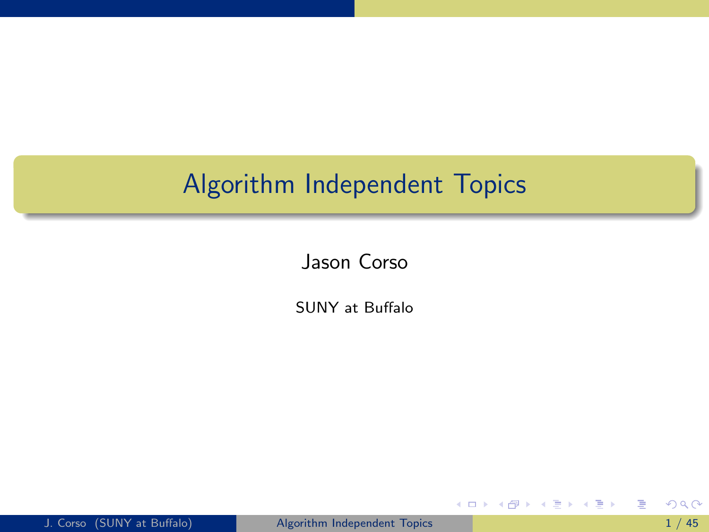# Algorithm Independent Topics

Jason Corso

SUNY at Buffalo

**4 ロ ▶ 4 母 ▶ 4** 

ヨメ メラメ

<span id="page-0-0"></span>目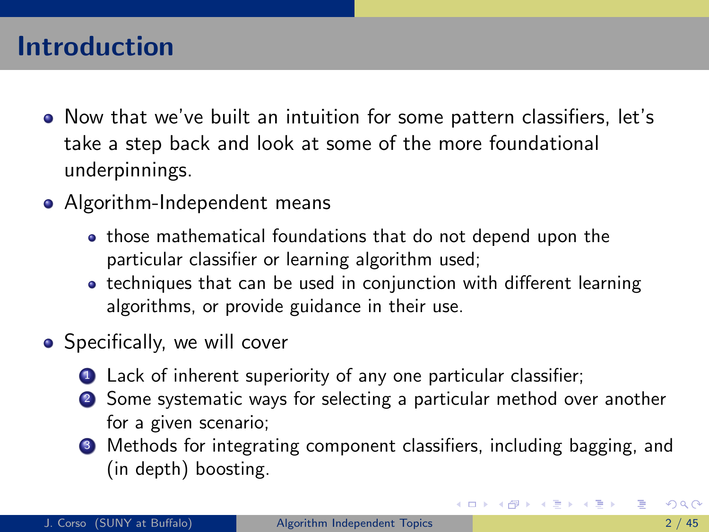## Introduction

- Now that we've built an intuition for some pattern classifiers, let's take a step back and look at some of the more foundational underpinnings.
- Algorithm-Independent means
	- those mathematical foundations that do not depend upon the particular classifier or learning algorithm used;
	- techniques that can be used in conjunction with different learning algorithms, or provide guidance in their use.
- <span id="page-1-0"></span>**•** Specifically, we will cover
	- **1** Lack of inherent superiority of any one particular classifier;
	- <sup>2</sup> Some systematic ways for selecting a particular method over another for a given scenario;
	- <sup>3</sup> Methods for integrating component classifiers, including bagging, and (in depth) boosting.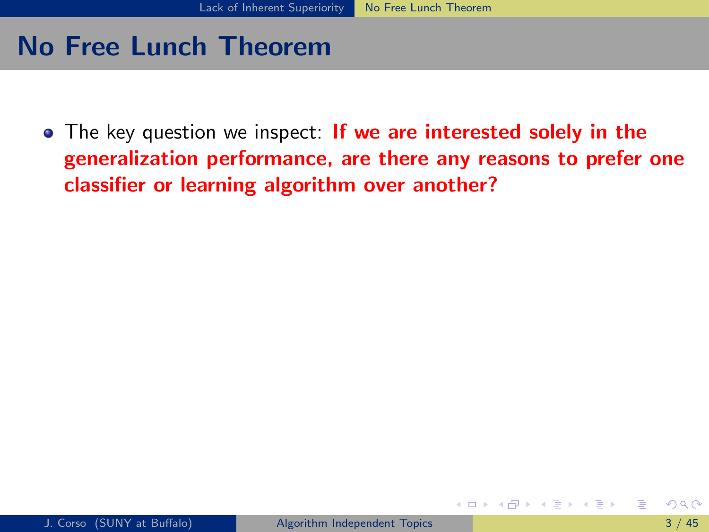• The key question we inspect: If we are interested solely in the generalization performance, are there any reasons to prefer one classifier or learning algorithm over another?

<span id="page-2-0"></span>( □ ) ( <sub>□</sub> ) (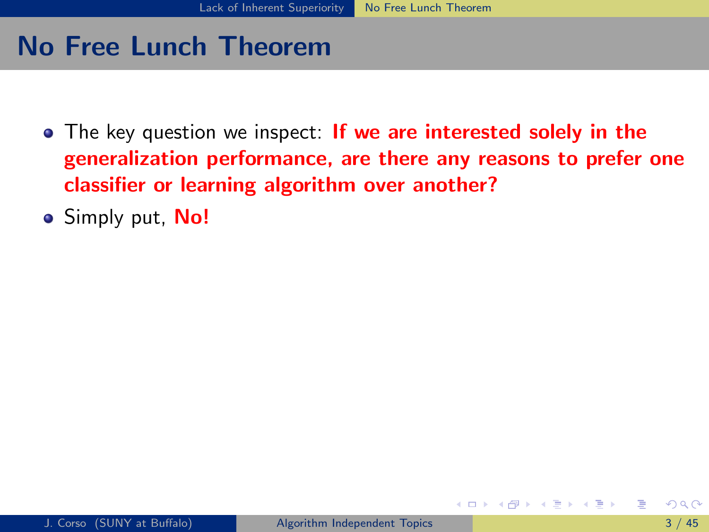- The key question we inspect: If we are interested solely in the generalization performance, are there any reasons to prefer one classifier or learning algorithm over another?
- **Simply put, No!**

<span id="page-3-0"></span>∢ □ ▶ ∢ <sub>□</sub> ▶ ∢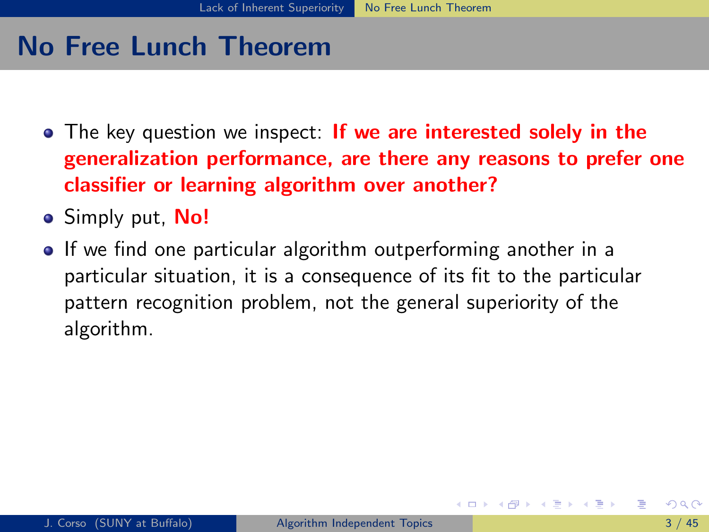- The key question we inspect: If we are interested solely in the generalization performance, are there any reasons to prefer one classifier or learning algorithm over another?
- **Simply put, No!**
- <span id="page-4-0"></span>• If we find one particular algorithm outperforming another in a particular situation, it is a consequence of its fit to the particular pattern recognition problem, not the general superiority of the algorithm.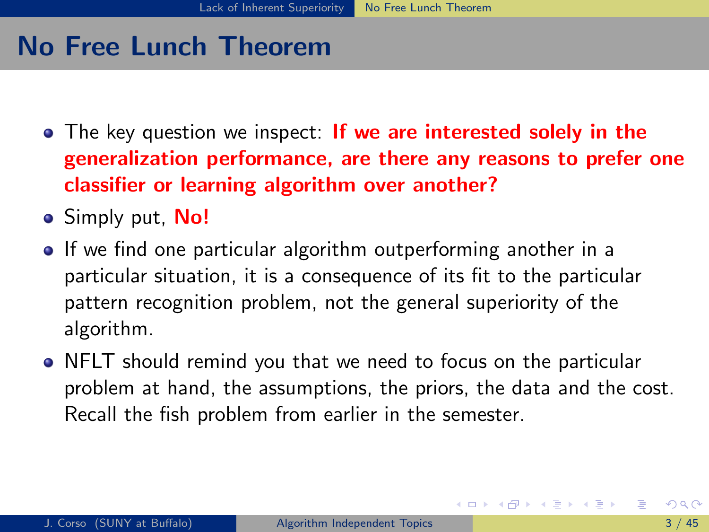- The key question we inspect: If we are interested solely in the generalization performance, are there any reasons to prefer one classifier or learning algorithm over another?
- **Simply put, No!**
- If we find one particular algorithm outperforming another in a particular situation, it is a consequence of its fit to the particular pattern recognition problem, not the general superiority of the algorithm.
- <span id="page-5-0"></span>NFLT should remind you that we need to focus on the particular problem at hand, the assumptions, the priors, the data and the cost. Recall the fish problem from earlier in the semester.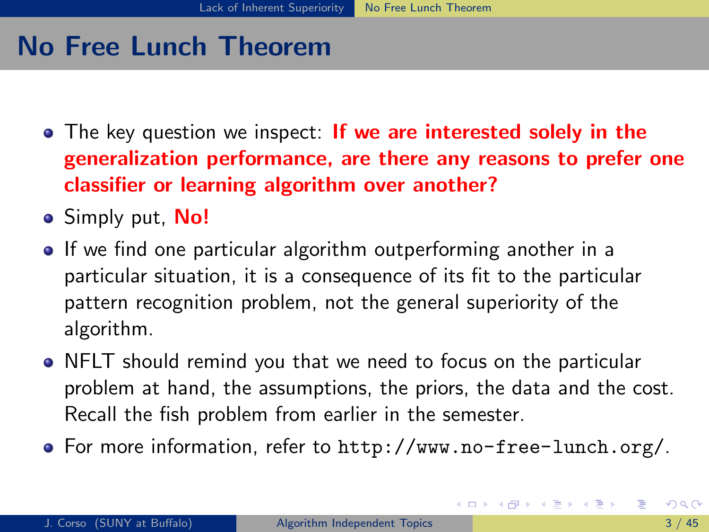- The key question we inspect: If we are interested solely in the generalization performance, are there any reasons to prefer one classifier or learning algorithm over another?
- **Simply put, No!**
- If we find one particular algorithm outperforming another in a particular situation, it is a consequence of its fit to the particular pattern recognition problem, not the general superiority of the algorithm.
- NFLT should remind you that we need to focus on the particular problem at hand, the assumptions, the priors, the data and the cost. Recall the fish problem from earlier in the semester.
- <span id="page-6-0"></span>For more information, refer to <http://www.no-free-lunch.org/>.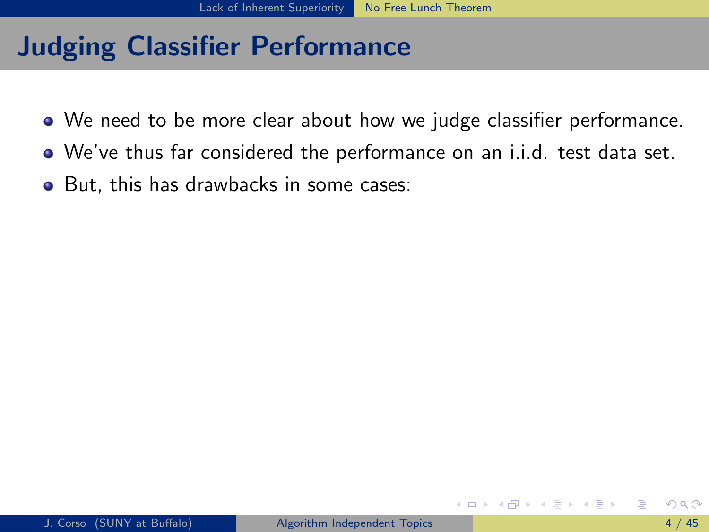- We need to be more clear about how we judge classifier performance.
- We've thus far considered the performance on an i.i.d. test data set.
- <span id="page-7-0"></span>• But, this has drawbacks in some cases: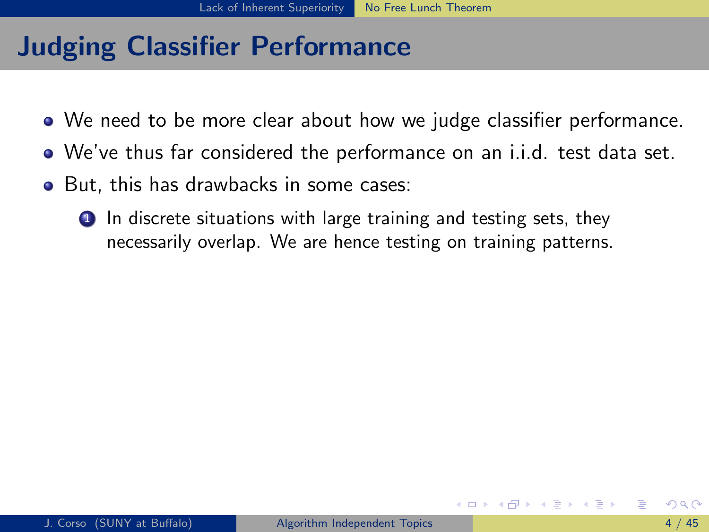- We need to be more clear about how we judge classifier performance.
- We've thus far considered the performance on an i.i.d. test data set.
- <span id="page-8-0"></span>• But, this has drawbacks in some cases:
	- **1** In discrete situations with large training and testing sets, they necessarily overlap. We are hence testing on training patterns.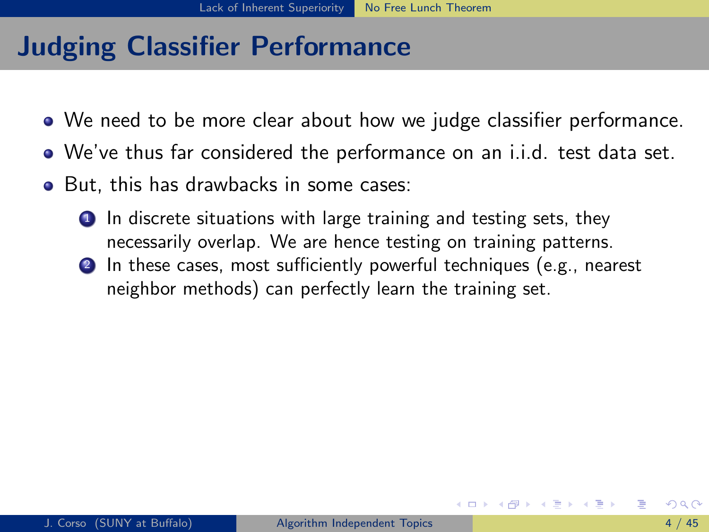- We need to be more clear about how we judge classifier performance.
- We've thus far considered the performance on an i.i.d. test data set.
- <span id="page-9-0"></span>• But, this has drawbacks in some cases:
	- **1** In discrete situations with large training and testing sets, they necessarily overlap. We are hence testing on training patterns.
	- **2** In these cases, most sufficiently powerful techniques (e.g., nearest neighbor methods) can perfectly learn the training set.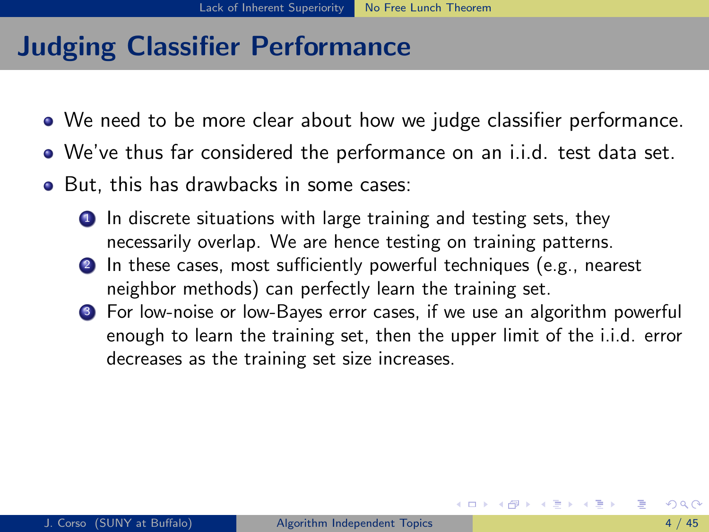- We need to be more clear about how we judge classifier performance.
- We've thus far considered the performance on an i.i.d. test data set.
- <span id="page-10-0"></span>• But, this has drawbacks in some cases:
	- **1** In discrete situations with large training and testing sets, they necessarily overlap. We are hence testing on training patterns.
	- <sup>2</sup> In these cases, most sufficiently powerful techniques (e.g., nearest neighbor methods) can perfectly learn the training set.
	- <sup>3</sup> For low-noise or low-Bayes error cases, if we use an algorithm powerful enough to learn the training set, then the upper limit of the i.i.d. error decreases as the training set size increases.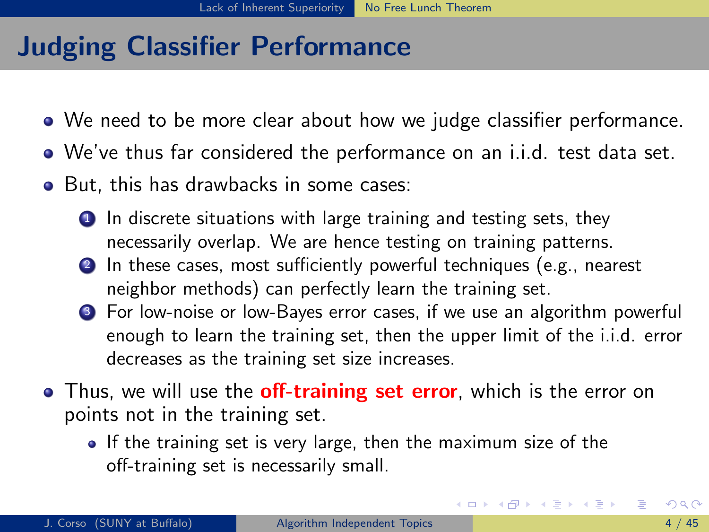- We need to be more clear about how we judge classifier performance.
- We've thus far considered the performance on an i.i.d. test data set.
- But, this has drawbacks in some cases:
	- **1** In discrete situations with large training and testing sets, they necessarily overlap. We are hence testing on training patterns.
	- <sup>2</sup> In these cases, most sufficiently powerful techniques (e.g., nearest neighbor methods) can perfectly learn the training set.
	- <sup>3</sup> For low-noise or low-Bayes error cases, if we use an algorithm powerful enough to learn the training set, then the upper limit of the i.i.d. error decreases as the training set size increases.
- Thus, we will use the **off-training set error**, which is the error on points not in the training set.
	- If the training set is very large, then the maximum size of the off-training set is necessarily small.

<span id="page-11-0"></span>K ロ ▶ K 倒 ▶ K 듣 ▶ K 듣 ▶ ...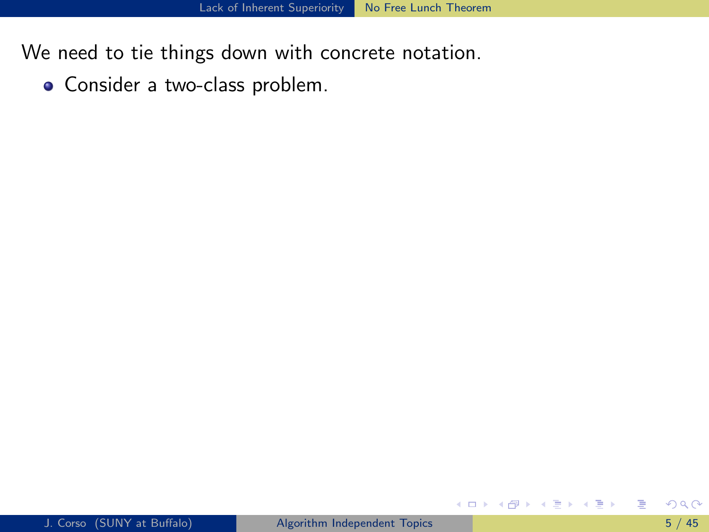Consider a two-class problem.

<span id="page-12-0"></span>目

イロト イ部 トメ ヨ トメ ヨト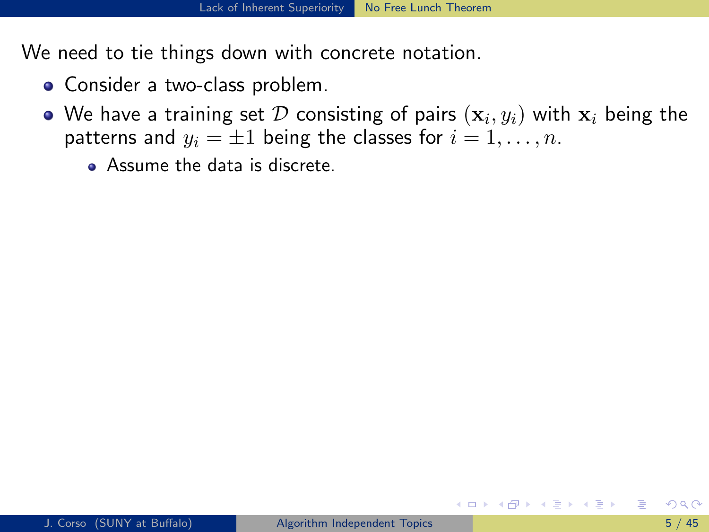- Consider a two-class problem.
- We have a training set  ${\cal D}$  consisting of pairs  $(\mathbf{x}_i, y_i)$  with  $\mathbf{x}_i$  being the patterns and  $y_i = \pm 1$  being the classes for  $i = 1, \ldots, n$ .
	- **Assume the data is discrete.**

<span id="page-13-0"></span>イロト イ母 トイヨ トイヨ トー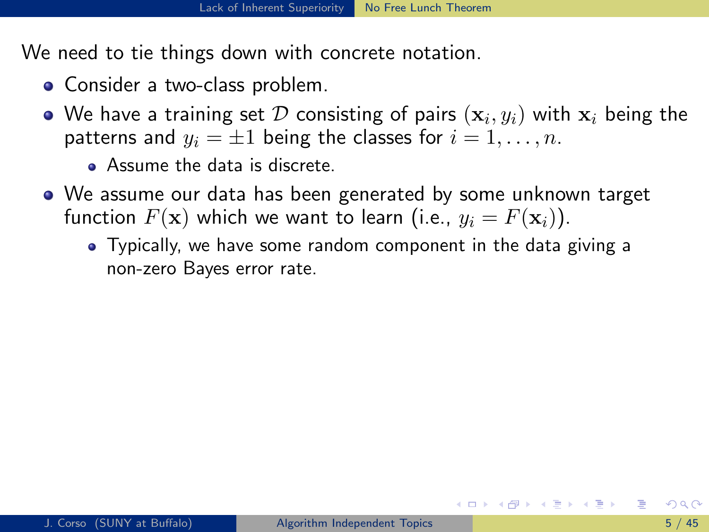- Consider a two-class problem.
- We have a training set  ${\cal D}$  consisting of pairs  $(\mathbf{x}_i, y_i)$  with  $\mathbf{x}_i$  being the patterns and  $y_i = \pm 1$  being the classes for  $i = 1, \ldots, n$ .
	- **Assume the data is discrete.**
- <span id="page-14-0"></span>We assume our data has been generated by some unknown target function  $F(\mathbf{x})$  which we want to learn (i.e.,  $y_i = F(\mathbf{x}_i)$ ).
	- Typically, we have some random component in the data giving a non-zero Bayes error rate.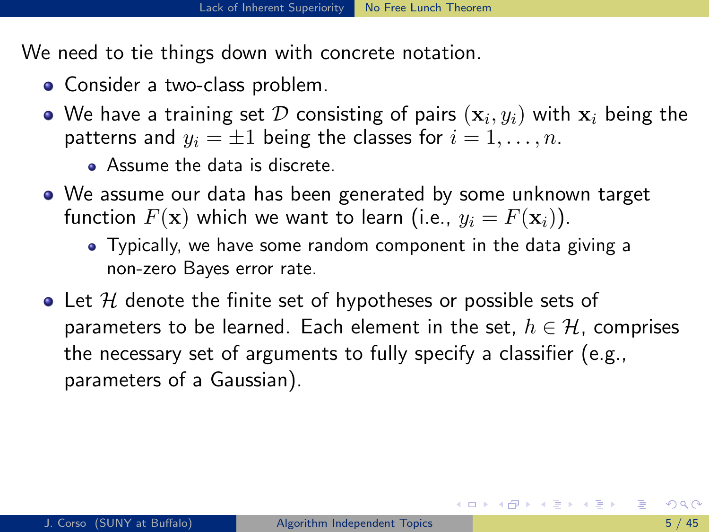- Consider a two-class problem.
- We have a training set  ${\cal D}$  consisting of pairs  $(\mathbf{x}_i, y_i)$  with  $\mathbf{x}_i$  being the patterns and  $y_i = \pm 1$  being the classes for  $i = 1, \ldots, n$ .
	- **Assume the data is discrete.**
- We assume our data has been generated by some unknown target function  $F(\mathbf{x})$  which we want to learn (i.e.,  $y_i = F(\mathbf{x}_i)$ ).
	- Typically, we have some random component in the data giving a non-zero Bayes error rate.
- $\bullet$  Let H denote the finite set of hypotheses or possible sets of parameters to be learned. Each element in the set,  $h \in \mathcal{H}$ , comprises the necessary set of arguments to fully specify a classifier (e.g., parameters of a Gaussian).

<span id="page-15-0"></span>K ロ ▶ K 個 ▶ K 경 ▶ K 경 ▶ X 경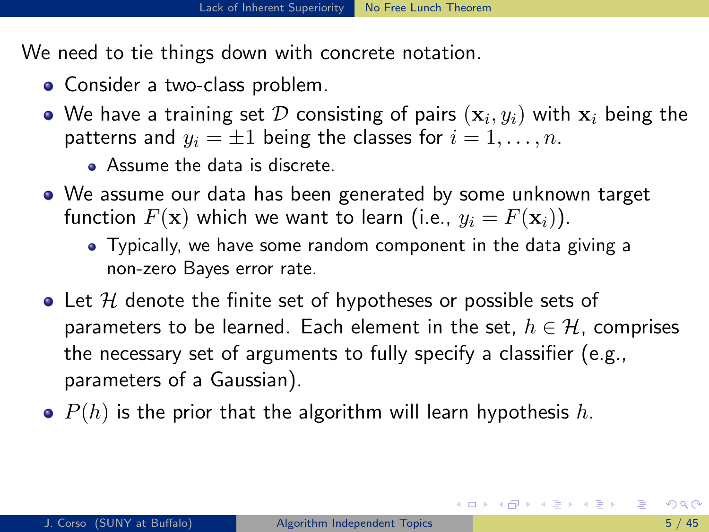- Consider a two-class problem.
- We have a training set  ${\cal D}$  consisting of pairs  $(\mathbf{x}_i, y_i)$  with  $\mathbf{x}_i$  being the patterns and  $y_i = \pm 1$  being the classes for  $i = 1, \ldots, n$ .
	- **Assume the data is discrete.**
- We assume our data has been generated by some unknown target function  $F(\mathbf{x})$  which we want to learn (i.e.,  $y_i = F(\mathbf{x}_i)$ ).
	- Typically, we have some random component in the data giving a non-zero Bayes error rate.
- $\bullet$  Let H denote the finite set of hypotheses or possible sets of parameters to be learned. Each element in the set,  $h \in \mathcal{H}$ , comprises the necessary set of arguments to fully specify a classifier (e.g., parameters of a Gaussian).
- $\bullet$   $P(h)$  is the prior that the algorithm will learn hypothesis h.

<span id="page-16-0"></span>イロト 不優 ト 不差 ト 不差 トー 差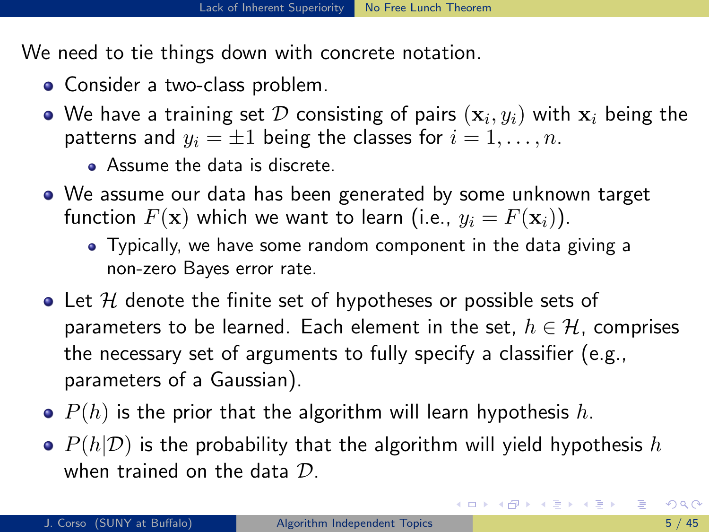- Consider a two-class problem.
- We have a training set  ${\cal D}$  consisting of pairs  $(\mathbf{x}_i, y_i)$  with  $\mathbf{x}_i$  being the patterns and  $y_i = \pm 1$  being the classes for  $i = 1, \ldots, n$ .
	- **Assume the data is discrete.**
- We assume our data has been generated by some unknown target function  $F(\mathbf{x})$  which we want to learn (i.e.,  $y_i = F(\mathbf{x}_i)$ ).
	- Typically, we have some random component in the data giving a non-zero Bayes error rate.
- $\bullet$  Let H denote the finite set of hypotheses or possible sets of parameters to be learned. Each element in the set,  $h \in \mathcal{H}$ , comprises the necessary set of arguments to fully specify a classifier (e.g., parameters of a Gaussian).
- $\bullet$   $P(h)$  is the prior that the algorithm will learn hypothesis h.
- $\bullet$   $P(h|\mathcal{D})$  is the probability that the algorithm will yield hypothesis h when trained on the data D.

<span id="page-17-0"></span>イロト イ団 トイミト イミト ニヨー りんぴ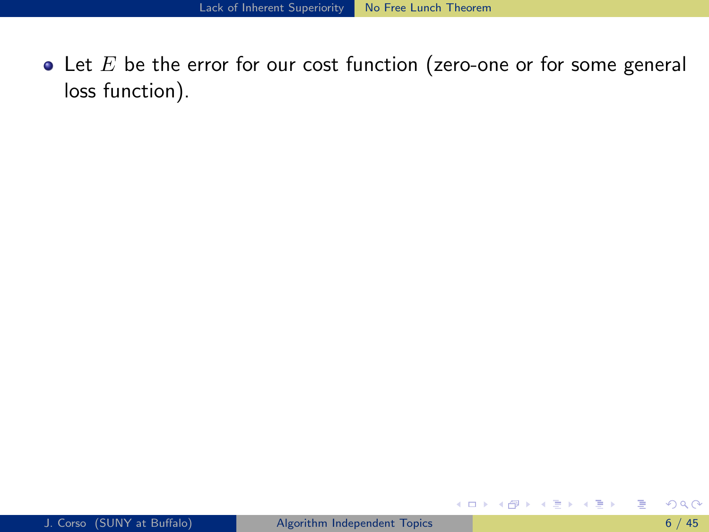$\bullet$  Let  $E$  be the error for our cost function (zero-one or for some general loss function).

**◆ロト→伊ト** 

ヨメ メラメ

<span id="page-18-0"></span>目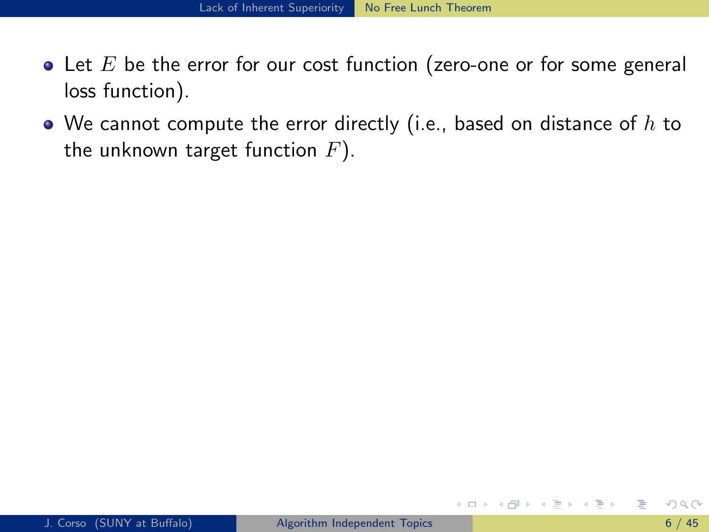- Let  $E$  be the error for our cost function (zero-one or for some general loss function).
- $\bullet$  We cannot compute the error directly (i.e., based on distance of  $h$  to the unknown target function  $F$ ).

( □ ) ( <sub>□</sub> )

<span id="page-19-0"></span>ミメスミメ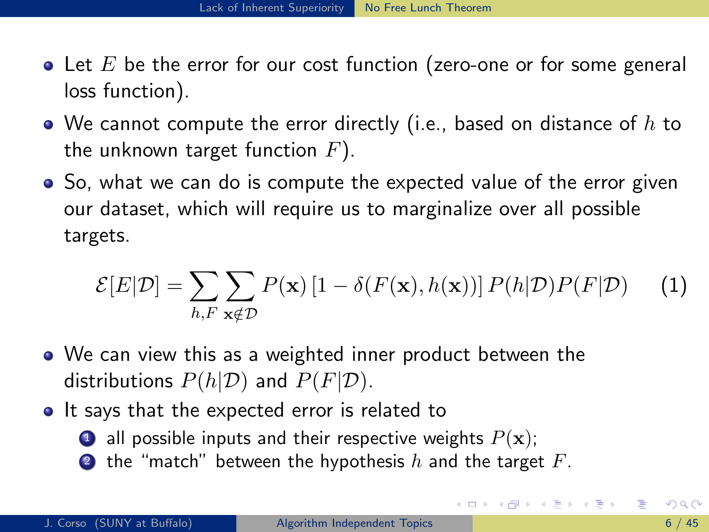- $\bullet$  Let E be the error for our cost function (zero-one or for some general loss function).
- $\bullet$  We cannot compute the error directly (i.e., based on distance of  $h$  to the unknown target function  $F$ ).
- So, what we can do is compute the expected value of the error given our dataset, which will require us to marginalize over all possible targets.

$$
\mathcal{E}[E|\mathcal{D}] = \sum_{h,F} \sum_{\mathbf{x} \notin \mathcal{D}} P(\mathbf{x}) \left[ 1 - \delta(F(\mathbf{x}), h(\mathbf{x})) \right] P(h|\mathcal{D}) P(F|\mathcal{D}) \tag{1}
$$

- We can view this as a weighted inner product between the distributions  $P(h|\mathcal{D})$  and  $P(F|\mathcal{D})$ .
- It says that the expected error is related to
	- **1** all possible inputs and their respective weights  $P(\mathbf{x})$ ;
	- **2** the "match" between the hypothesis h and the target  $F$ .

<span id="page-20-0"></span>イロト イ母 トイヨ トイヨ トー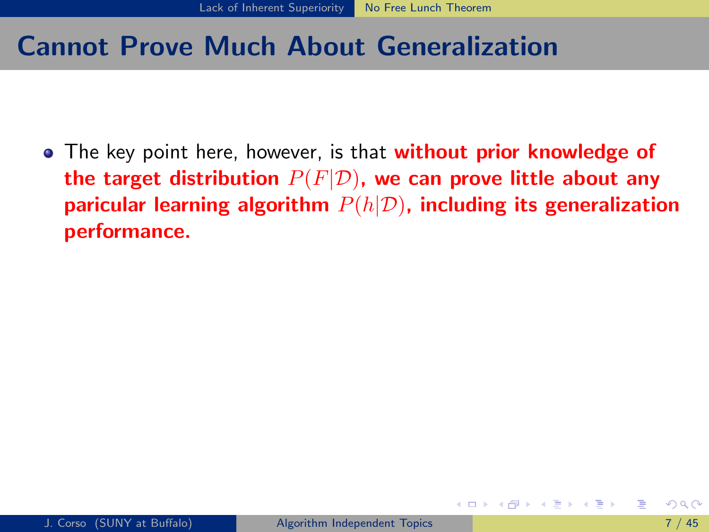#### Cannot Prove Much About Generalization

<span id="page-21-0"></span>• The key point here, however, is that **without prior knowledge of** the target distribution  $P(F|\mathcal{D})$ , we can prove little about any paricular learning algorithm  $P(h|\mathcal{D})$ , including its generalization performance.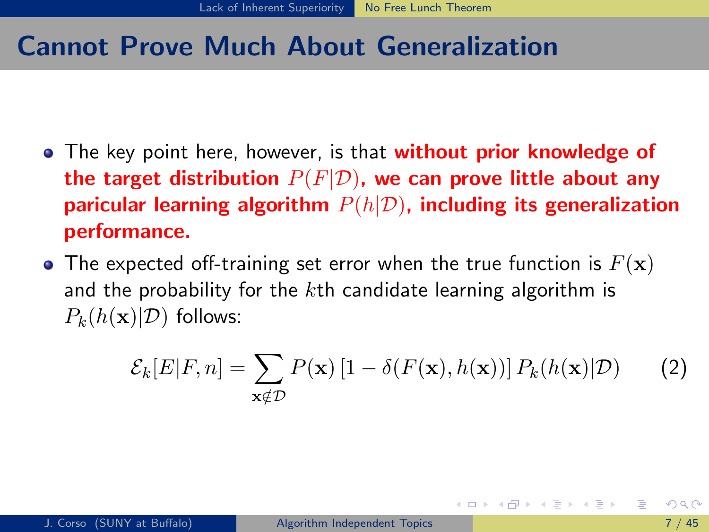### Cannot Prove Much About Generalization

- The key point here, however, is that **without prior knowledge of** the target distribution  $P(F|D)$ , we can prove little about any paricular learning algorithm  $P(h|\mathcal{D})$ , including its generalization performance.
- The expected off-training set error when the true function is  $F(\mathbf{x})$ and the probability for the  $k$ th candidate learning algorithm is  $P_k(h(\mathbf{x})|\mathcal{D})$  follows:

$$
\mathcal{E}_k[E|F,n] = \sum_{\mathbf{x} \notin \mathcal{D}} P(\mathbf{x}) \left[1 - \delta(F(\mathbf{x}), h(\mathbf{x}))\right] P_k(h(\mathbf{x})|\mathcal{D}) \tag{2}
$$

<span id="page-22-0"></span>イロト イ押 トイヨ トイヨ トー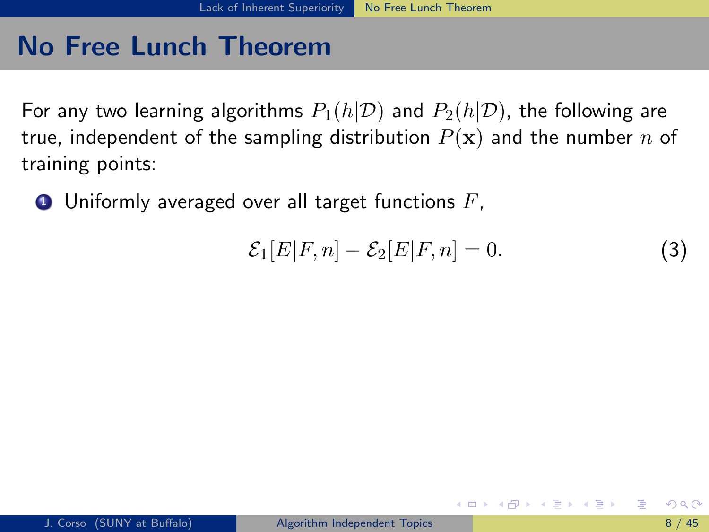For any two learning algorithms  $P_1(h|\mathcal{D})$  and  $P_2(h|\mathcal{D})$ , the following are true, independent of the sampling distribution  $P(x)$  and the number n of training points:

 $\bullet$  Uniformly averaged over all target functions  $F$ ,

<span id="page-23-0"></span>
$$
\mathcal{E}_1[E|F,n] - \mathcal{E}_2[E|F,n] = 0.
$$
\n(3)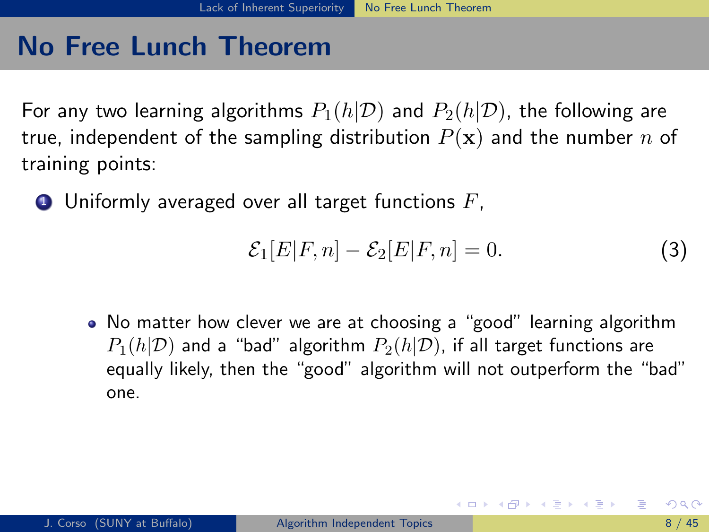For any two learning algorithms  $P_1(h|\mathcal{D})$  and  $P_2(h|\mathcal{D})$ , the following are true, independent of the sampling distribution  $P(x)$  and the number n of training points:

 $\bullet$  Uniformly averaged over all target functions  $F$ ,

$$
\mathcal{E}_1[E|F,n] - \mathcal{E}_2[E|F,n] = 0. \tag{3}
$$

<span id="page-24-0"></span>イロト イ押ト イヨト イヨトー

No matter how clever we are at choosing a "good" learning algorithm  $P_1(h|\mathcal{D})$  and a "bad" algorithm  $P_2(h|\mathcal{D})$ , if all target functions are equally likely, then the "good" algorithm will not outperform the "bad" one.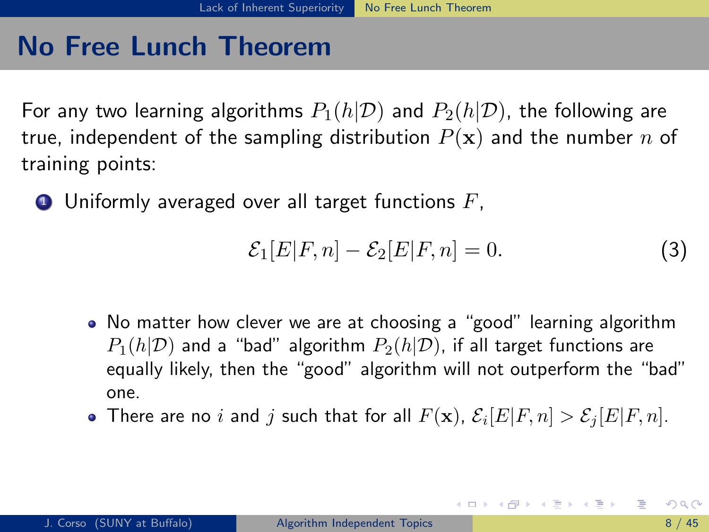For any two learning algorithms  $P_1(h|\mathcal{D})$  and  $P_2(h|\mathcal{D})$ , the following are true, independent of the sampling distribution  $P(x)$  and the number n of training points:

 $\bullet$  Uniformly averaged over all target functions  $F$ ,

<span id="page-25-0"></span>
$$
\mathcal{E}_1[E|F,n] - \mathcal{E}_2[E|F,n] = 0. \tag{3}
$$

- No matter how clever we are at choosing a "good" learning algorithm  $P_1(h|\mathcal{D})$  and a "bad" algorithm  $P_2(h|\mathcal{D})$ , if all target functions are equally likely, then the "good" algorithm will not outperform the "bad" one.
- There are no  $i$  and  $j$  such that for all  $F(\mathbf{x})$ ,  $\mathcal{E}_i[E|F,n] > \mathcal{E}_j[E|F,n].$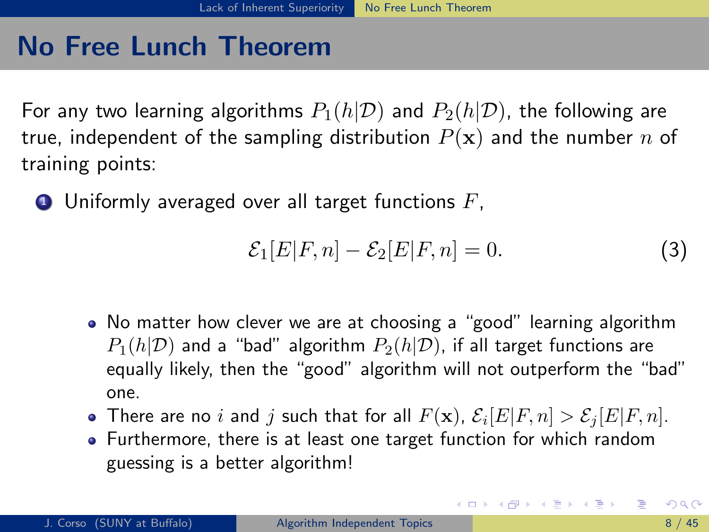For any two learning algorithms  $P_1(h|\mathcal{D})$  and  $P_2(h|\mathcal{D})$ , the following are true, independent of the sampling distribution  $P(x)$  and the number n of training points:

 $\bullet$  Uniformly averaged over all target functions  $F$ ,

$$
\mathcal{E}_1[E|F,n] - \mathcal{E}_2[E|F,n] = 0.
$$
\n(3)

<span id="page-26-0"></span>イロメ イ部メ イ君メ イ君メー

- No matter how clever we are at choosing a "good" learning algorithm  $P_1(h|\mathcal{D})$  and a "bad" algorithm  $P_2(h|\mathcal{D})$ , if all target functions are equally likely, then the "good" algorithm will not outperform the "bad" one.
- There are no  $i$  and  $j$  such that for all  $F(\mathbf{x})$ ,  $\mathcal{E}_i[E|F,n] > \mathcal{E}_j[E|F,n].$
- Furthermore, there is at least one target function for which random guessing is a better algorithm!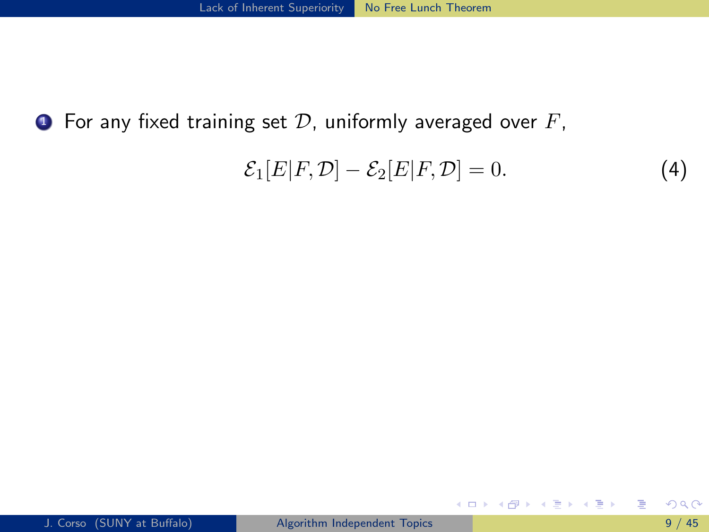**•** For any fixed training set  $D$ , uniformly averaged over  $F$ ,

$$
\mathcal{E}_1[E|F,\mathcal{D}] - \mathcal{E}_2[E|F,\mathcal{D}] = 0. \tag{4}
$$

イロメ イ部メ イヨメ イヨメー

<span id="page-27-0"></span>目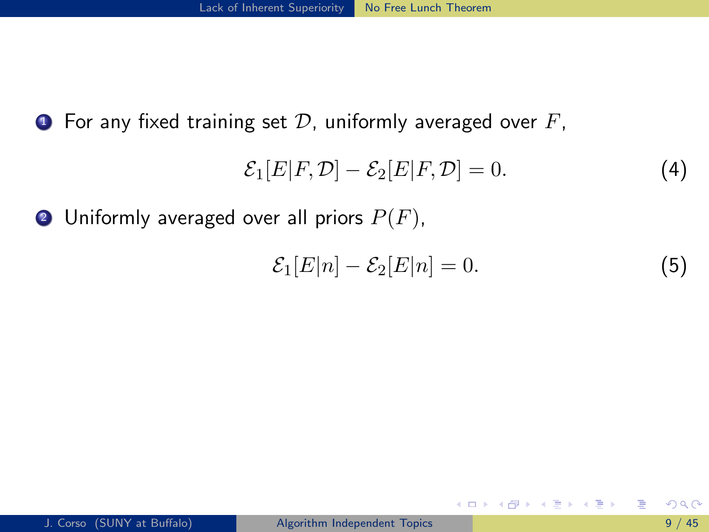$\bullet$  For any fixed training set  $\mathcal D$ , uniformly averaged over  $F$ ,

$$
\mathcal{E}_1[E|F,\mathcal{D}] - \mathcal{E}_2[E|F,\mathcal{D}] = 0. \tag{4}
$$

**2** Uniformly averaged over all priors  $P(F)$ ,

$$
\mathcal{E}_1[E|n] - \mathcal{E}_2[E|n] = 0. \tag{5}
$$

K ロ ▶ K 倒 ▶ K 듣 ▶ K 듣 ▶ ...

<span id="page-28-0"></span>目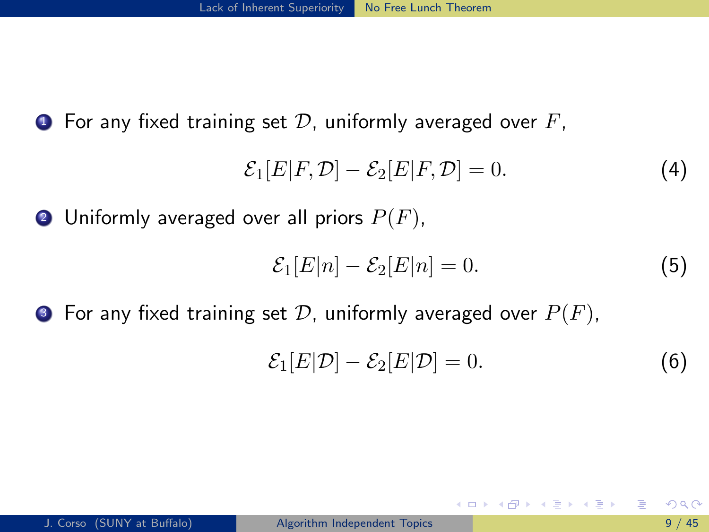$\bullet$  For any fixed training set D, uniformly averaged over F,

$$
\mathcal{E}_1[E|F,\mathcal{D}] - \mathcal{E}_2[E|F,\mathcal{D}] = 0. \tag{4}
$$

**2** Uniformly averaged over all priors  $P(F)$ ,

$$
\mathcal{E}_1[E|n] - \mathcal{E}_2[E|n] = 0. \tag{5}
$$

**3** For any fixed training set D, uniformly averaged over  $P(F)$ ,

$$
\mathcal{E}_1[E|\mathcal{D}] - \mathcal{E}_2[E|\mathcal{D}] = 0. \tag{6}
$$

<span id="page-29-0"></span>K ロンス 御 > ス ヨ > ス ヨ > 一 ヨ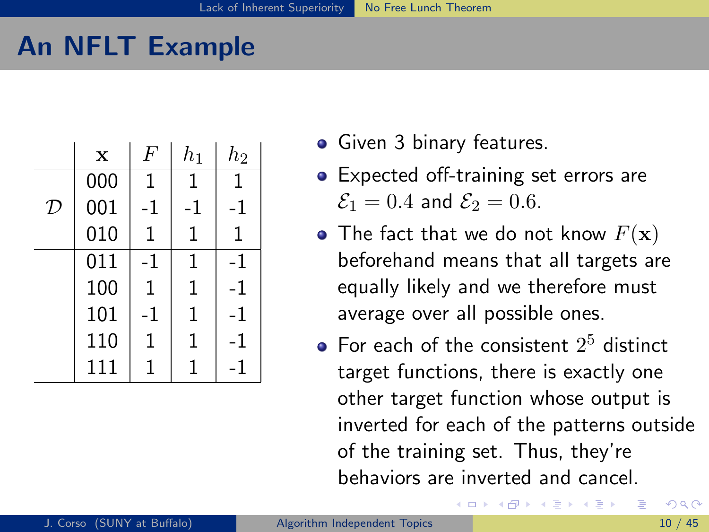## An NFLT Example

|   | $\mathbf x$ | F  | $h_1$       | $h_2$ |
|---|-------------|----|-------------|-------|
|   | 000         | 1  | 1           | 1     |
| D | 001         | -1 | -1          | -1    |
|   | 010         | 1  | 1           | 1     |
|   | 011         | -1 | 1           | -1    |
|   | 100         | 1  | $\mathbf 1$ | -1    |
|   | 101         | -1 | 1           | -1    |
|   | 110         | 1  | $\mathbf 1$ | -1    |
|   | 111         | 1  | 1           | -1    |

- Given 3 binary features.
- Expected off-training set errors are  $\mathcal{E}_1 = 0.4$  and  $\mathcal{E}_2 = 0.6$ .
- The fact that we do not know  $F(\mathbf{x})$ beforehand means that all targets are equally likely and we therefore must average over all possible ones.
- <span id="page-30-0"></span>For each of the consistent  $2^5$  distinct target functions, there is exactly one other target function whose output is inverted for each of the patterns outside of the training set. Thus, they're behaviors are inverted and cancel.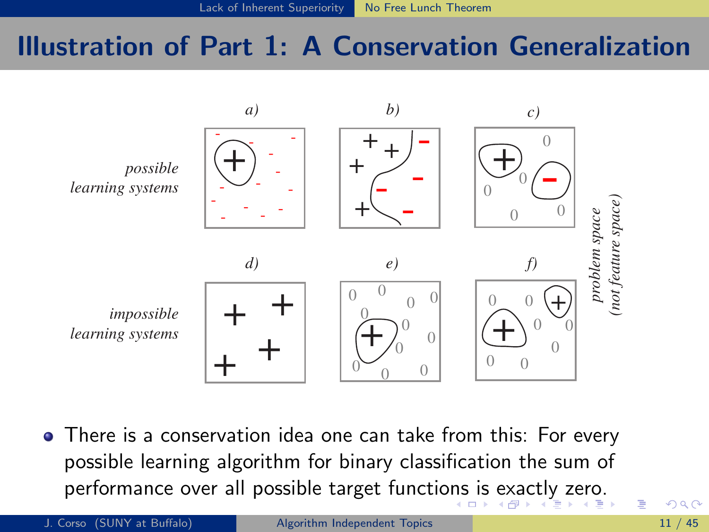### Illustration of Part 1: A Conservation Generalization



 $\bullet$  There is a conservation idea one can take from this: For every possible learning algorithm for binary classification the sum of possible realing algorithm for binary elassification the sum of performance over all possible target func[tion](#page-30-0)s is exactly zero.<br>Description [h](#page-32-0)[ig](#page-30-0)[he](#page-31-0)[r](#page-32-0) [th](#page-1-0)[a](#page-2-0)[n](#page-33-0) [a](#page-34-0)[v](#page-1-0)[e](#page-2-0)[ra](#page-51-0)[g](#page-52-0)e serves in the serveral properties in the serveral properties in the serveral p

<span id="page-31-0"></span>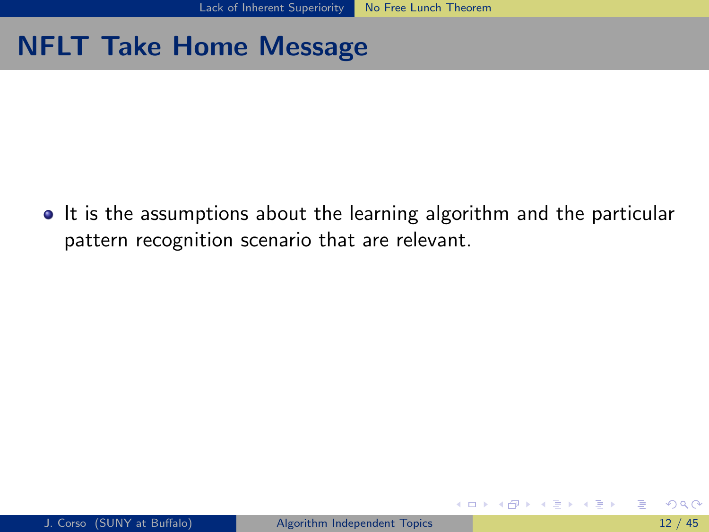## NFLT Take Home Message

• It is the assumptions about the learning algorithm and the particular pattern recognition scenario that are relevant.

**4 ロ ▶ 4 母 ▶ 4** 

<span id="page-32-0"></span>ヨメ メラメ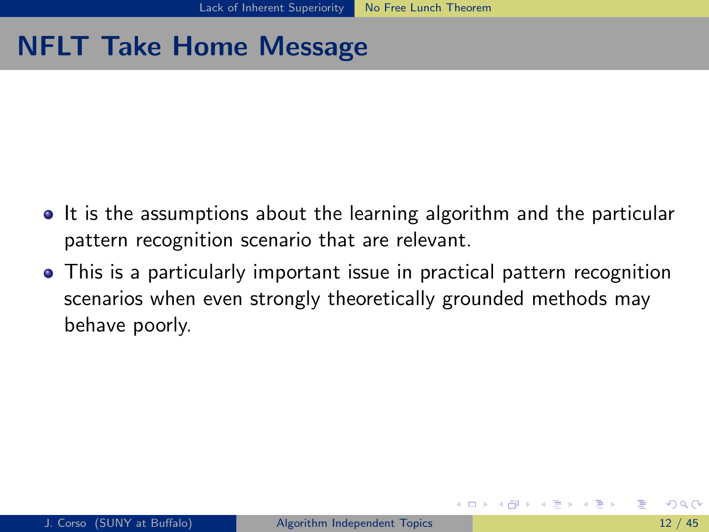## NFLT Take Home Message

- It is the assumptions about the learning algorithm and the particular pattern recognition scenario that are relevant.
- <span id="page-33-0"></span>This is a particularly important issue in practical pattern recognition scenarios when even strongly theoretically grounded methods may behave poorly.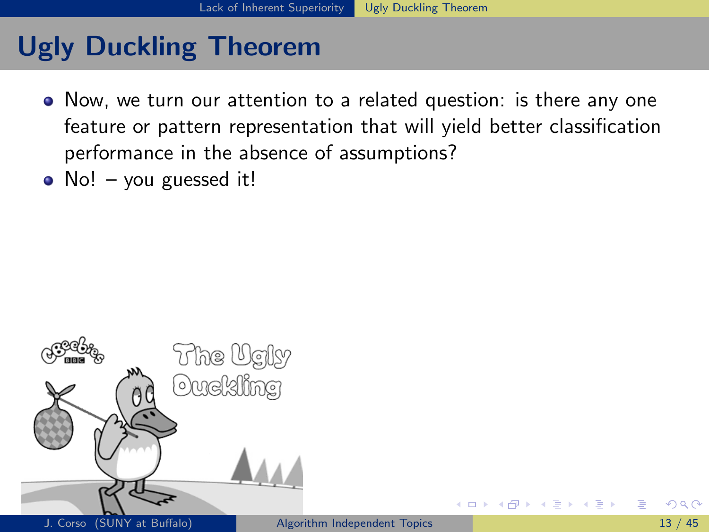# Ugly Duckling Theorem

- Now, we turn our attention to a related question: is there any one feature or pattern representation that will yield better classification performance in the absence of assumptions?
- No! you guessed it!



<span id="page-34-0"></span>4 D F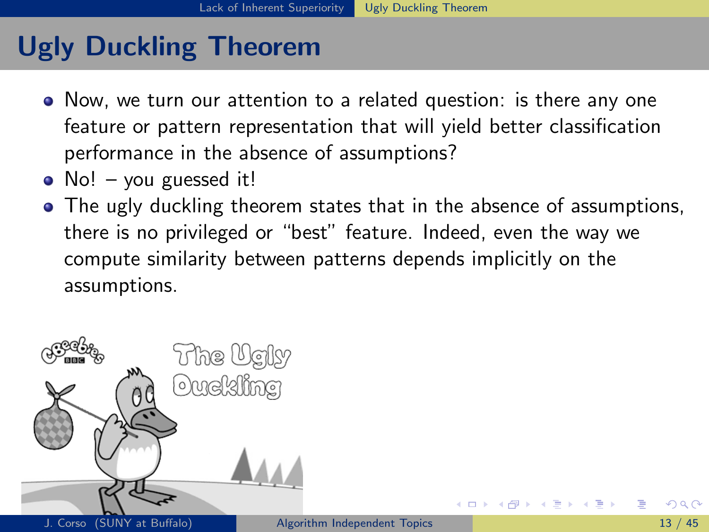# Ugly Duckling Theorem

- Now, we turn our attention to a related question: is there any one feature or pattern representation that will yield better classification performance in the absence of assumptions?
- No! you guessed it!
- The ugly duckling theorem states that in the absence of assumptions, there is no privileged or "best" feature. Indeed, even the way we compute similarity between patterns depends implicitly on the assumptions.



<span id="page-35-0"></span>4 D F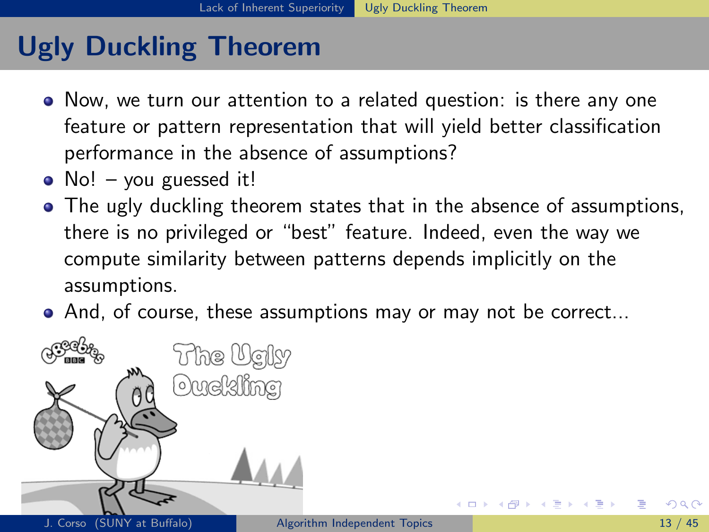- Now, we turn our attention to a related question: is there any one feature or pattern representation that will yield better classification performance in the absence of assumptions?
- No! you guessed it!
- The ugly duckling theorem states that in the absence of assumptions, there is no privileged or "best" feature. Indeed, even the way we compute similarity between patterns depends implicitly on the assumptions.
- And, of course, these assumptions may or may not be correct...



<span id="page-36-0"></span>∢ □ ▶ ⊣ n □ ▶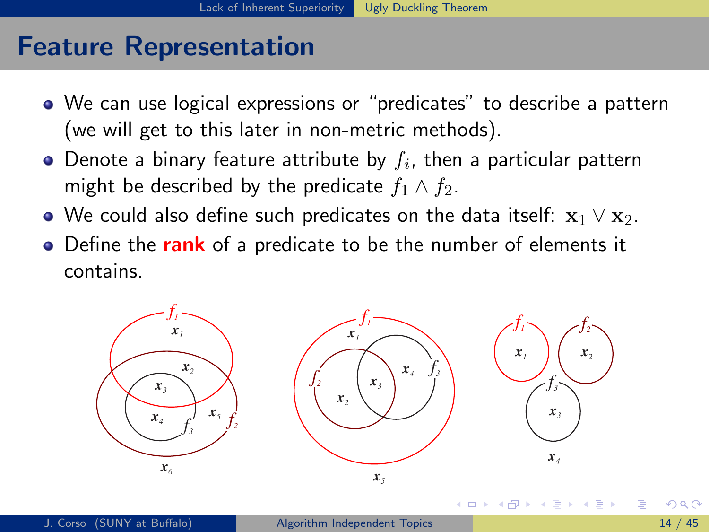## Feature Representation

- We can use logical expressions or "predicates" to describe a pattern (we will get to this later in non-metric methods).
- Denote a binary feature attribute by  $f_i$ , then a particular pattern might be described by the predicate  $f_1 \wedge f_2$ .
- $\bullet$  We could also define such predicates on the data itself:  $\mathbf{x}_1 \vee \mathbf{x}_2$ .
- Define the rank of a predicate to be the number of elements it contains.

<span id="page-37-0"></span>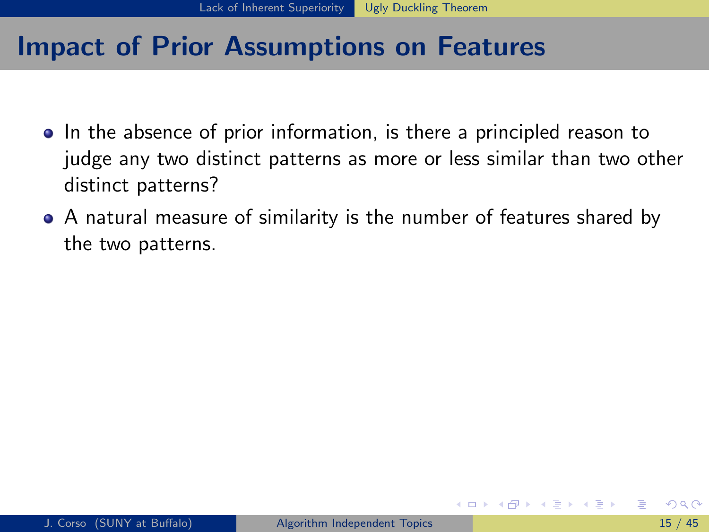- In the absence of prior information, is there a principled reason to judge any two distinct patterns as more or less similar than two other distinct patterns?
- <span id="page-38-0"></span>A natural measure of similarity is the number of features shared by the two patterns.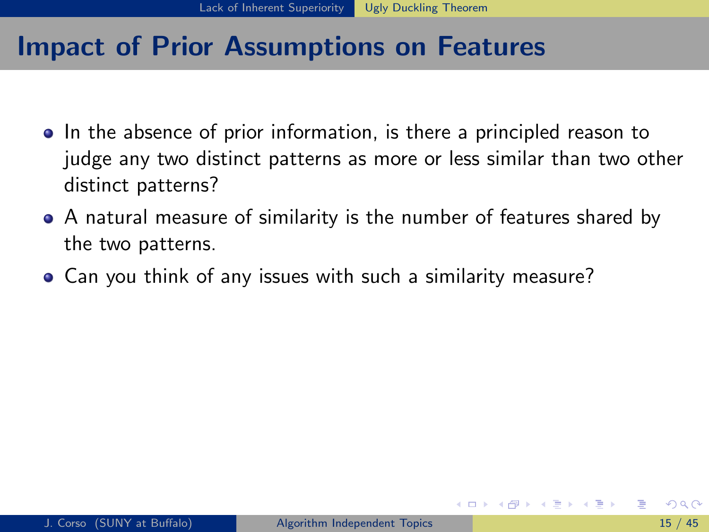- In the absence of prior information, is there a principled reason to judge any two distinct patterns as more or less similar than two other distinct patterns?
- A natural measure of similarity is the number of features shared by the two patterns.
- <span id="page-39-0"></span>Can you think of any issues with such a similarity measure?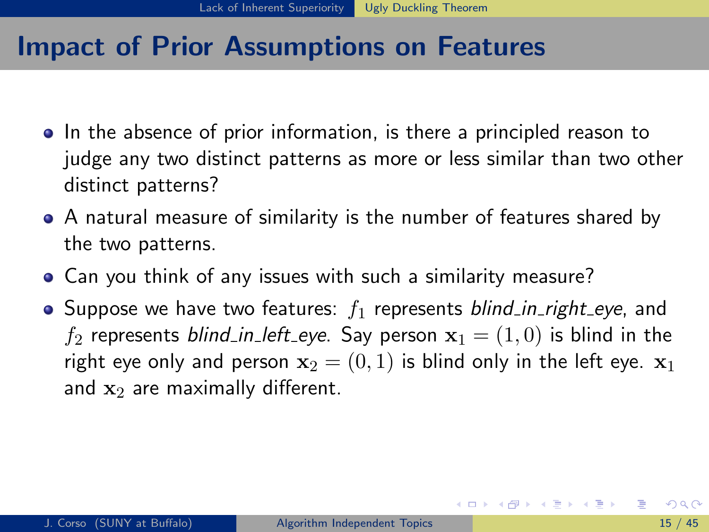- In the absence of prior information, is there a principled reason to judge any two distinct patterns as more or less similar than two other distinct patterns?
- A natural measure of similarity is the number of features shared by the two patterns.
- Can you think of any issues with such a similarity measure?
- Suppose we have two features:  $f_1$  represents blind in right eye, and  $f_2$  represents blind in left eye. Say person  $x_1 = (1, 0)$  is blind in the right eye only and person  $x_2 = (0, 1)$  is blind only in the left eye.  $x_1$ and  $x_2$  are maximally different.

<span id="page-40-0"></span>イロト イ押ト イヨト イヨトー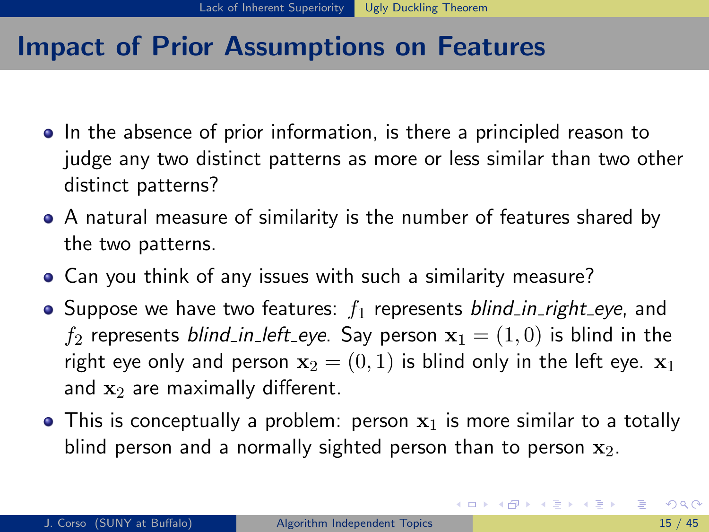- In the absence of prior information, is there a principled reason to judge any two distinct patterns as more or less similar than two other distinct patterns?
- A natural measure of similarity is the number of features shared by the two patterns.
- Can you think of any issues with such a similarity measure?
- Suppose we have two features:  $f_1$  represents blind in right eye, and  $f_2$  represents blind in left eye. Say person  $x_1 = (1, 0)$  is blind in the right eye only and person  $x_2 = (0, 1)$  is blind only in the left eye.  $x_1$ and  $x_2$  are maximally different.
- This is conceptually a problem: person  $x_1$  is more similar to a totally blind person and a normally sighted person than to person  $x_2$ .

<span id="page-41-0"></span>イロト イ母 トイヨ トイヨ トー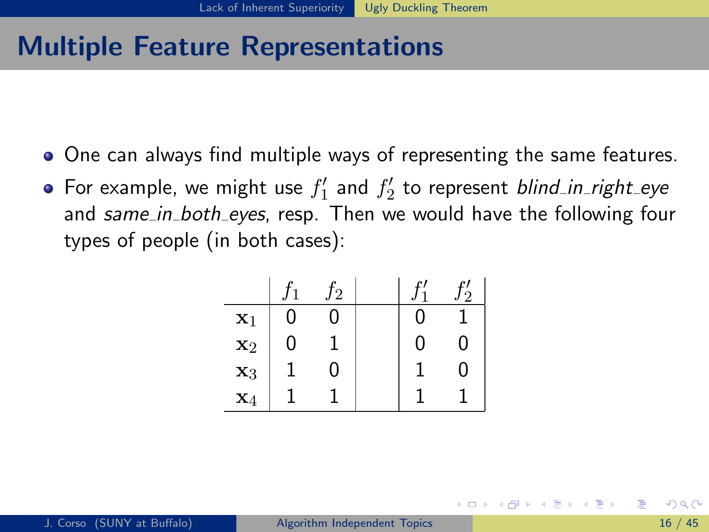## Multiple Feature Representations

- One can always find multiple ways of representing the same features.
- For example, we might use  $f_1'$  and  $f_2'$  to represent *blind\_in\_right\_eye* and same in both eyes, resp. Then we would have the following four types of people (in both cases):

|                |   | 2 |   | 2 |
|----------------|---|---|---|---|
| $\mathbf{x}_1$ | ი | 0 | 0 |   |
| $\mathbf{x}_2$ | O |   | 0 | 0 |
| $\mathbf{x}_3$ |   | Λ |   | 0 |
| $\mathbf{x}_4$ |   |   |   |   |

<span id="page-42-0"></span>イロト イ母 トイヨ トイヨ トー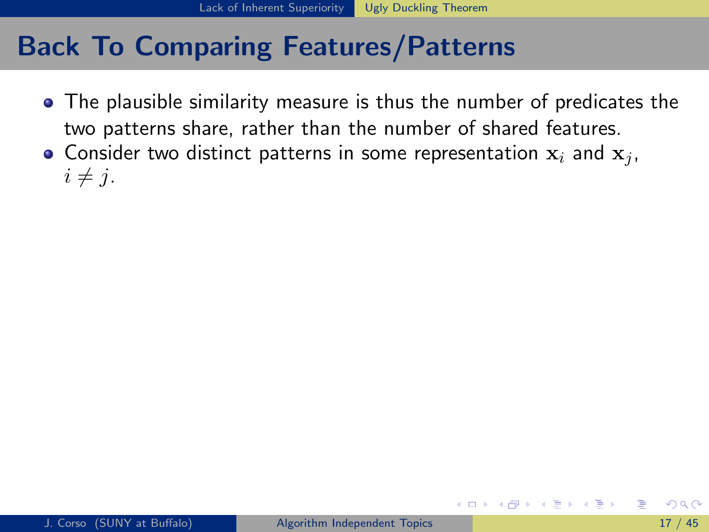- The plausible similarity measure is thus the number of predicates the two patterns share, rather than the number of shared features.
- Consider two distinct patterns in some representation  $x_i$  and  $x_j$ ,  $i \neq j$ .

<span id="page-43-0"></span>イロト イ押ト イヨト イヨト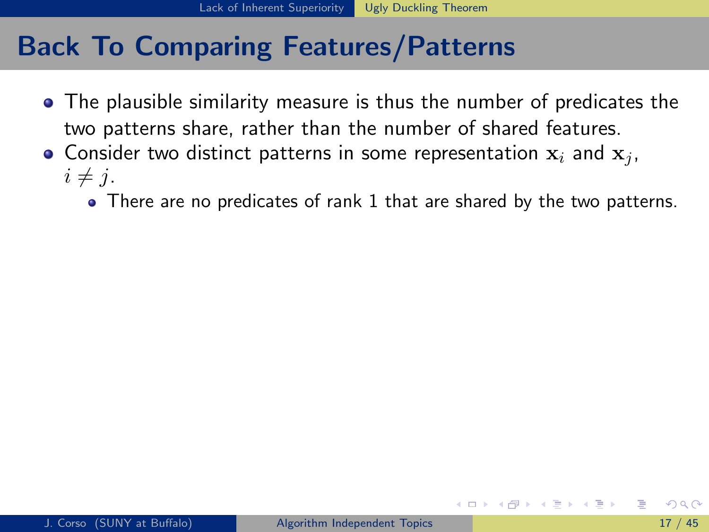- The plausible similarity measure is thus the number of predicates the two patterns share, rather than the number of shared features.
- <span id="page-44-0"></span>• Consider two distinct patterns in some representation  $x_i$  and  $x_j$ ,  $i \neq j$ .
	- There are no predicates of rank 1 that are shared by the two patterns.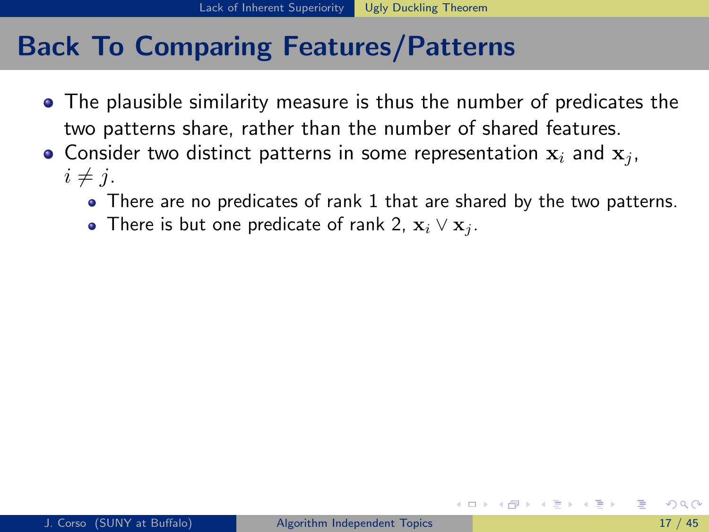- The plausible similarity measure is thus the number of predicates the two patterns share, rather than the number of shared features.
- Consider two distinct patterns in some representation  $x_i$  and  $x_j$ ,  $i \neq j$ .
	- There are no predicates of rank 1 that are shared by the two patterns.
	- There is but one predicate of rank 2,  $\mathbf{x}_i \vee \mathbf{x}_j$ .

<span id="page-45-0"></span>イロト イ押ト イヨト イヨト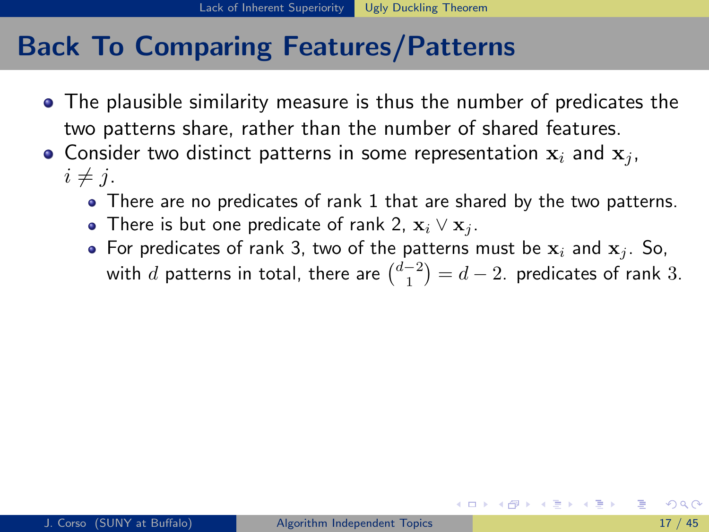- The plausible similarity measure is thus the number of predicates the two patterns share, rather than the number of shared features.
- Consider two distinct patterns in some representation  $x_i$  and  $x_j$ ,  $i \neq j$ .
	- There are no predicates of rank 1 that are shared by the two patterns.
	- There is but one predicate of rank 2,  $\mathbf{x}_i \vee \mathbf{x}_j$ .
	- For predicates of rank 3, two of the patterns must be  $x_i$  and  $x_j$ . So, with  $d$  patterns in total, there are  $\binom{d-2}{1}=d-2.$  predicates of rank  $3.$

<span id="page-46-0"></span>イロト イ母 ト イヨ ト イヨ トー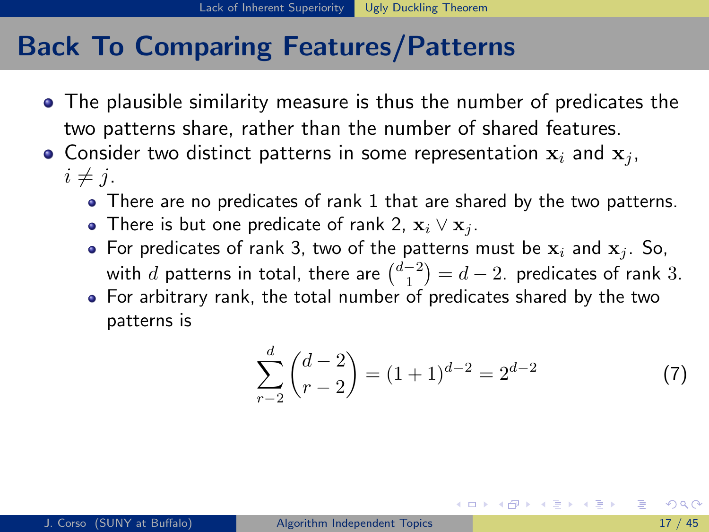- The plausible similarity measure is thus the number of predicates the two patterns share, rather than the number of shared features.
- Consider two distinct patterns in some representation  $x_i$  and  $x_j$ ,  $i \neq j$ .
	- There are no predicates of rank 1 that are shared by the two patterns.
	- There is but one predicate of rank 2,  $\mathbf{x}_i \vee \mathbf{x}_j$ .
	- For predicates of rank 3, two of the patterns must be  $x_i$  and  $x_j$ . So, with  $d$  patterns in total, there are  $\binom{d-2}{1}=d-2.$  predicates of rank 3.
	- For arbitrary rank, the total number of predicates shared by the two patterns is

$$
\sum_{r=2}^{d} {d-2 \choose r-2} = (1+1)^{d-2} = 2^{d-2}
$$
 (7)

<span id="page-47-0"></span>イロト イ何 トイヨ トイヨ トー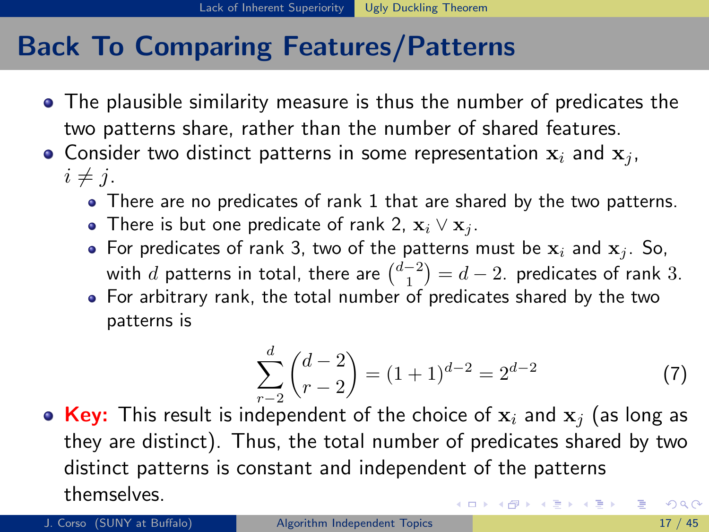- The plausible similarity measure is thus the number of predicates the two patterns share, rather than the number of shared features.
- Consider two distinct patterns in some representation  $x_i$  and  $x_j$ ,  $i \neq j$ .
	- There are no predicates of rank 1 that are shared by the two patterns.
	- There is but one predicate of rank 2,  $\mathbf{x}_i \vee \mathbf{x}_j$ .
	- For predicates of rank 3, two of the patterns must be  $x_i$  and  $x_j$ . So, with  $d$  patterns in total, there are  $\binom{d-2}{1}=d-2.$  predicates of rank 3.
	- For arbitrary rank, the total number of predicates shared by the two patterns is

<span id="page-48-0"></span>
$$
\sum_{r=2}^{d} {d-2 \choose r-2} = (1+1)^{d-2} = 2^{d-2}
$$
 (7)

• Key: This result is independent of the choice of  $x_i$  and  $x_j$  (as long as they are distinct). Thus, the total number of predicates shared by two distinct patterns is constant and independent of the patterns themselves. イロメ イ部メ イ君メ イ君メー  $\Omega$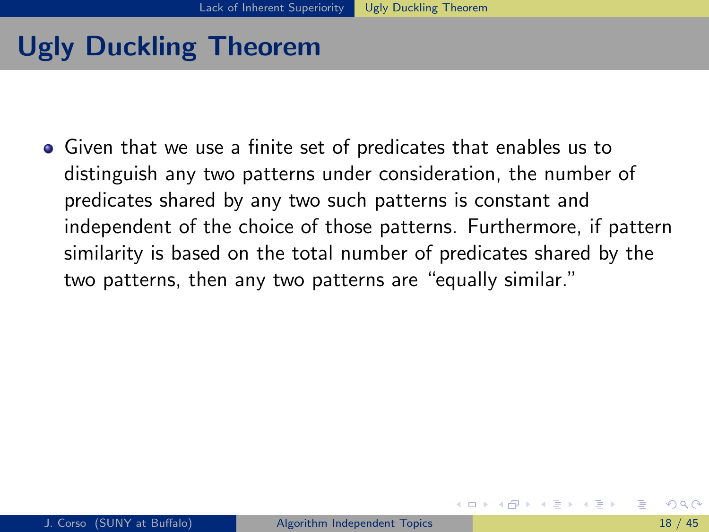Given that we use a finite set of predicates that enables us to distinguish any two patterns under consideration, the number of predicates shared by any two such patterns is constant and independent of the choice of those patterns. Furthermore, if pattern similarity is based on the total number of predicates shared by the two patterns, then any two patterns are "equally similar."

<span id="page-49-0"></span>イロト イ押ト イヨト イヨト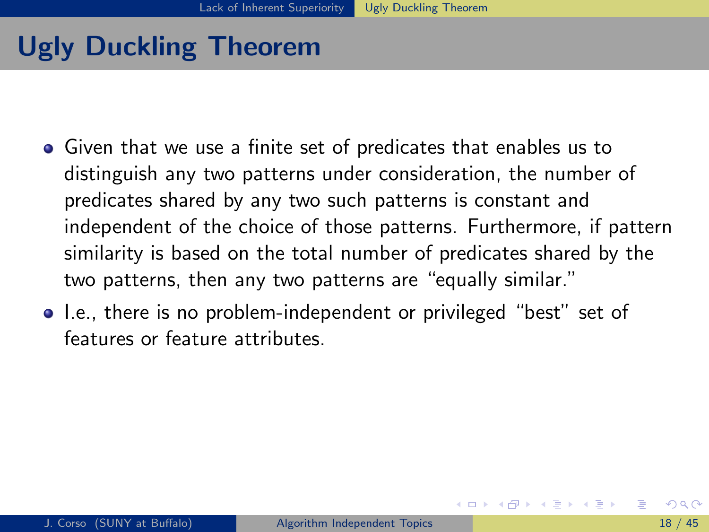- Given that we use a finite set of predicates that enables us to distinguish any two patterns under consideration, the number of predicates shared by any two such patterns is constant and independent of the choice of those patterns. Furthermore, if pattern similarity is based on the total number of predicates shared by the two patterns, then any two patterns are "equally similar."
- I.e., there is no problem-independent or privileged "best" set of features or feature attributes.

<span id="page-50-0"></span>イロト イ押ト イヨト イヨト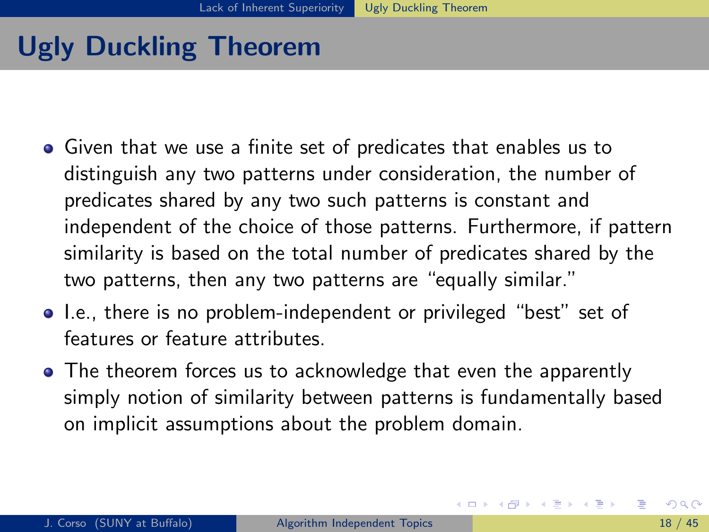- Given that we use a finite set of predicates that enables us to distinguish any two patterns under consideration, the number of predicates shared by any two such patterns is constant and independent of the choice of those patterns. Furthermore, if pattern similarity is based on the total number of predicates shared by the two patterns, then any two patterns are "equally similar."
- I.e., there is no problem-independent or privileged "best" set of features or feature attributes.
- The theorem forces us to acknowledge that even the apparently simply notion of similarity between patterns is fundamentally based on implicit assumptions about the problem domain.

<span id="page-51-0"></span>イロト イ押 トイヨ トイヨ トー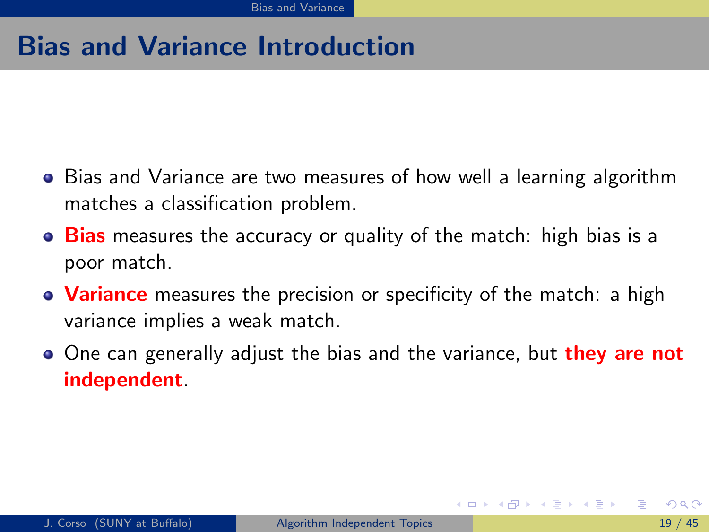## Bias and Variance Introduction

- Bias and Variance are two measures of how well a learning algorithm matches a classification problem.
- Bias measures the accuracy or quality of the match: high bias is a poor match.
- Variance measures the precision or specificity of the match: a high variance implies a weak match.
- <span id="page-52-0"></span>• One can generally adjust the bias and the variance, but they are not independent.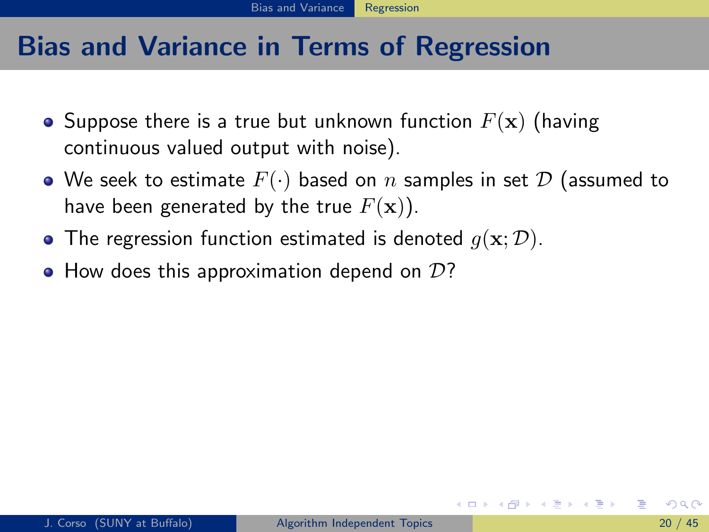## Bias and Variance in Terms of Regression

- Suppose there is a true but unknown function  $F(\mathbf{x})$  (having continuous valued output with noise).
- We seek to estimate  $F(\cdot)$  based on n samples in set  $D$  (assumed to have been generated by the true  $F(\mathbf{x})$ ).
- The regression function estimated is denoted  $q(\mathbf{x}; \mathcal{D})$ .
- <span id="page-53-0"></span> $\bullet$  How does this approximation depend on  $\mathcal{D}$ ?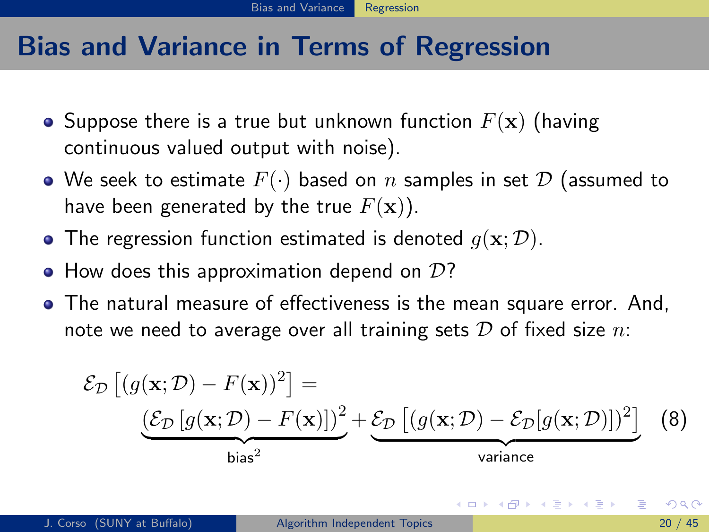## Bias and Variance in Terms of Regression

- Suppose there is a true but unknown function  $F(\mathbf{x})$  (having continuous valued output with noise).
- We seek to estimate  $F(\cdot)$  based on n samples in set  $D$  (assumed to have been generated by the true  $F(\mathbf{x})$ ).
- The regression function estimated is denoted  $q(\mathbf{x}; \mathcal{D})$ .
- $\bullet$  How does this approximation depend on  $\mathcal{D}$ ?
- The natural measure of effectiveness is the mean square error. And, note we need to average over all training sets  $D$  of fixed size  $n$ .

<span id="page-54-0"></span>
$$
\mathcal{E}_{\mathcal{D}}\left[ (g(\mathbf{x}; \mathcal{D}) - F(\mathbf{x}))^2 \right] = \underbrace{\left( \mathcal{E}_{\mathcal{D}}\left[ g(\mathbf{x}; \mathcal{D}) - F(\mathbf{x}) \right] \right)^2}_{\text{bias}^2} + \underbrace{\mathcal{E}_{\mathcal{D}}\left[ (g(\mathbf{x}; \mathcal{D}) - \mathcal{E}_{\mathcal{D}}[g(\mathbf{x}; \mathcal{D})])^2 \right]}_{\text{variance}} \quad (8)
$$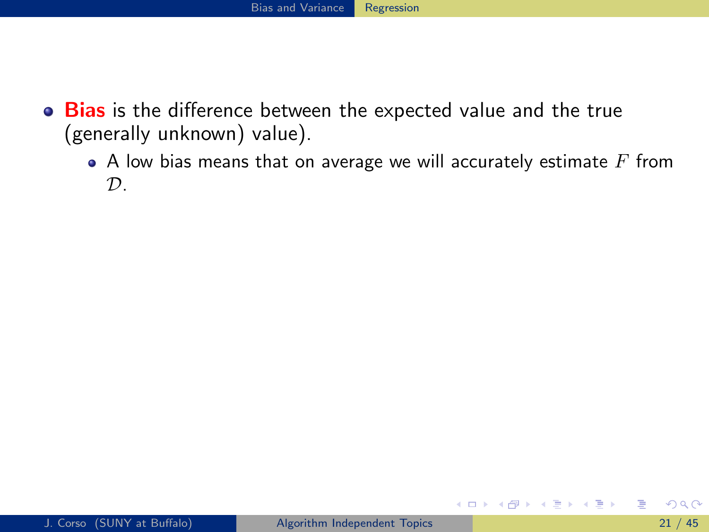- Bias is the difference between the expected value and the true (generally unknown) value).
	- $\bullet$  A low bias means that on average we will accurately estimate  $F$  from  $\mathcal{D}$ .

<span id="page-55-0"></span>(□) (母)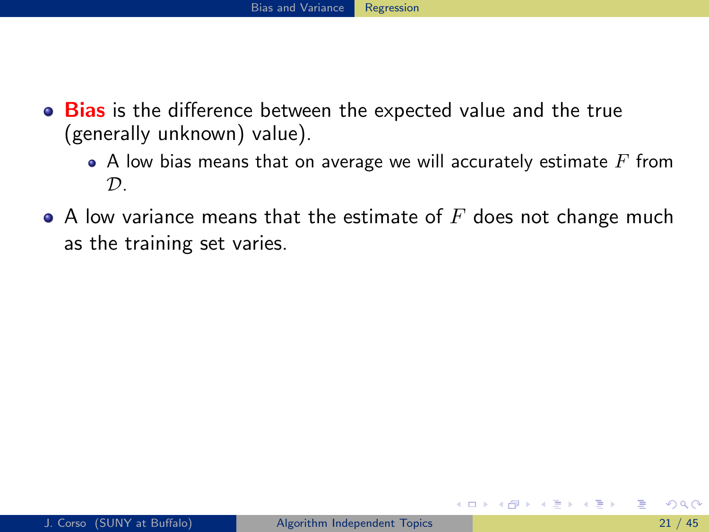- Bias is the difference between the expected value and the true (generally unknown) value).
	- $\bullet$  A low bias means that on average we will accurately estimate  $F$  from  $\mathcal{D}$ .
- <span id="page-56-0"></span> $\bullet$  A low variance means that the estimate of  $F$  does not change much as the training set varies.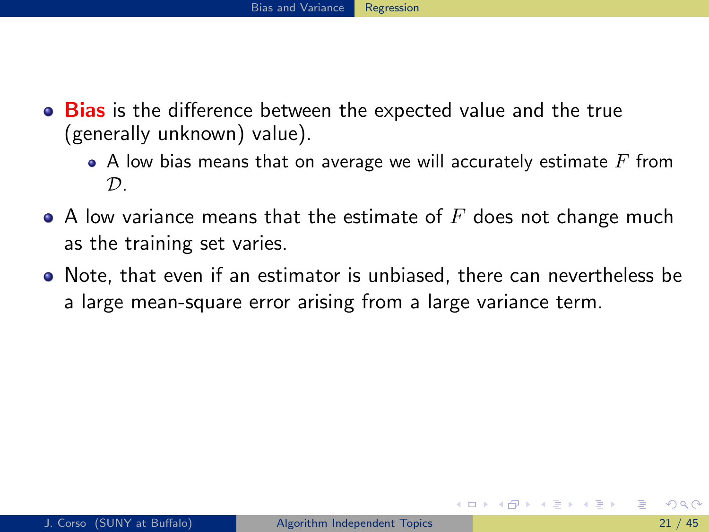- Bias is the difference between the expected value and the true (generally unknown) value).
	- $\bullet$  A low bias means that on average we will accurately estimate  $F$  from  $\mathcal{D}$
- $\bullet$  A low variance means that the estimate of  $F$  does not change much as the training set varies.
- <span id="page-57-0"></span>• Note, that even if an estimator is unbiased, there can nevertheless be a large mean-square error arising from a large variance term.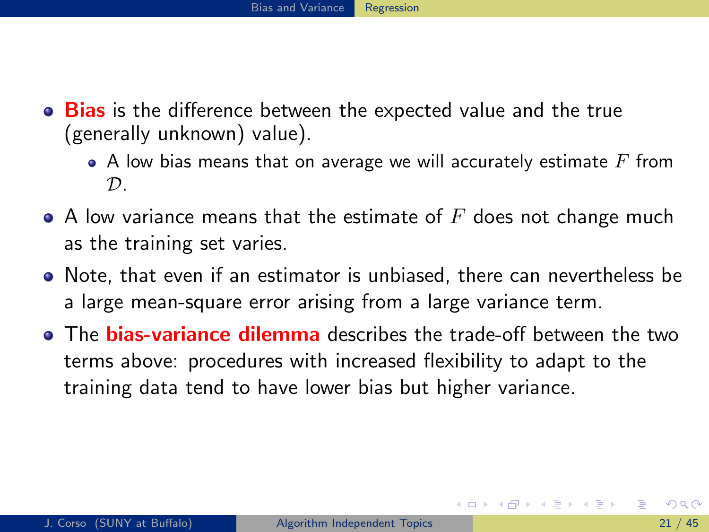- Bias is the difference between the expected value and the true (generally unknown) value).
	- A low bias means that on average we will accurately estimate  $F$  from  $\mathcal{D}$
- $\bullet$  A low variance means that the estimate of  $F$  does not change much as the training set varies.
- Note, that even if an estimator is unbiased, there can nevertheless be a large mean-square error arising from a large variance term.
- <span id="page-58-0"></span>• The **bias-variance dilemma** describes the trade-off between the two terms above: procedures with increased flexibility to adapt to the training data tend to have lower bias but higher variance.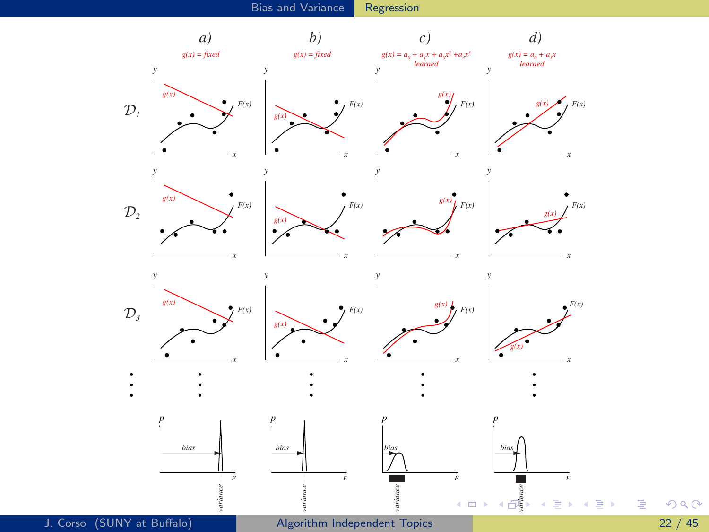

<span id="page-59-0"></span>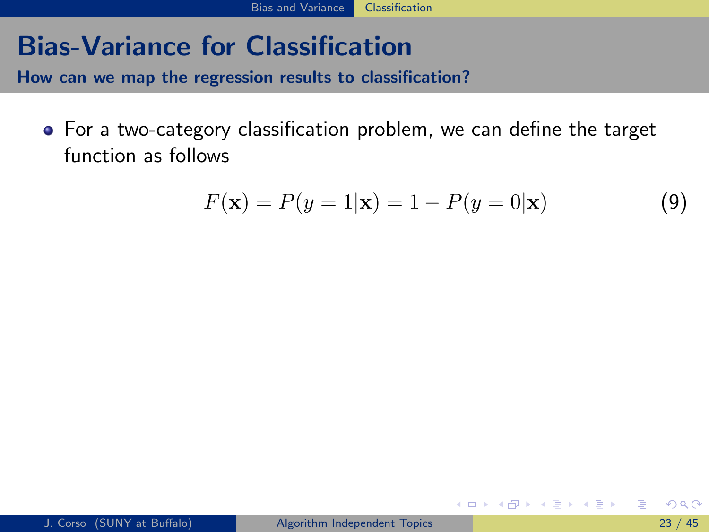## Bias-Variance for Classification

How can we map the regression results to classification?

For a two-category classification problem, we can define the target function as follows

$$
F(\mathbf{x}) = P(y = 1|\mathbf{x}) = 1 - P(y = 0|\mathbf{x})
$$
\n(9)

<span id="page-60-0"></span>ヨメ メラメ

∢ □ ▶ ⊣ *f*il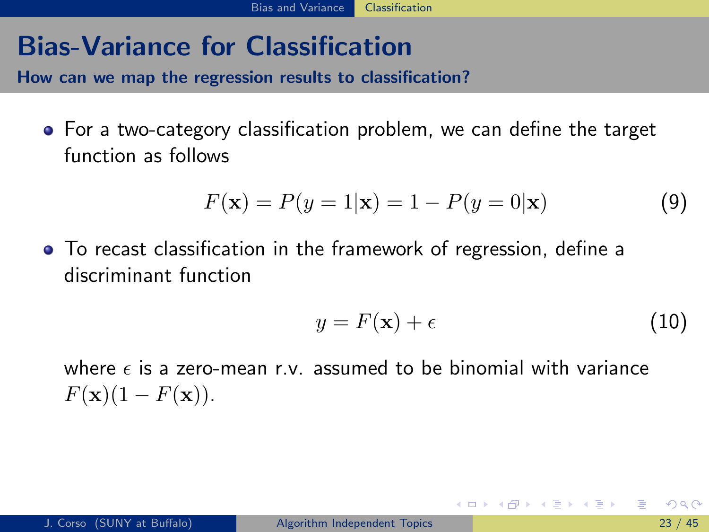## Bias-Variance for Classification

How can we map the regression results to classification?

For a two-category classification problem, we can define the target function as follows

$$
F(\mathbf{x}) = P(y = 1|\mathbf{x}) = 1 - P(y = 0|\mathbf{x})
$$
\n(9)

To recast classification in the framework of regression, define a discriminant function

$$
y = F(\mathbf{x}) + \epsilon \tag{10}
$$

<span id="page-61-0"></span>イロト イ母 ト イヨ ト イヨ トー

where  $\epsilon$  is a zero-mean r.v. assumed to be binomial with variance  $F(\mathbf{x})(1 - F(\mathbf{x})).$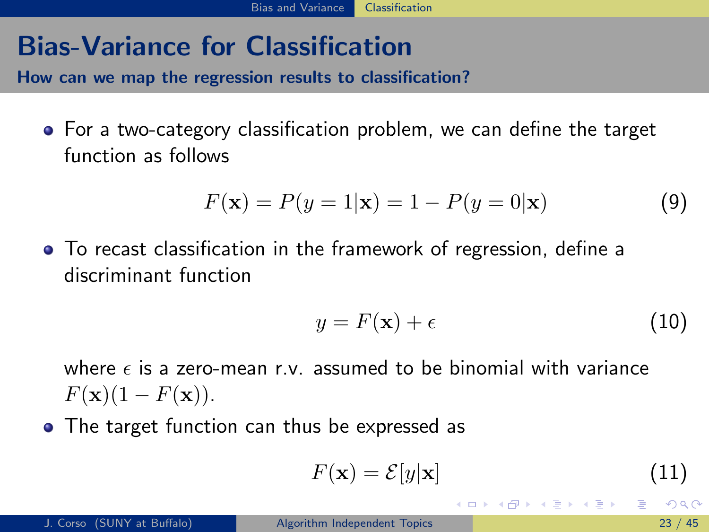## Bias-Variance for Classification

How can we map the regression results to classification?

For a two-category classification problem, we can define the target function as follows

$$
F(\mathbf{x}) = P(y = 1|\mathbf{x}) = 1 - P(y = 0|\mathbf{x})
$$
\n(9)

To recast classification in the framework of regression, define a discriminant function

$$
y = F(\mathbf{x}) + \epsilon \tag{10}
$$

where  $\epsilon$  is a zero-mean r.v. assumed to be binomial with variance  $F(\mathbf{x})(1 - F(\mathbf{x})).$ 

• The target function can thus be expressed as

$$
F(\mathbf{x}) = \mathcal{E}[y|\mathbf{x}] \tag{11}
$$

<span id="page-62-0"></span>イロメ イ何 メイヨメ イヨメーヨ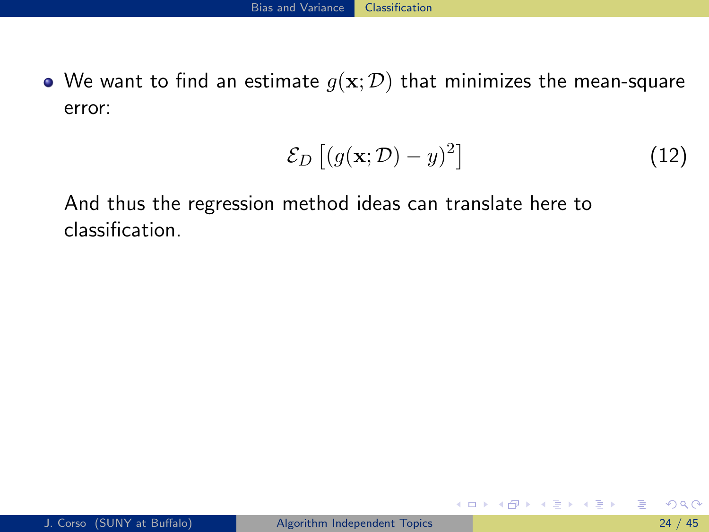• We want to find an estimate  $g(x; D)$  that minimizes the mean-square error:

$$
\mathcal{E}_D\left[ (g(\mathbf{x}; \mathcal{D}) - y)^2 \right] \tag{12}
$$

イロト イ母 トイヨ トイヨ トー

And thus the regression method ideas can translate here to classification.

<span id="page-63-0"></span>÷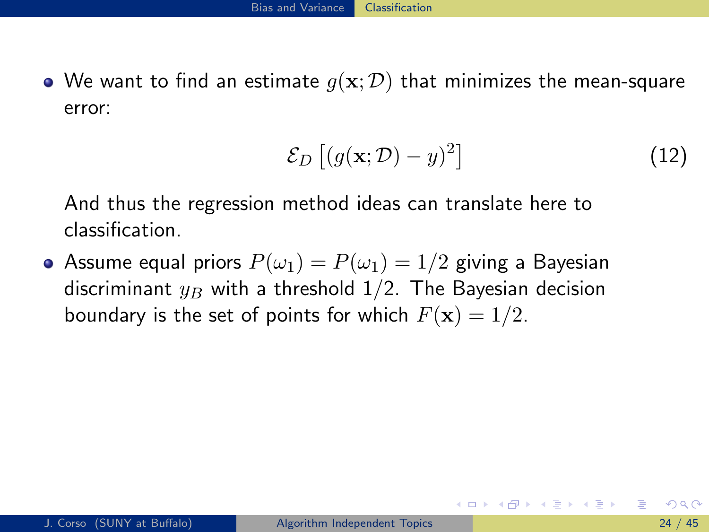• We want to find an estimate  $g(x; D)$  that minimizes the mean-square error:

<span id="page-64-0"></span>
$$
\mathcal{E}_D\left[ (g(\mathbf{x}; \mathcal{D}) - y)^2 \right] \tag{12}
$$

And thus the regression method ideas can translate here to classification.

• Assume equal priors  $P(\omega_1) = P(\omega_1) = 1/2$  giving a Bayesian discriminant  $y_B$  with a threshold 1/2. The Bayesian decision boundary is the set of points for which  $F(\mathbf{x}) = 1/2$ .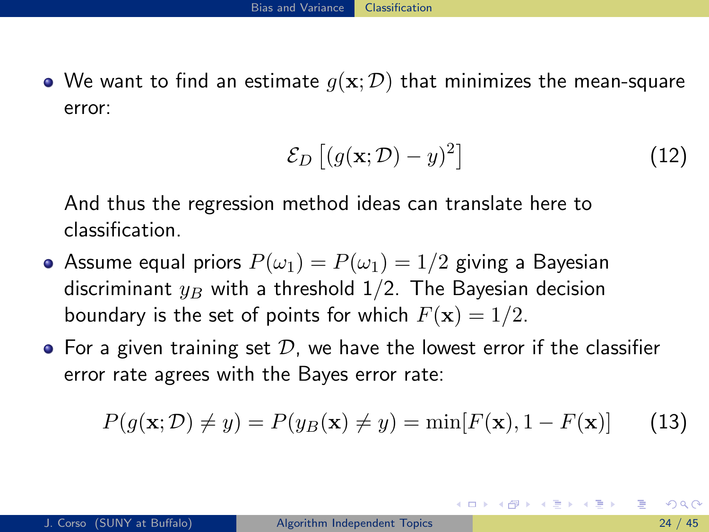• We want to find an estimate  $g(x; D)$  that minimizes the mean-square error:

<span id="page-65-0"></span>
$$
\mathcal{E}_D\left[ (g(\mathbf{x}; \mathcal{D}) - y)^2 \right] \tag{12}
$$

And thus the regression method ideas can translate here to classification.

- Assume equal priors  $P(\omega_1) = P(\omega_1) = 1/2$  giving a Bayesian discriminant  $y_B$  with a threshold 1/2. The Bayesian decision boundary is the set of points for which  $F(\mathbf{x}) = 1/2$ .
- $\bullet$  For a given training set  $D$ , we have the lowest error if the classifier error rate agrees with the Bayes error rate:

$$
P(g(\mathbf{x}; \mathcal{D}) \neq y) = P(y_B(\mathbf{x}) \neq y) = \min[F(\mathbf{x}), 1 - F(\mathbf{x})]
$$
(13)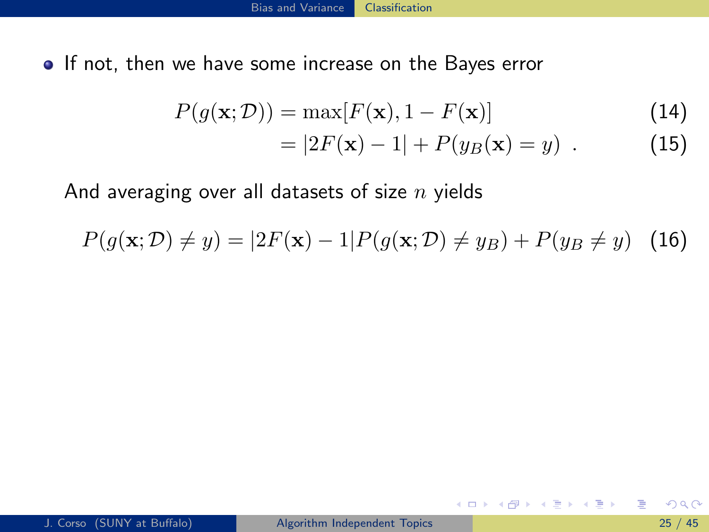• If not, then we have some increase on the Bayes error

$$
P(g(\mathbf{x}; \mathcal{D})) = \max[F(\mathbf{x}), 1 - F(\mathbf{x})]
$$
\n(14)

$$
=|2F(\mathbf{x})-1|+P(y_B(\mathbf{x})=y) . \t(15)
$$

**4 ロト 4 何 ト** 

ミメスミメ

And averaging over all datasets of size  $n$  yields

$$
P(g(\mathbf{x}; \mathcal{D}) \neq y) = |2F(\mathbf{x}) - 1| P(g(\mathbf{x}; \mathcal{D}) \neq y_B) + P(y_B \neq y) \quad (16)
$$

<span id="page-66-0"></span>目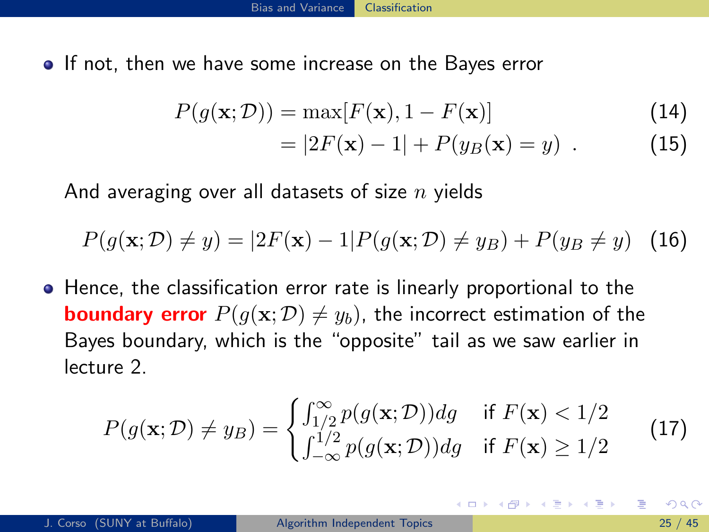• If not, then we have some increase on the Bayes error

$$
P(g(\mathbf{x}; \mathcal{D})) = \max[F(\mathbf{x}), 1 - F(\mathbf{x})]
$$
\n(14)

<span id="page-67-0"></span>
$$
=|2F(\mathbf{x})-1|+P(y_B(\mathbf{x})=y) . \t(15)
$$

And averaging over all datasets of size  $n$  yields

$$
P(g(\mathbf{x}; \mathcal{D}) \neq y) = |2F(\mathbf{x}) - 1| P(g(\mathbf{x}; \mathcal{D}) \neq y_B) + P(y_B \neq y) \quad (16)
$$

**•** Hence, the classification error rate is linearly proportional to the **boundary error**  $P(g(\mathbf{x}; \mathcal{D}) \neq y_b)$ , the incorrect estimation of the Bayes boundary, which is the "opposite" tail as we saw earlier in lecture 2.

$$
P(g(\mathbf{x}; \mathcal{D}) \neq y_B) = \begin{cases} \int_{1/2}^{\infty} p(g(\mathbf{x}; \mathcal{D})) dg & \text{if } F(\mathbf{x}) < 1/2\\ \int_{-\infty}^{1/2} p(g(\mathbf{x}; \mathcal{D})) dg & \text{if } F(\mathbf{x}) \ge 1/2 \end{cases}
$$
(17)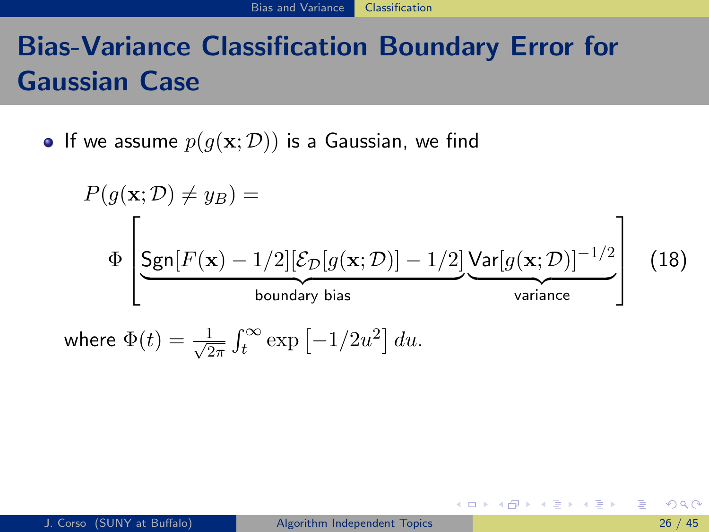# Bias-Variance Classification Boundary Error for Gaussian Case

• If we assume  $p(g(\mathbf{x}; \mathcal{D}))$  is a Gaussian, we find

$$
P(g(\mathbf{x}; \mathcal{D}) \neq y_B) =
$$
\n
$$
\Phi \left[ \underbrace{\text{Sgn}[F(\mathbf{x}) - 1/2][\mathcal{E}_{\mathcal{D}}[g(\mathbf{x}; \mathcal{D})] - 1/2]}_{\text{boundary bias}} \underbrace{\text{Var}[g(\mathbf{x}; \mathcal{D})]^{-1/2}}_{\text{variance}} \right] (18)
$$
\nwhere 
$$
\Phi(t) = \frac{1}{\sqrt{2\pi}} \int_{t}^{\infty} \exp[-1/2u^{2}] du.
$$

<span id="page-68-0"></span>K ロ ▶ K 個 ▶ K 로 ▶ K 로 ▶ 『로 『 YO Q @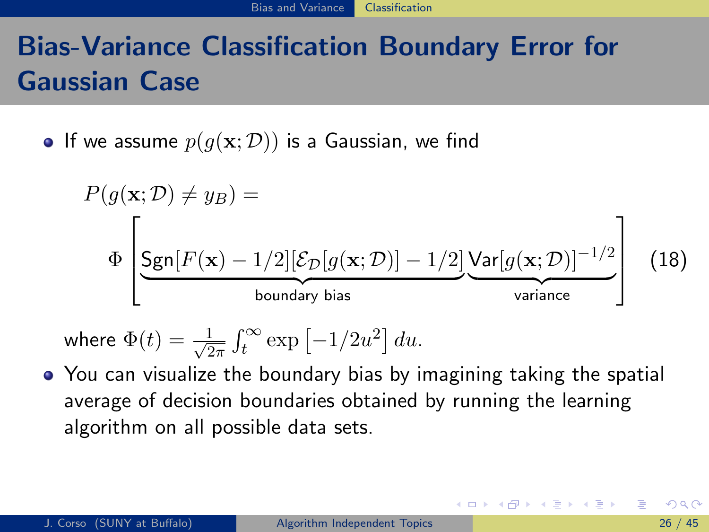# Bias-Variance Classification Boundary Error for Gaussian Case

• If we assume  $p(g(\mathbf{x}; \mathcal{D}))$  is a Gaussian, we find

$$
P(g(\mathbf{x}; \mathcal{D}) \neq y_B) =
$$
\n
$$
\Phi \left[ \underbrace{\text{Sgn}[F(\mathbf{x}) - 1/2][\mathcal{E}_{\mathcal{D}}[g(\mathbf{x}; \mathcal{D})] - 1/2]}_{\text{boundary bias}} \underbrace{\text{Var}[g(\mathbf{x}; \mathcal{D})]^{-1/2}}_{\text{variance}} \right] (18)
$$

<span id="page-69-0"></span>where 
$$
\Phi(t) = \frac{1}{\sqrt{2\pi}} \int_t^{\infty} \exp[-1/2u^2] du
$$
.

You can visualize the boundary bias by imagining taking the spatial average of decision boundaries obtained by running the learning algorithm on all possible data sets.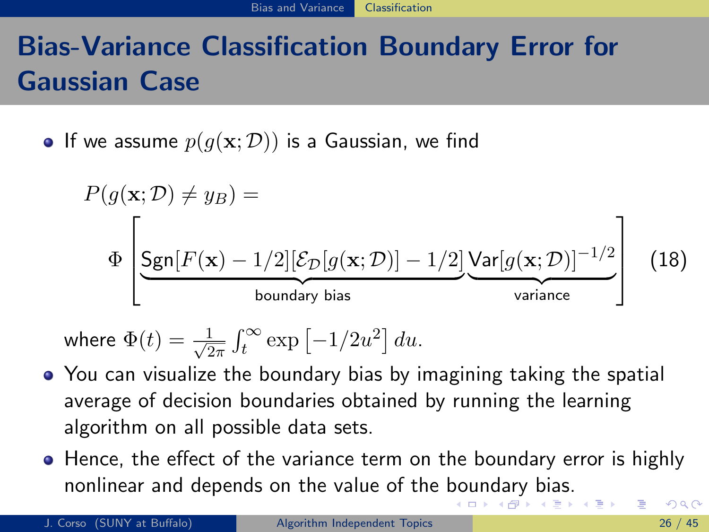# Bias-Variance Classification Boundary Error for Gaussian Case

• If we assume  $p(g(\mathbf{x}; \mathcal{D}))$  is a Gaussian, we find

$$
P(g(\mathbf{x}; \mathcal{D}) \neq y_B) =
$$
\n
$$
\Phi \left[ \underbrace{\text{Sgn}[F(\mathbf{x}) - 1/2][\mathcal{E}_{\mathcal{D}}[g(\mathbf{x}; \mathcal{D})] - 1/2]}_{\text{boundary bias}} \underbrace{\text{Var}[g(\mathbf{x}; \mathcal{D})]^{-1/2}}_{\text{variance}} \right] (18)
$$

where 
$$
\Phi(t) = \frac{1}{\sqrt{2\pi}} \int_t^{\infty} \exp[-1/2u^2] du
$$
.

- You can visualize the boundary bias by imagining taking the spatial average of decision boundaries obtained by running the learning algorithm on all possible data sets.
- Hence, the effect of the variance term on the boundary error is highly nonlinear and depends on the value of the [bo](#page-69-0)[un](#page-71-0)[d](#page-67-0)[a](#page-68-0)[ry](#page-70-0) [b](#page-59-0)[ia](#page-60-0)[s](#page-75-0)[.](#page-76-0)

<span id="page-70-0"></span> $\Omega$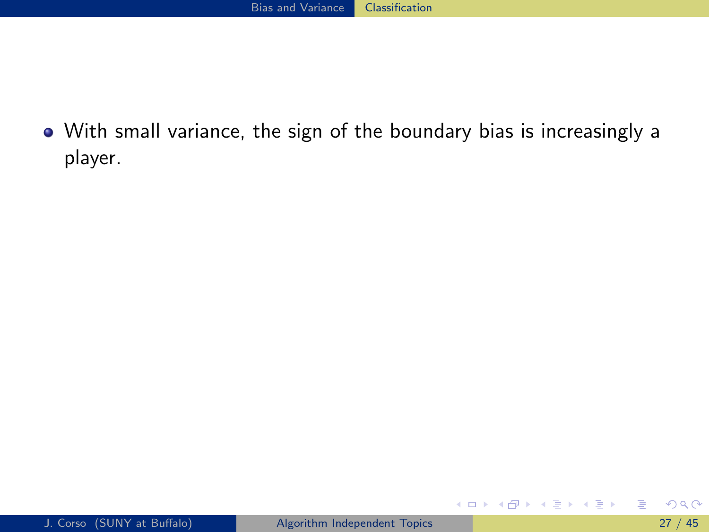With small variance, the sign of the boundary bias is increasingly a player.

<span id="page-71-0"></span>目

イロト イ部 トイヨ トイヨト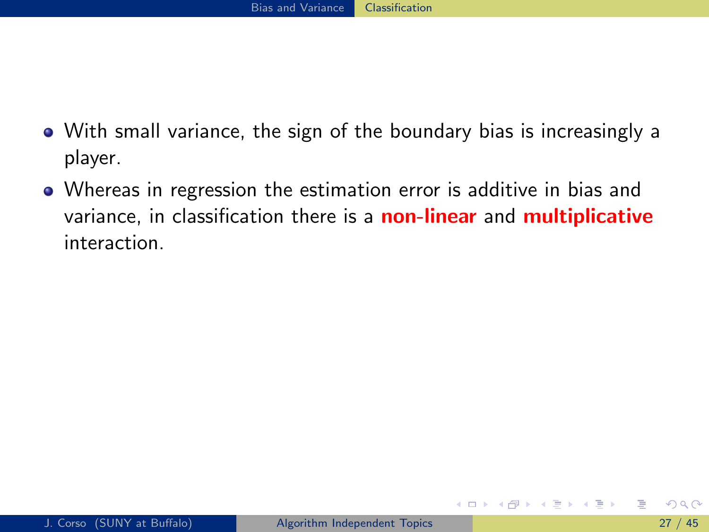- With small variance, the sign of the boundary bias is increasingly a player.
- Whereas in regression the estimation error is additive in bias and variance, in classification there is a **non-linear** and **multiplicative** interaction.

<span id="page-72-0"></span>ミメスミメ

4 D F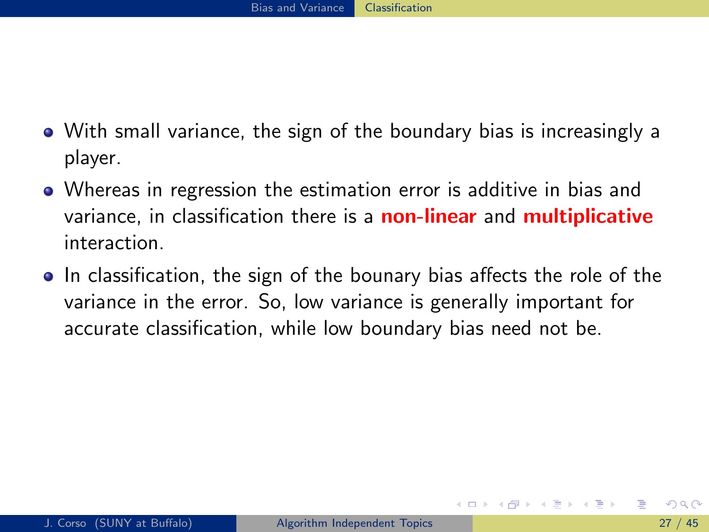- With small variance, the sign of the boundary bias is increasingly a player.
- Whereas in regression the estimation error is additive in bias and variance, in classification there is a **non-linear** and **multiplicative** interaction.
- <span id="page-73-0"></span>• In classification, the sign of the bounary bias affects the role of the variance in the error. So, low variance is generally important for accurate classification, while low boundary bias need not be.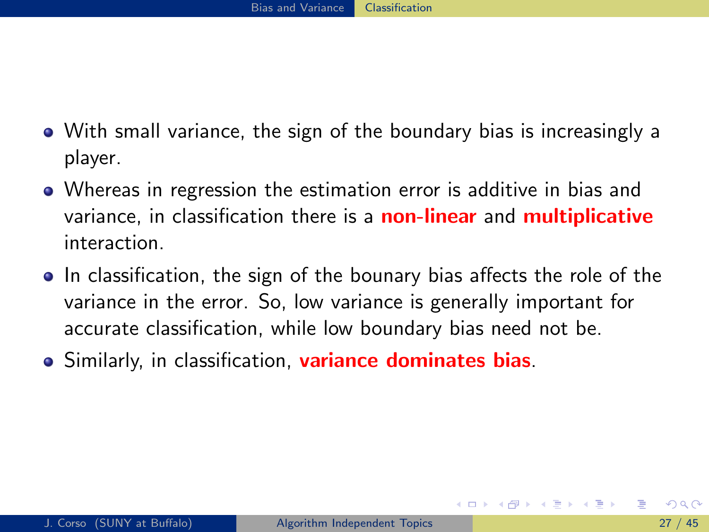- With small variance, the sign of the boundary bias is increasingly a player.
- Whereas in regression the estimation error is additive in bias and variance, in classification there is a **non-linear** and **multiplicative** interaction.
- In classification, the sign of the bounary bias affects the role of the variance in the error. So, low variance is generally important for accurate classification, while low boundary bias need not be.
- <span id="page-74-0"></span>**.** Similarly, in classification, **variance dominates bias**.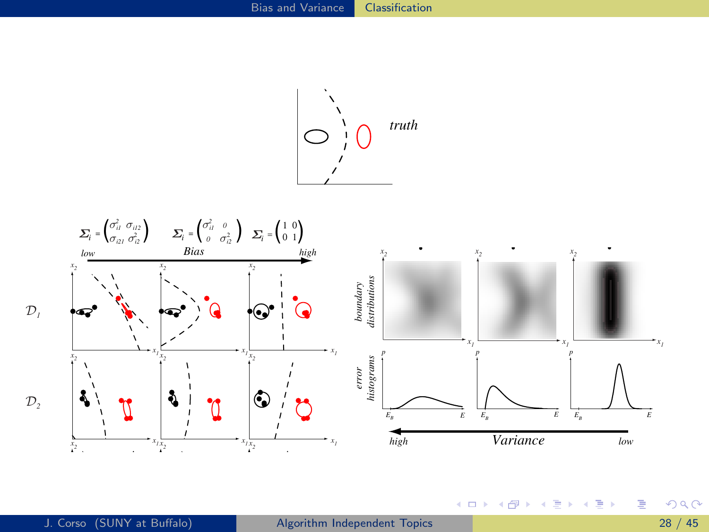

<span id="page-75-0"></span>

and the Bayes decision boundary. T[he n](#page-74-0)i[ne](#page-76-0) [fi](#page-74-0)[gu](#page-75-0)[re](#page-76-0)[s](#page-59-0) [in](#page-60-0) [t](#page-75-0)[he](#page-76-0)[m](#page-52-0)[id](#page-123-0)[d](#page-124-0)[le s](#page-0-0)[how](#page-132-0) different learned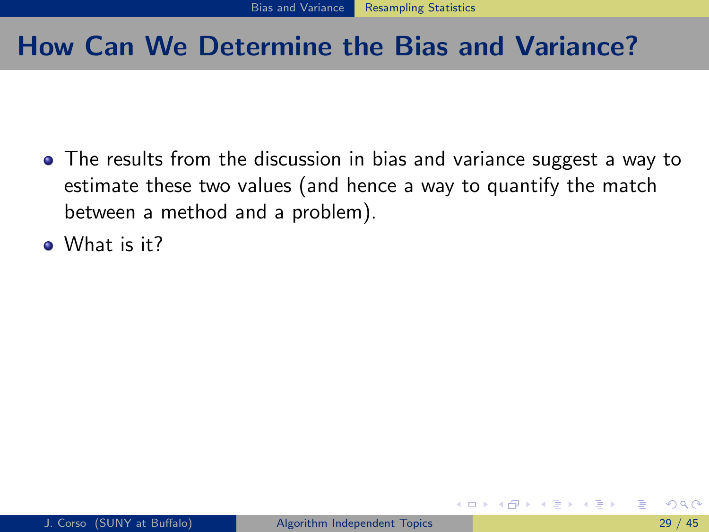## How Can We Determine the Bias and Variance?

- The results from the discussion in bias and variance suggest a way to estimate these two values (and hence a way to quantify the match between a method and a problem).
- <span id="page-76-0"></span>**O** What is it?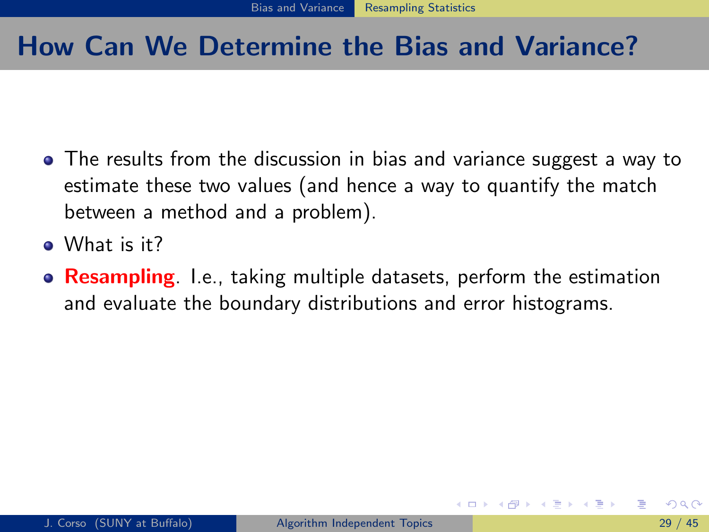## How Can We Determine the Bias and Variance?

- The results from the discussion in bias and variance suggest a way to estimate these two values (and hence a way to quantify the match between a method and a problem).
- . What is it?
- <span id="page-77-0"></span>**• Resampling.** I.e., taking multiple datasets, perform the estimation and evaluate the boundary distributions and error histograms.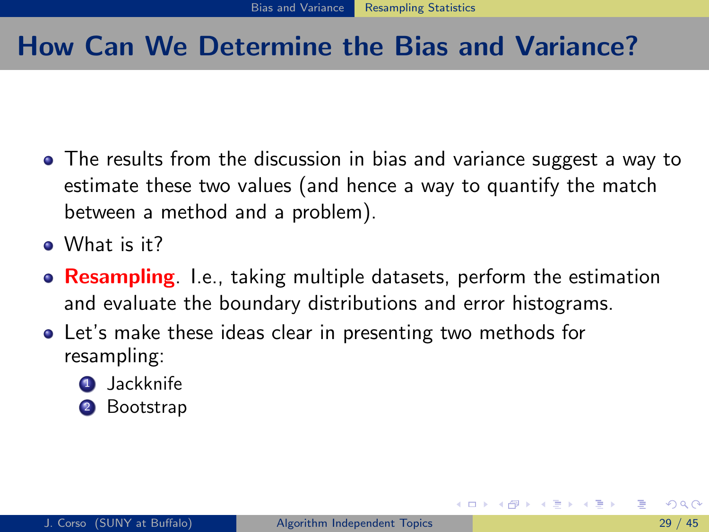# How Can We Determine the Bias and Variance?

- The results from the discussion in bias and variance suggest a way to estimate these two values (and hence a way to quantify the match between a method and a problem).
- . What is it?
- **Resampling** I.e., taking multiple datasets, perform the estimation and evaluate the boundary distributions and error histograms.
- <span id="page-78-0"></span>Let's make these ideas clear in presenting two methods for resampling:
	- **4** Jackknife
	- 2 Bootstrap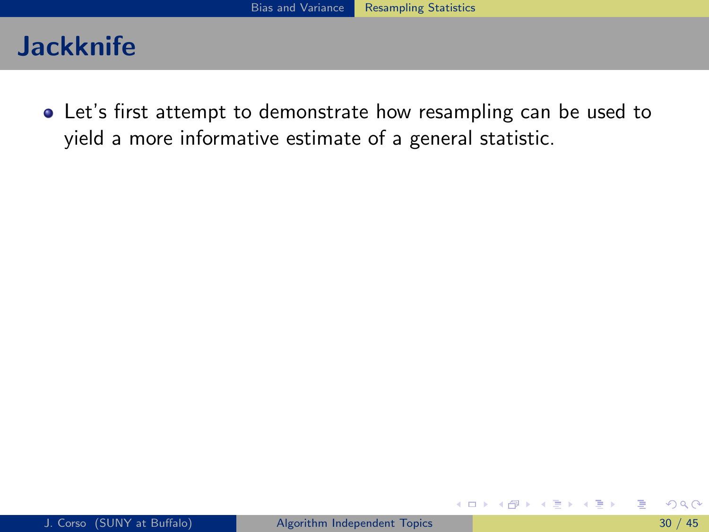Let's first attempt to demonstrate how resampling can be used to yield a more informative estimate of a general statistic.

**4 ロ ▶ 4 母 ▶ 4** 

ラメ メラメ

<span id="page-79-0"></span>э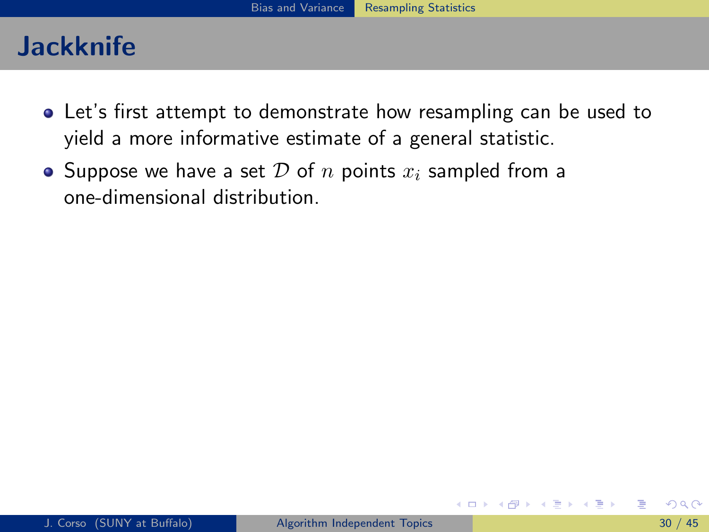- Let's first attempt to demonstrate how resampling can be used to yield a more informative estimate of a general statistic.
- Suppose we have a set D of n points  $x_i$  sampled from a one-dimensional distribution.

<span id="page-80-0"></span>ラメ メラメ

∢ □ ▶ ∢ <sub>□</sub> ▶ ∢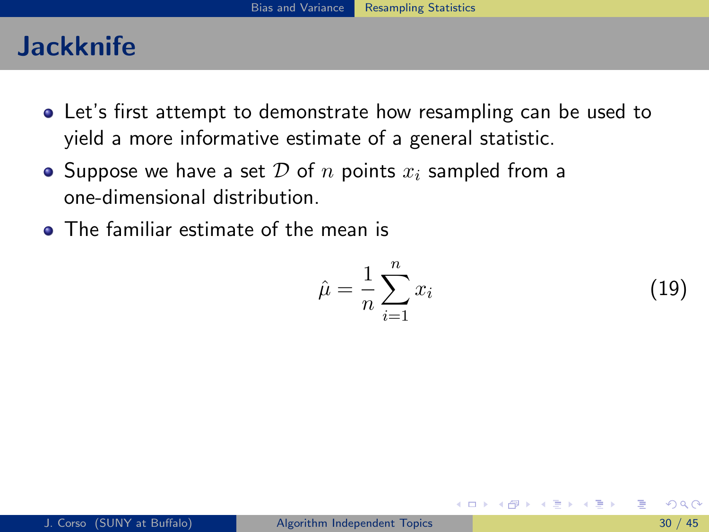- Let's first attempt to demonstrate how resampling can be used to yield a more informative estimate of a general statistic.
- Suppose we have a set D of n points  $x_i$  sampled from a one-dimensional distribution.
- **•** The familiar estimate of the mean is

$$
\hat{\mu} = \frac{1}{n} \sum_{i=1}^{n} x_i \tag{19}
$$

4 D F

<span id="page-81-0"></span>ヨメ メラメ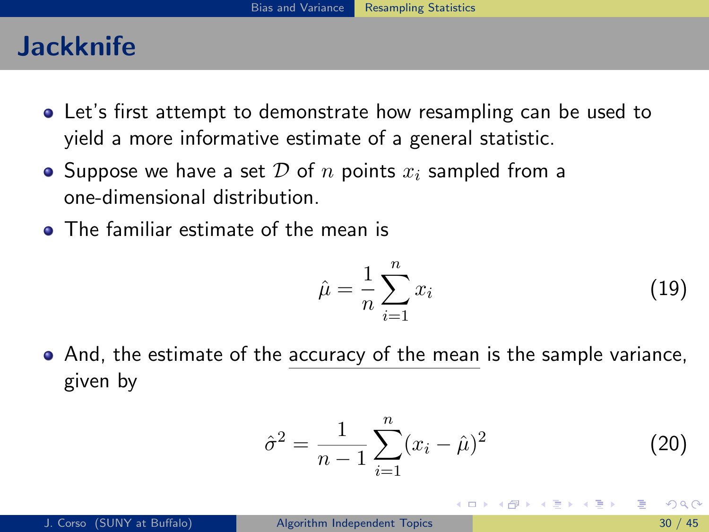- Let's first attempt to demonstrate how resampling can be used to yield a more informative estimate of a general statistic.
- Suppose we have a set D of n points  $x_i$  sampled from a one-dimensional distribution.
- **•** The familiar estimate of the mean is

$$
\hat{\mu} = \frac{1}{n} \sum_{i=1}^{n} x_i \tag{19}
$$

• And, the estimate of the accuracy of the mean is the sample variance, given by

$$
\hat{\sigma}^2 = \frac{1}{n-1} \sum_{i=1}^n (x_i - \hat{\mu})^2
$$
 (20)

<span id="page-82-0"></span>4 D F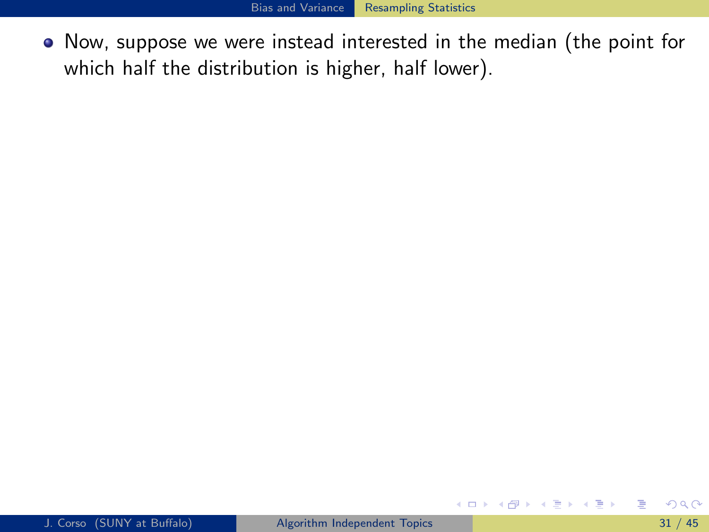Now, suppose we were instead interested in the median (the point for which half the distribution is higher, half lower).

<span id="page-83-0"></span>э

K ロ ⊁ K 個 ≯ K 君 ⊁ K 君 ≯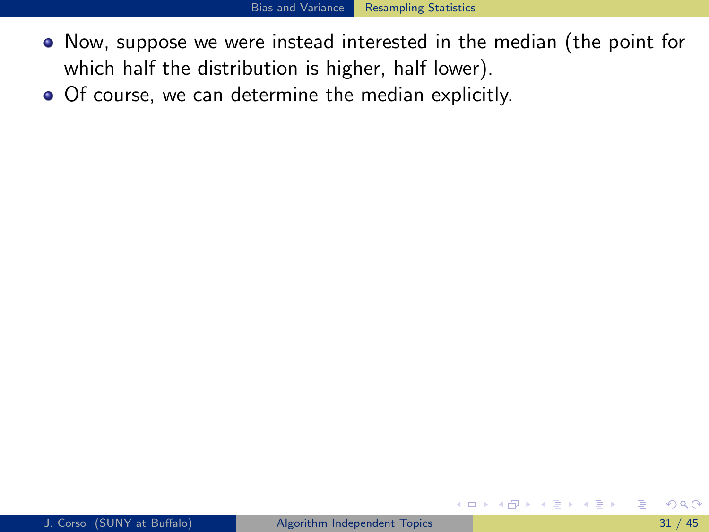- Now, suppose we were instead interested in the median (the point for which half the distribution is higher, half lower).
- Of course, we can determine the median explicitly.

<span id="page-84-0"></span>化重新润滑脂

◂**◻▸ ◂<del>ਗ਼</del>▸**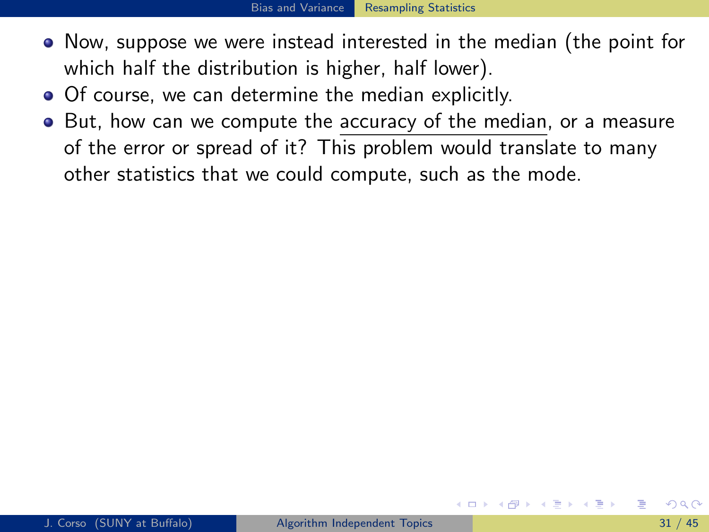- Now, suppose we were instead interested in the median (the point for which half the distribution is higher, half lower).
- Of course, we can determine the median explicitly.
- <span id="page-85-0"></span>But, how can we compute the accuracy of the median, or a measure of the error or spread of it? This problem would translate to many other statistics that we could compute, such as the mode.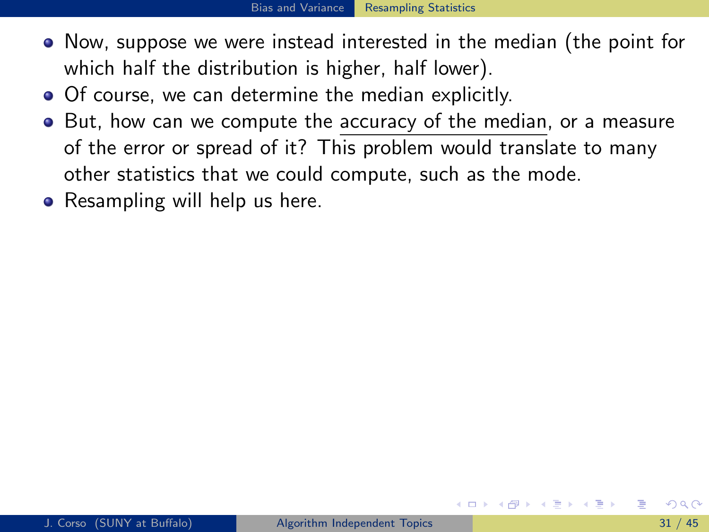- Now, suppose we were instead interested in the median (the point for which half the distribution is higher, half lower).
- Of course, we can determine the median explicitly.
- But, how can we compute the accuracy of the median, or a measure of the error or spread of it? This problem would translate to many other statistics that we could compute, such as the mode.
- <span id="page-86-0"></span>• Resampling will help us here.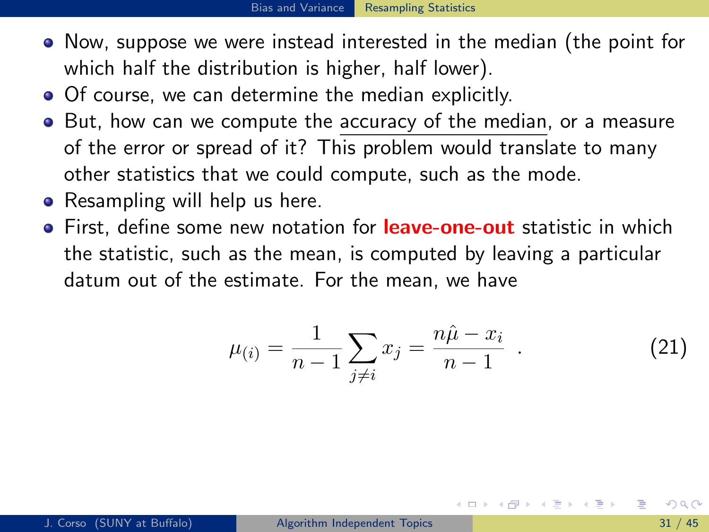- Now, suppose we were instead interested in the median (the point for which half the distribution is higher, half lower).
- Of course, we can determine the median explicitly.
- But, how can we compute the accuracy of the median, or a measure of the error or spread of it? This problem would translate to many other statistics that we could compute, such as the mode.
- Resampling will help us here.
- First, define some new notation for **leave-one-out** statistic in which the statistic, such as the mean, is computed by leaving a particular datum out of the estimate. For the mean, we have

<span id="page-87-0"></span>
$$
\mu_{(i)} = \frac{1}{n-1} \sum_{j \neq i} x_j = \frac{n\hat{\mu} - x_i}{n-1} \quad . \tag{21}
$$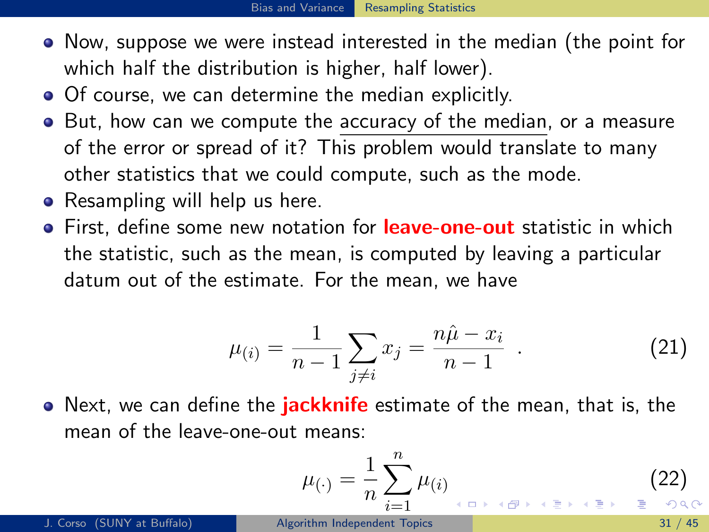- Now, suppose we were instead interested in the median (the point for which half the distribution is higher, half lower).
- Of course, we can determine the median explicitly.
- But, how can we compute the accuracy of the median, or a measure of the error or spread of it? This problem would translate to many other statistics that we could compute, such as the mode.
- Resampling will help us here.
- First, define some new notation for **leave-one-out** statistic in which the statistic, such as the mean, is computed by leaving a particular datum out of the estimate. For the mean, we have

$$
\mu_{(i)} = \frac{1}{n-1} \sum_{j \neq i} x_j = \frac{n\hat{\mu} - x_i}{n-1} \quad . \tag{21}
$$

• Next, we can define the **jackknife** estimate of the mean, that is, the mean of the leave-one-out means:

$$
\mu_{(\cdot)} = \frac{1}{n} \sum_{i=1}^{n} \mu_{(i)} \tag{22}
$$

<span id="page-88-0"></span>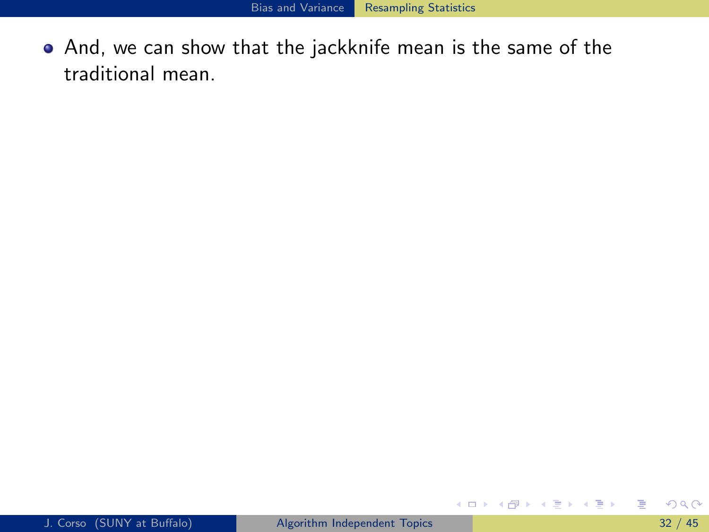And, we can show that the jackknife mean is the same of the traditional mean.

<span id="page-89-0"></span>目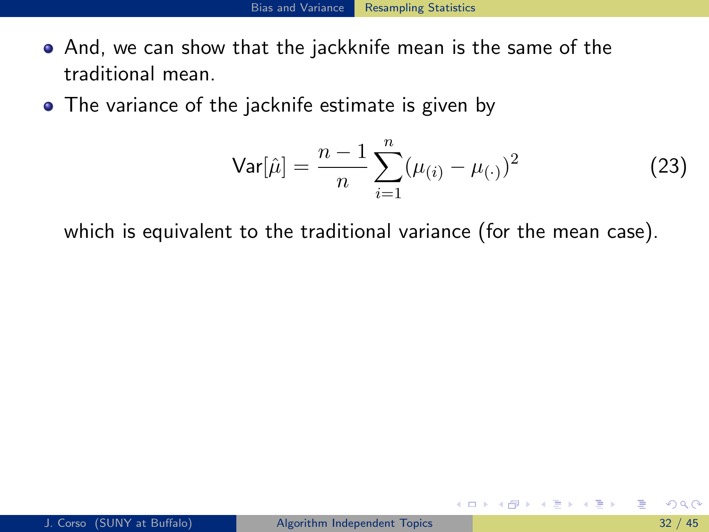- And, we can show that the jackknife mean is the same of the traditional mean.
- The variance of the jacknife estimate is given by

Var[
$$
\hat{\mu}
$$
] =  $\frac{n-1}{n} \sum_{i=1}^{n} (\mu_{(i)} - \mu_{(\cdot)})^2$  (23)

4 D F

which is equivalent to the traditional variance (for the mean case).

<span id="page-90-0"></span> $\Omega$ 

ヨメ メヨメ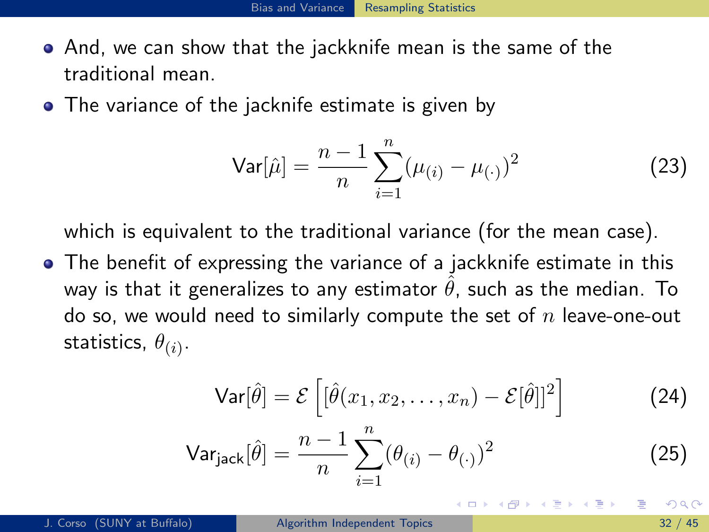- And, we can show that the jackknife mean is the same of the traditional mean.
- The variance of the jacknife estimate is given by

Var[
$$
\hat{\mu}
$$
] =  $\frac{n-1}{n} \sum_{i=1}^{n} (\mu_{(i)} - \mu_{(\cdot)})^2$  (23)

which is equivalent to the traditional variance (for the mean case).

• The benefit of expressing the variance of a jackknife estimate in this way is that it generalizes to any estimator  $\theta$ , such as the median. To do so, we would need to similarly compute the set of  $n$  leave-one-out statistics,  $\theta_{(i)}.$ 

$$
\mathsf{Var}[\hat{\theta}] = \mathcal{E}\left[ [\hat{\theta}(x_1, x_2, \dots, x_n) - \mathcal{E}[\hat{\theta}]]^2 \right]
$$
 (24)

$$
\text{Var}_{\text{jack}}[\hat{\theta}] = \frac{n-1}{n} \sum_{i=1}^{n} (\theta_{(i)} - \theta_{(\cdot)})^2
$$
 (25)

<span id="page-91-0"></span> $\Omega$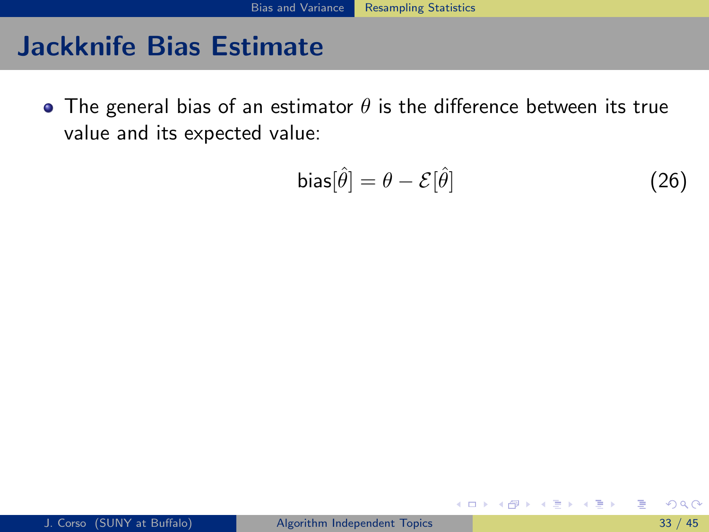• The general bias of an estimator  $\theta$  is the difference between its true value and its expected value:

$$
bias[\hat{\theta}] = \theta - \mathcal{E}[\hat{\theta}] \tag{26}
$$

4. 0. 8.

<span id="page-92-0"></span> $\triangleright$   $\rightarrow$   $\Rightarrow$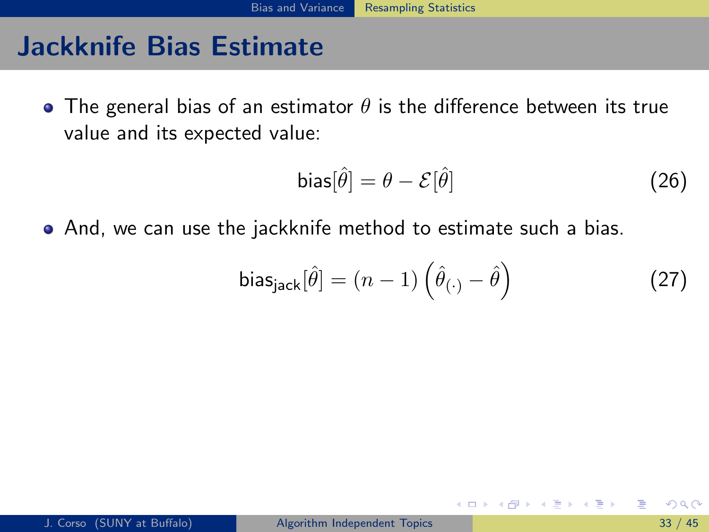• The general bias of an estimator  $\theta$  is the difference between its true value and its expected value:

$$
bias[\hat{\theta}] = \theta - \mathcal{E}[\hat{\theta}] \tag{26}
$$

And, we can use the jackknife method to estimate such a bias.

bias<sub>jack</sub>[
$$
\hat{\theta}
$$
] =  $(n-1) \left( \hat{\theta}_{(\cdot)} - \hat{\theta} \right)$  (27)

<span id="page-93-0"></span>4 D F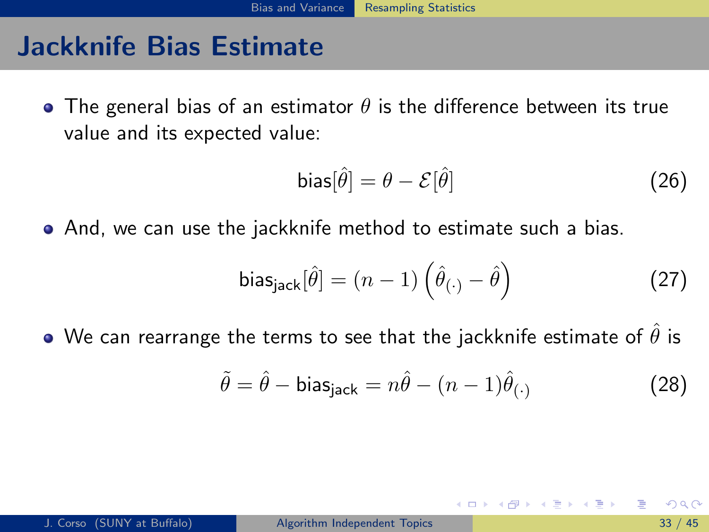• The general bias of an estimator  $\theta$  is the difference between its true value and its expected value:

$$
bias[\hat{\theta}] = \theta - \mathcal{E}[\hat{\theta}] \tag{26}
$$

And, we can use the jackknife method to estimate such a bias.

$$
biasjack[\hat{\theta}] = (n-1) \left(\hat{\theta}_{(\cdot)} - \hat{\theta}\right)
$$
 (27)

• We can rearrange the terms to see that the jackknife estimate of  $\hat{\theta}$  is

<span id="page-94-0"></span>
$$
\tilde{\theta} = \hat{\theta} - \text{bias}_{\text{jack}} = n\hat{\theta} - (n-1)\hat{\theta}_{(\cdot)}
$$
\n(28)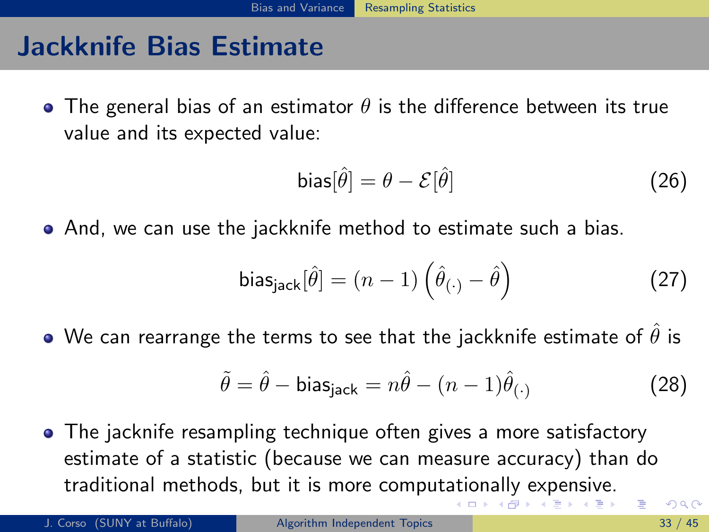• The general bias of an estimator  $\theta$  is the difference between its true value and its expected value:

$$
bias[\hat{\theta}] = \theta - \mathcal{E}[\hat{\theta}] \tag{26}
$$

And, we can use the jackknife method to estimate such a bias.

$$
biasjack[\hat{\theta}] = (n-1) \left(\hat{\theta}_{(\cdot)} - \hat{\theta}\right)
$$
 (27)

• We can rearrange the terms to see that the jackknife estimate of  $\theta$  is

<span id="page-95-0"></span>
$$
\tilde{\theta} = \hat{\theta} - \text{bias}_{\text{jack}} = n\hat{\theta} - (n-1)\hat{\theta}_{(\cdot)}
$$
\n(28)

The jacknife resampling technique often gives a more satisfactory estimate of a statistic (because we can measure accuracy) than do traditional methods, but it is more comput[ati](#page-94-0)[on](#page-96-0)[al](#page-91-0)[l](#page-92-0)[y](#page-95-0) [e](#page-96-0)[x](#page-75-0)[p](#page-76-0)[e](#page-123-0)[n](#page-124-0)[si](#page-51-0)[v](#page-52-0)[e](#page-123-0)[.](#page-124-0)  $\Omega$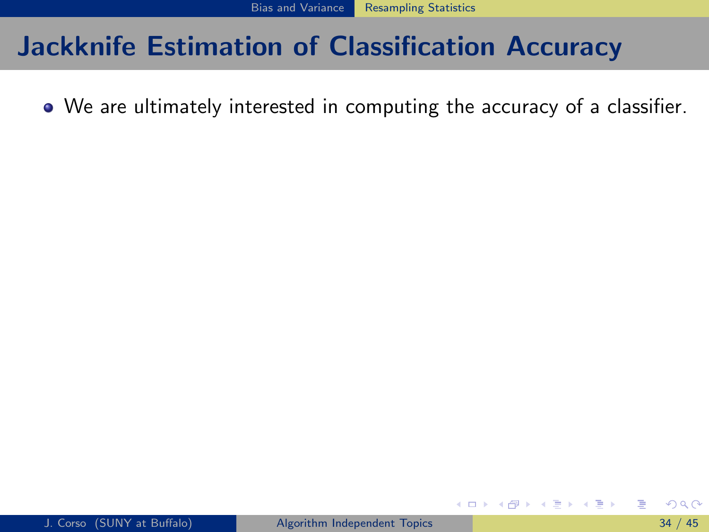We are ultimately interested in computing the accuracy of a classifier.

(□ ) (f)

<span id="page-96-0"></span>ヨメ メヨメ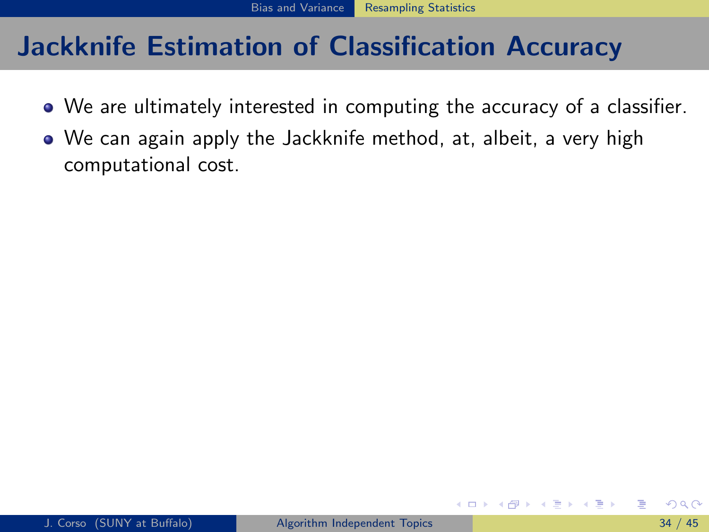- We are ultimately interested in computing the accuracy of a classifier.
- We can again apply the Jackknife method, at, albeit, a very high computational cost.

<span id="page-97-0"></span>4 D F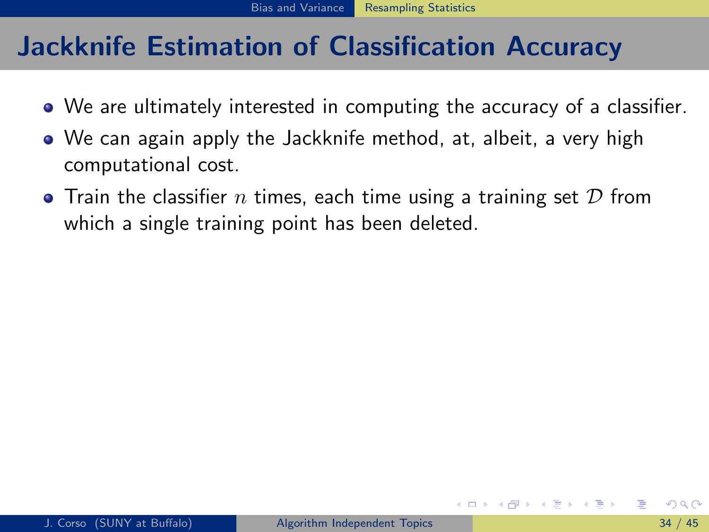- We are ultimately interested in computing the accuracy of a classifier.
- We can again apply the Jackknife method, at, albeit, a very high computational cost.
- <span id="page-98-0"></span>• Train the classifier n times, each time using a training set  $D$  from which a single training point has been deleted.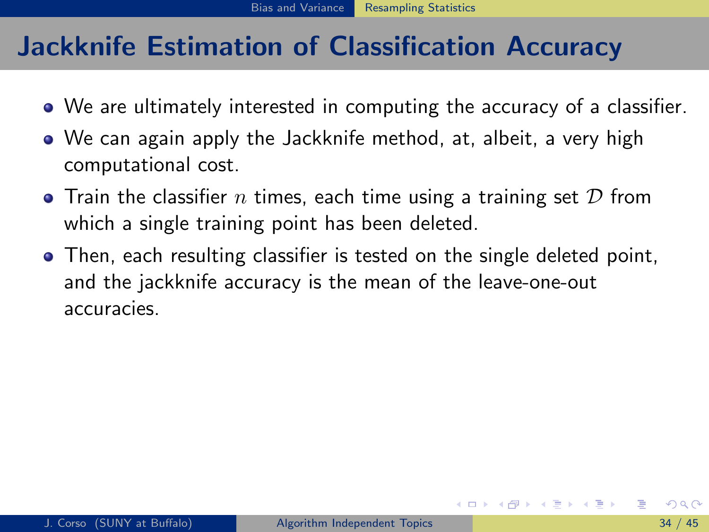- We are ultimately interested in computing the accuracy of a classifier.
- We can again apply the Jackknife method, at, albeit, a very high computational cost.
- Train the classifier n times, each time using a training set  $D$  from which a single training point has been deleted.
- <span id="page-99-0"></span>Then, each resulting classifier is tested on the single deleted point, and the jackknife accuracy is the mean of the leave-one-out accuracies.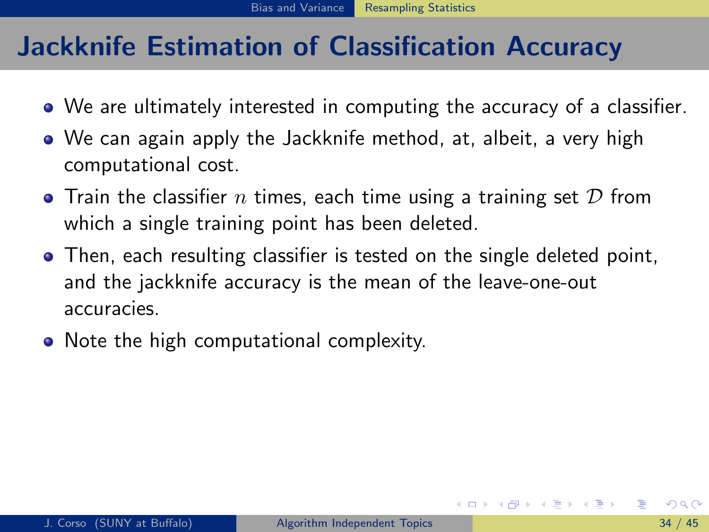- We are ultimately interested in computing the accuracy of a classifier.
- We can again apply the Jackknife method, at, albeit, a very high computational cost.
- Train the classifier n times, each time using a training set  $D$  from which a single training point has been deleted.
- Then, each resulting classifier is tested on the single deleted point, and the jackknife accuracy is the mean of the leave-one-out accuracies.
- <span id="page-100-0"></span>• Note the high computational complexity.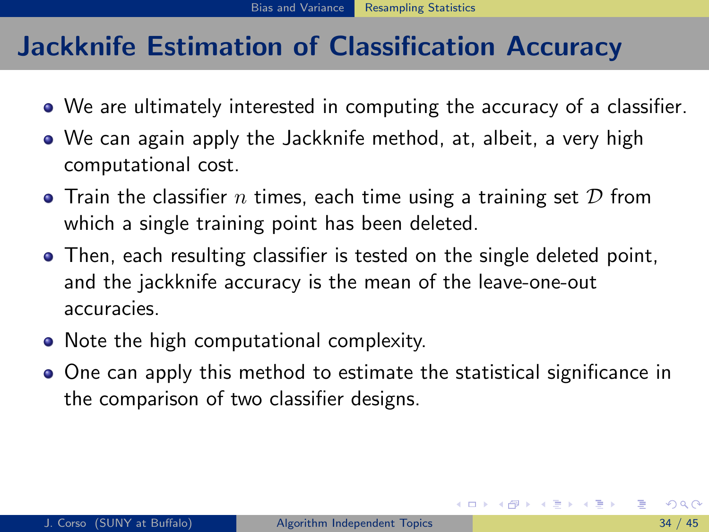- We are ultimately interested in computing the accuracy of a classifier.
- We can again apply the Jackknife method, at, albeit, a very high computational cost.
- Train the classifier n times, each time using a training set  $D$  from which a single training point has been deleted.
- Then, each resulting classifier is tested on the single deleted point, and the jackknife accuracy is the mean of the leave-one-out accuracies.
- Note the high computational complexity.
- <span id="page-101-0"></span>One can apply this method to estimate the statistical significance in the comparison of two classifier designs.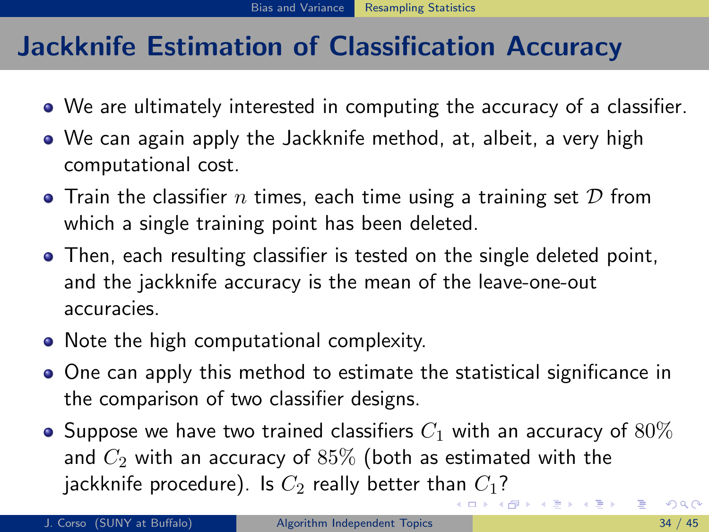- We are ultimately interested in computing the accuracy of a classifier.
- We can again apply the Jackknife method, at, albeit, a very high computational cost.
- Train the classifier n times, each time using a training set  $D$  from which a single training point has been deleted.
- Then, each resulting classifier is tested on the single deleted point, and the jackknife accuracy is the mean of the leave-one-out accuracies.
- Note the high computational complexity.
- One can apply this method to estimate the statistical significance in the comparison of two classifier designs.
- <span id="page-102-0"></span> $\bullet$  Suppose we have two trained classifiers  $C_1$  with an accuracy of  $80\%$ and  $C_2$  with an accuracy of  $85\%$  (both as estimated with the jackknife procedure). Is  $C_2$  really better th[an](#page-101-0)  $C_1$  $C_1$ [?](#page-96-0)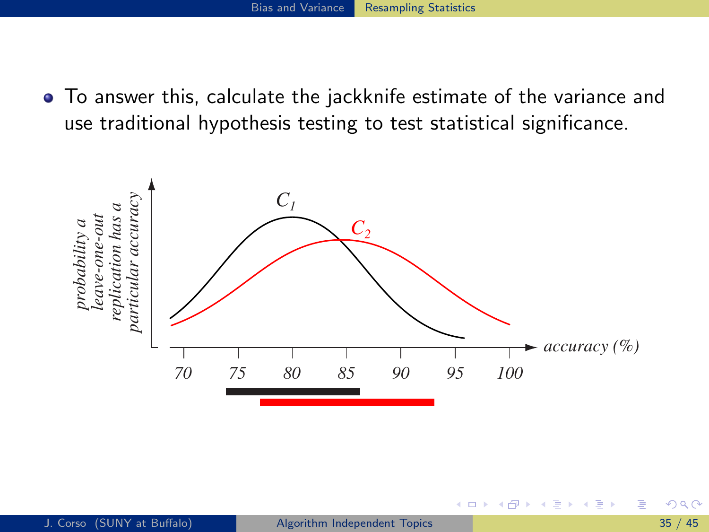To answer this, calculate the jackknife estimate of the variance and use traditional hypothesis testing to test statistical significance.

<span id="page-103-0"></span>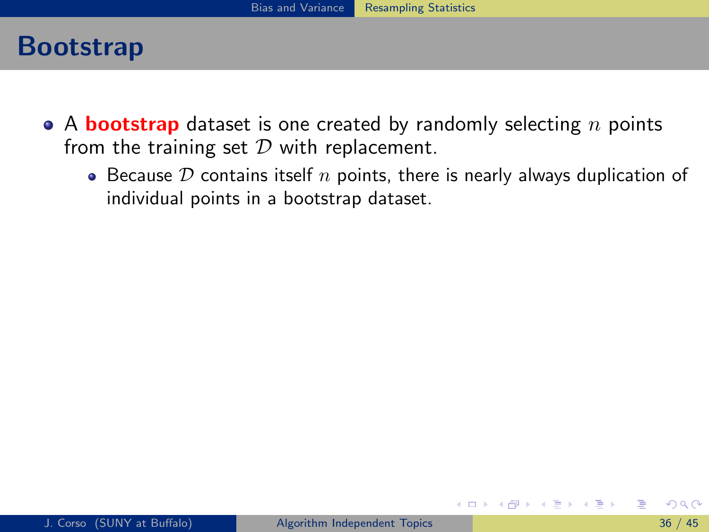#### Bootstrap

- A **bootstrap** dataset is one created by randomly selecting  $n$  points from the training set  $D$  with replacement.
	- Because  $D$  contains itself  $n$  points, there is nearly always duplication of individual points in a bootstrap dataset.

<span id="page-104-0"></span>イロト イ母 トイヨ トイヨト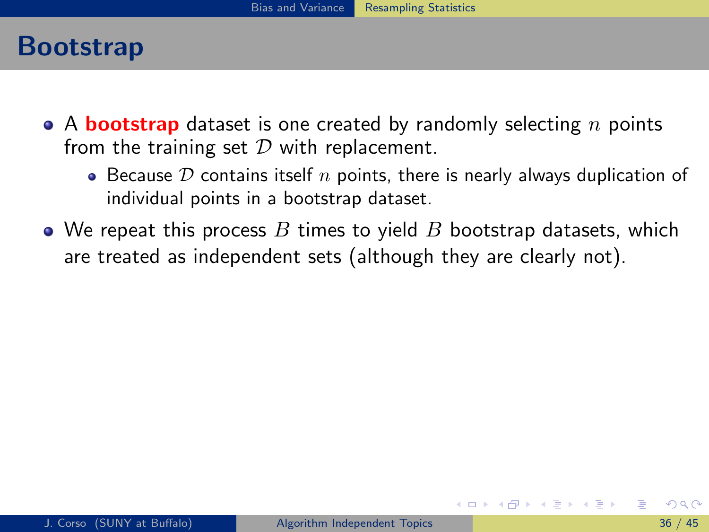### Bootstrap

- A **bootstrap** dataset is one created by randomly selecting  $n$  points from the training set  $D$  with replacement.
	- Because  $D$  contains itself  $n$  points, there is nearly always duplication of individual points in a bootstrap dataset.
- We repeat this process  $B$  times to yield  $B$  bootstrap datasets, which are treated as independent sets (although they are clearly not).

<span id="page-105-0"></span>イロト イ母 ト イヨ ト イヨ ト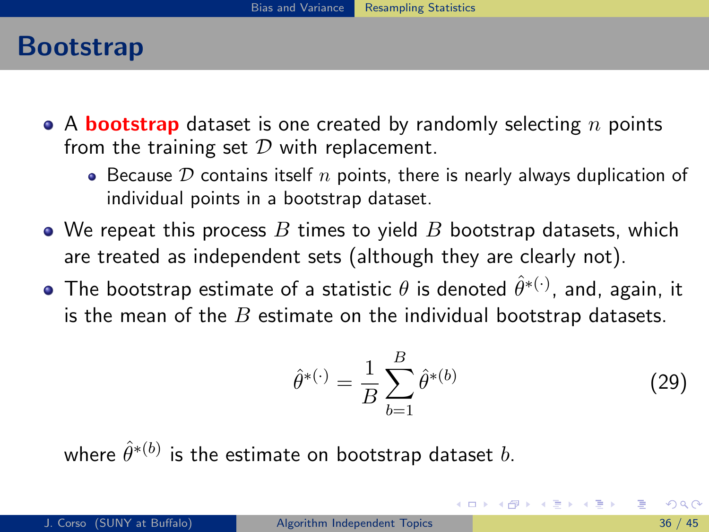### Bootstrap

- A **bootstrap** dataset is one created by randomly selecting  $n$  points from the training set  $D$  with replacement.
	- Because  $D$  contains itself  $n$  points, there is nearly always duplication of individual points in a bootstrap dataset.
- We repeat this process  $B$  times to yield  $B$  bootstrap datasets, which are treated as independent sets (although they are clearly not).
- The bootstrap estimate of a statistic  $\theta$  is denoted  $\hat{\theta}^{*(\cdot)}$ , and, again, it is the mean of the  $B$  estimate on the individual bootstrap datasets.

$$
\hat{\theta}^{*(\cdot)} = \frac{1}{B} \sum_{b=1}^{B} \hat{\theta}^{*(b)} \tag{29}
$$

<span id="page-106-0"></span>イロト イ押ト イヨト イヨトー

where  $\hat{\theta}^{*(b)}$  is the estimate on bootstrap dataset  $b.$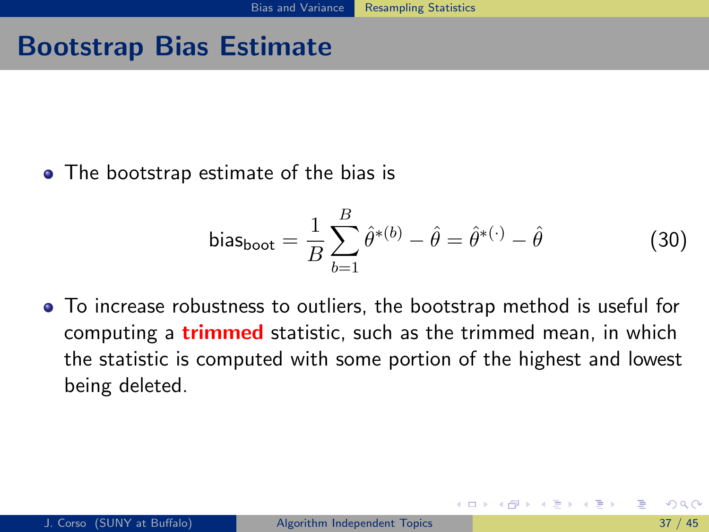# Bootstrap Bias Estimate

• The bootstrap estimate of the bias is

<span id="page-107-0"></span>bias<sub>boot</sub> = 
$$
\frac{1}{B} \sum_{b=1}^{B} \hat{\theta}^{*(b)} - \hat{\theta} = \hat{\theta}^{*(\cdot)} - \hat{\theta}
$$
 (30)

To increase robustness to outliers, the bootstrap method is useful for computing a **trimmed** statistic, such as the trimmed mean, in which the statistic is computed with some portion of the highest and lowest being deleted.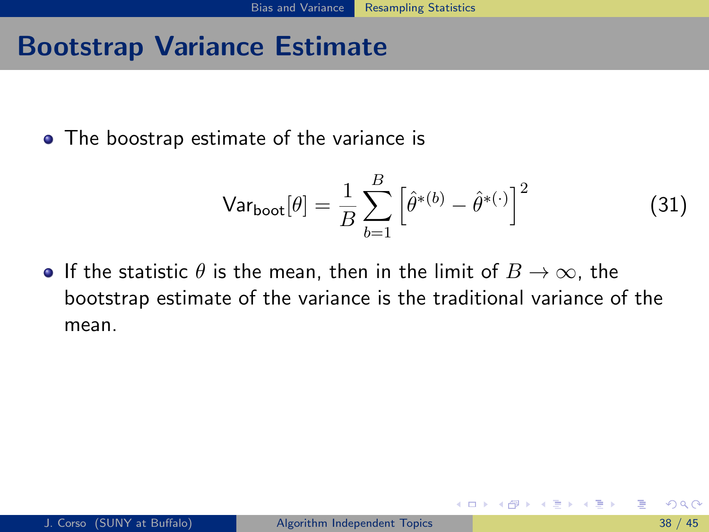## Bootstrap Variance Estimate

• The boostrap estimate of the variance is

$$
\text{Var}_{\text{boot}}[\theta] = \frac{1}{B} \sum_{b=1}^{B} \left[ \hat{\theta}^{*(b)} - \hat{\theta}^{*(\cdot)} \right]^2 \tag{31}
$$

<span id="page-108-0"></span>イロト イ押ト イヨト イヨト

**•** If the statistic  $\theta$  is the mean, then in the limit of  $B \to \infty$ , the bootstrap estimate of the variance is the traditional variance of the mean.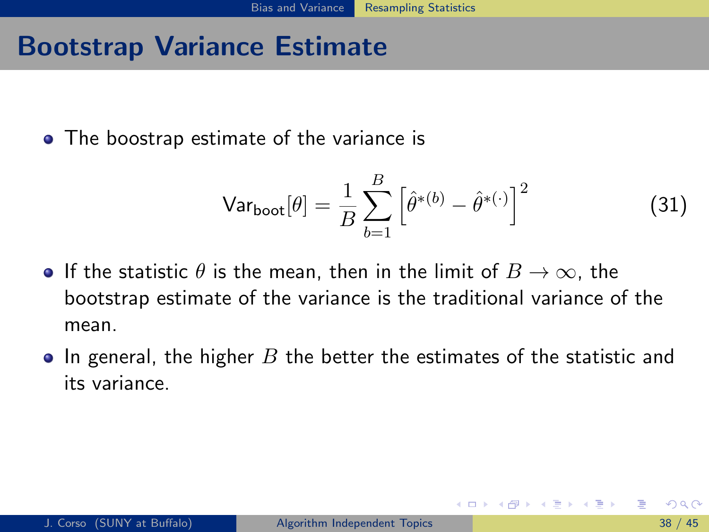## Bootstrap Variance Estimate

• The boostrap estimate of the variance is

<span id="page-109-0"></span>
$$
\text{Var}_{\text{boot}}[\theta] = \frac{1}{B} \sum_{b=1}^{B} \left[ \hat{\theta}^{*(b)} - \hat{\theta}^{*(\cdot)} \right]^2 \tag{31}
$$

- **•** If the statistic  $\theta$  is the mean, then in the limit of  $B \to \infty$ , the bootstrap estimate of the variance is the traditional variance of the mean.
- $\bullet$  In general, the higher B the better the estimates of the statistic and its variance.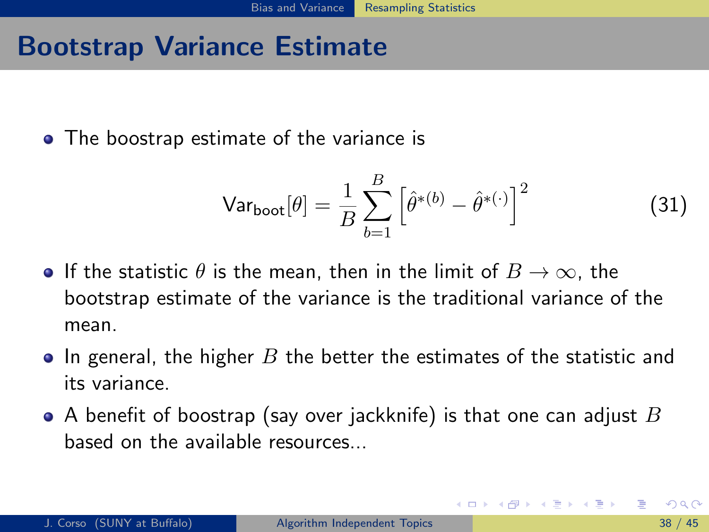## Bootstrap Variance Estimate

• The boostrap estimate of the variance is

<span id="page-110-0"></span>
$$
\text{Var}_{\text{boot}}[\theta] = \frac{1}{B} \sum_{b=1}^{B} \left[ \hat{\theta}^{*(b)} - \hat{\theta}^{*(\cdot)} \right]^2 \tag{31}
$$

- **•** If the statistic  $\theta$  is the mean, then in the limit of  $B \to \infty$ , the bootstrap estimate of the variance is the traditional variance of the mean.
- $\bullet$  In general, the higher B the better the estimates of the statistic and its variance.
- $\bullet$  A benefit of boostrap (say over jackknife) is that one can adjust  $B$ based on the available resources...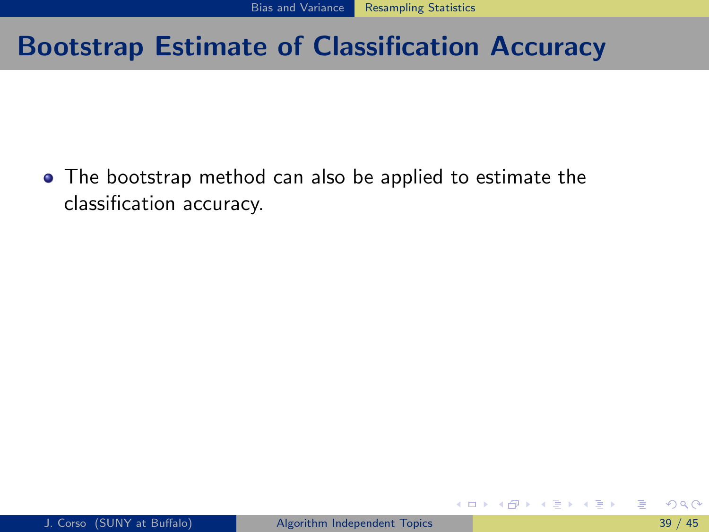<span id="page-111-0"></span>• The bootstrap method can also be applied to estimate the classification accuracy.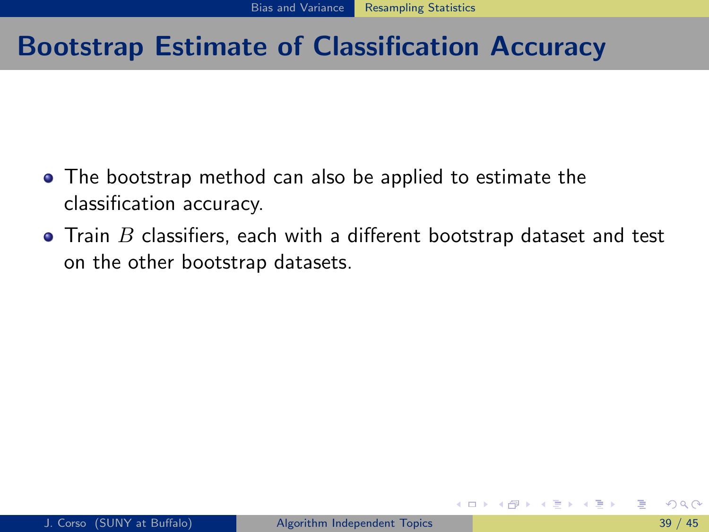- The bootstrap method can also be applied to estimate the classification accuracy.
- $\bullet$  Train  $B$  classifiers, each with a different bootstrap dataset and test on the other bootstrap datasets.

<span id="page-112-0"></span>正々 メラメ

4 D F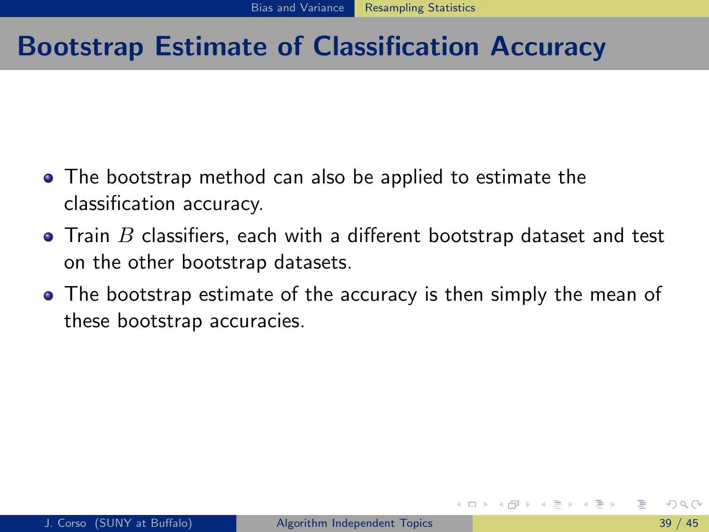- The bootstrap method can also be applied to estimate the classification accuracy.
- $\bullet$  Train  $B$  classifiers, each with a different bootstrap dataset and test on the other bootstrap datasets.
- <span id="page-113-0"></span>• The bootstrap estimate of the accuracy is then simply the mean of these bootstrap accuracies.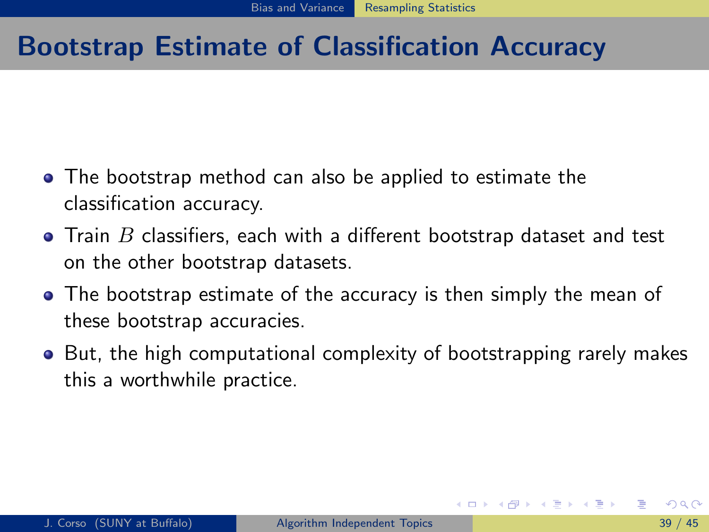- The bootstrap method can also be applied to estimate the classification accuracy.
- $\bullet$  Train  $B$  classifiers, each with a different bootstrap dataset and test on the other bootstrap datasets.
- The bootstrap estimate of the accuracy is then simply the mean of these bootstrap accuracies.
- <span id="page-114-0"></span>• But, the high computational complexity of bootstrapping rarely makes this a worthwhile practice.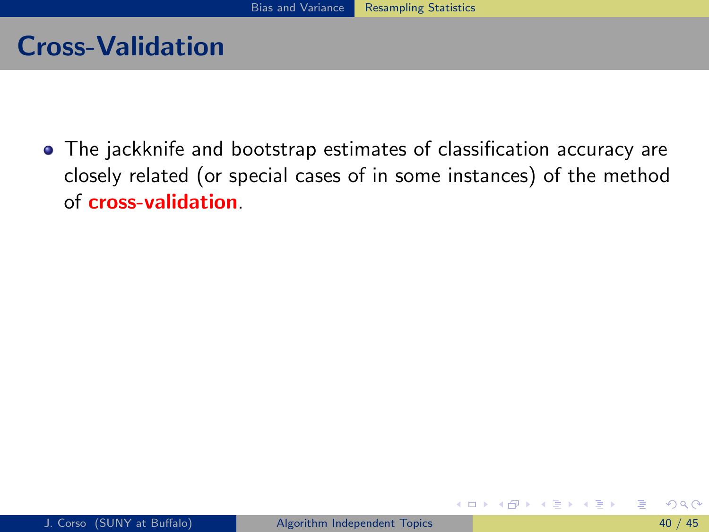## Cross-Validation

The jackknife and bootstrap estimates of classification accuracy are closely related (or special cases of in some instances) of the method of cross-validation.

<span id="page-115-0"></span>4 D F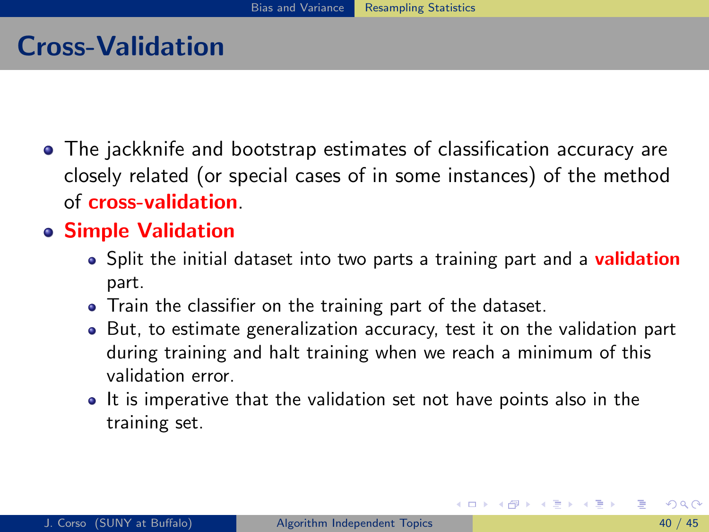## Cross-Validation

The jackknife and bootstrap estimates of classification accuracy are closely related (or special cases of in some instances) of the method of cross-validation.

#### Simple Validation

- Split the initial dataset into two parts a training part and a **validation** part.
- Train the classifier on the training part of the dataset.
- But, to estimate generalization accuracy, test it on the validation part during training and halt training when we reach a minimum of this validation error.
- <span id="page-116-0"></span>• It is imperative that the validation set not have points also in the training set.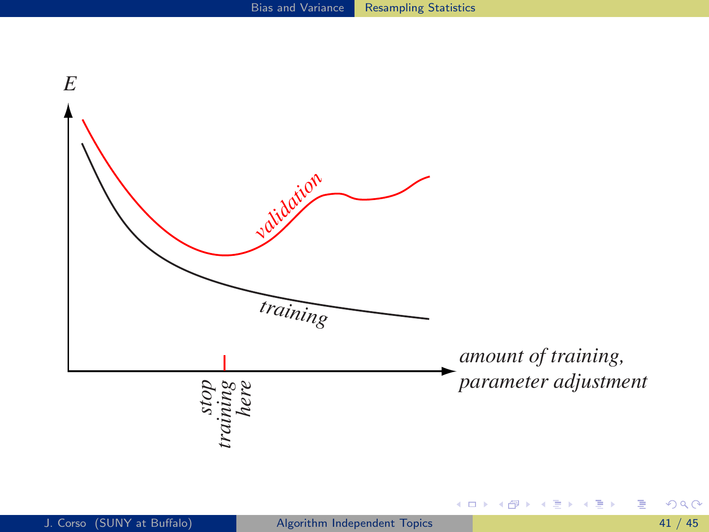<span id="page-117-0"></span>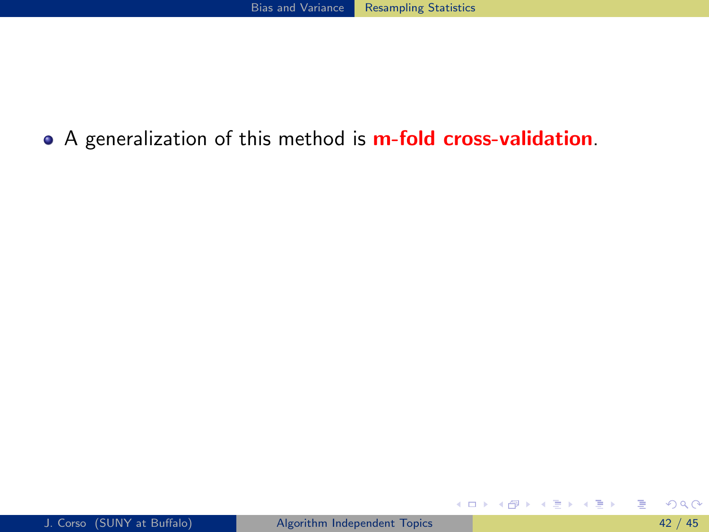#### • A generalization of this method is **m-fold cross-validation**.

<span id="page-118-0"></span>画

イロメ イ部メ イ君メ イ君メー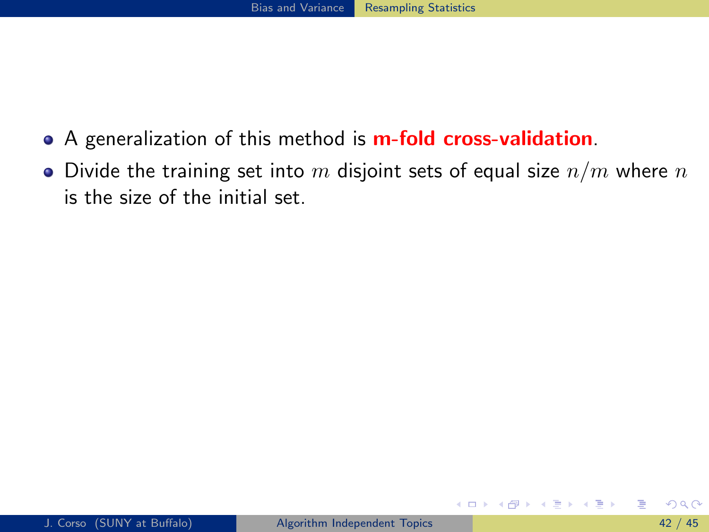- A generalization of this method is **m-fold cross-validation**.
- Divide the training set into m disjoint sets of equal size  $n/m$  where n is the size of the initial set.

**∢ ロ ▶ イ 伊 ▶** 

<span id="page-119-0"></span>ヨメ メラメ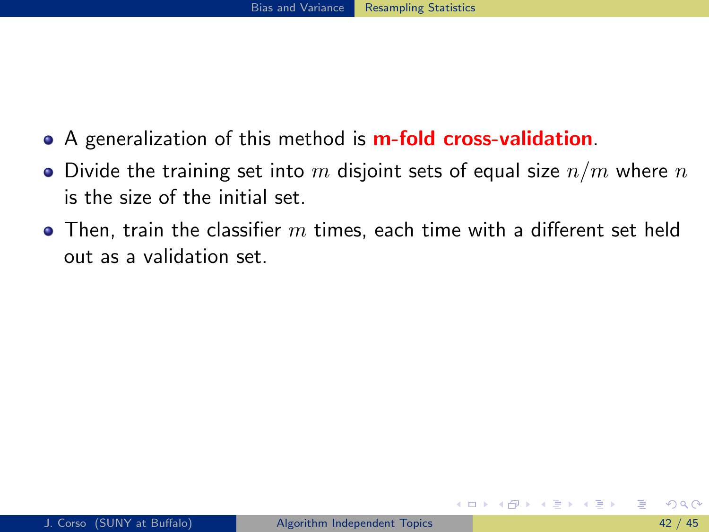- A generalization of this method is **m-fold cross-validation**.
- Divide the training set into m disjoint sets of equal size  $n/m$  where n is the size of the initial set.
- $\bullet$  Then, train the classifier  $m$  times, each time with a different set held out as a validation set.

<span id="page-120-0"></span>ヨメ メラメ

∢ □ ▶ ⊣ n □ ▶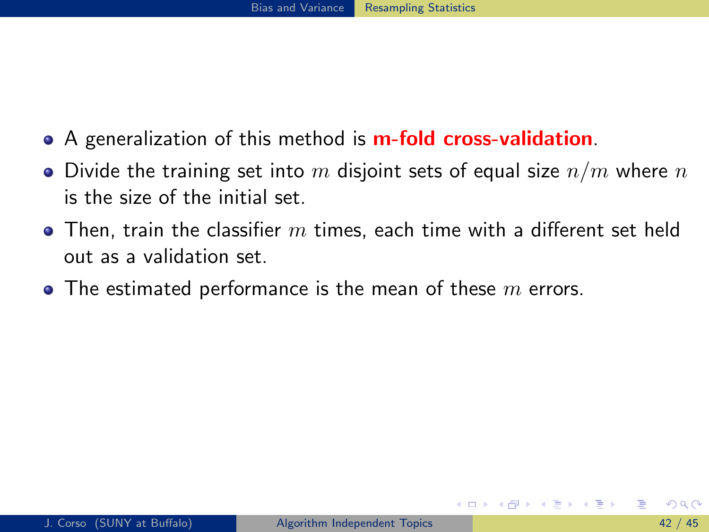- A generalization of this method is **m-fold cross-validation**.
- $\bullet$  Divide the training set into m disjoint sets of equal size  $n/m$  where n is the size of the initial set.
- $\bullet$  Then, train the classifier  $m$  times, each time with a different set held out as a validation set.
- <span id="page-121-0"></span>• The estimated performance is the mean of these  $m$  errors.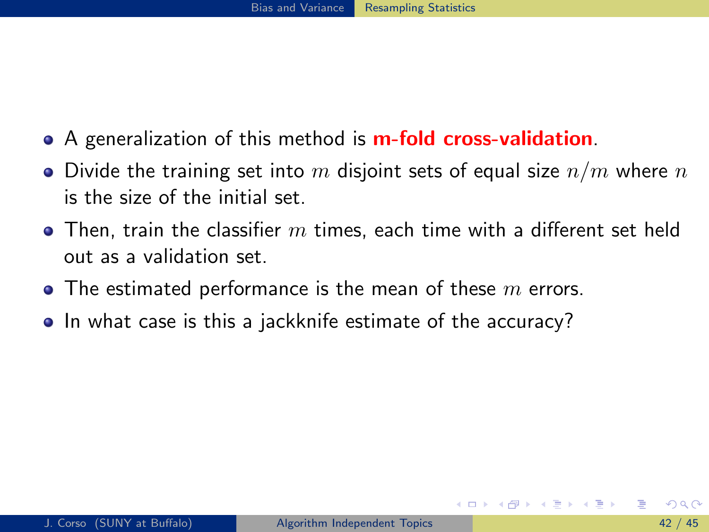- A generalization of this method is **m-fold cross-validation**.
- $\bullet$  Divide the training set into m disjoint sets of equal size  $n/m$  where n is the size of the initial set.
- $\bullet$  Then, train the classifier  $m$  times, each time with a different set held out as a validation set.
- The estimated performance is the mean of these  $m$  errors.
- <span id="page-122-0"></span>• In what case is this a jackknife estimate of the accuracy?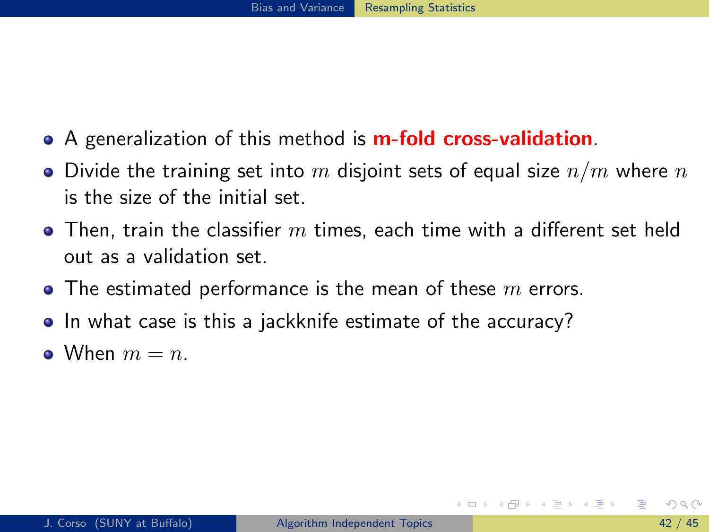- A generalization of this method is **m-fold cross-validation**.
- $\bullet$  Divide the training set into m disjoint sets of equal size  $n/m$  where n is the size of the initial set.
- $\bullet$  Then, train the classifier  $m$  times, each time with a different set held out as a validation set.
- The estimated performance is the mean of these  $m$  errors.
- In what case is this a jackknife estimate of the accuracy?
- <span id="page-123-0"></span>• When  $m = n$ .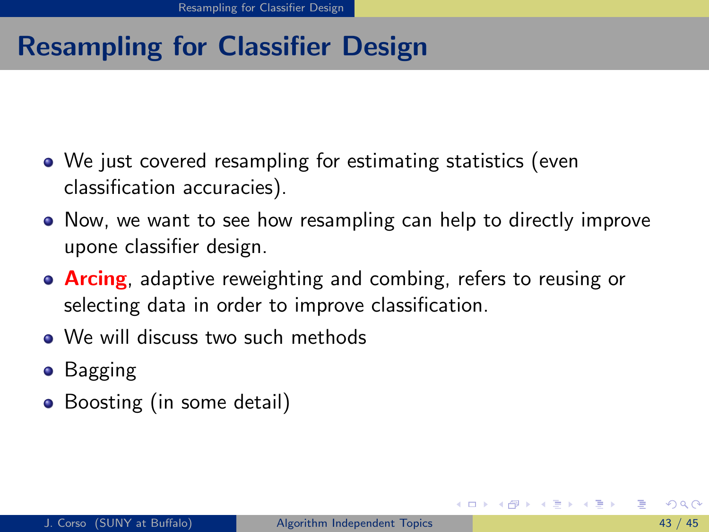# Resampling for Classifier Design

- We just covered resampling for estimating statistics (even classification accuracies).
- Now, we want to see how resampling can help to directly improve upone classifier design.
- **Arcing**, adaptive reweighting and combing, refers to reusing or selecting data in order to improve classification.
- We will discuss two such methods
- Bagging
- <span id="page-124-0"></span>• Boosting (in some detail)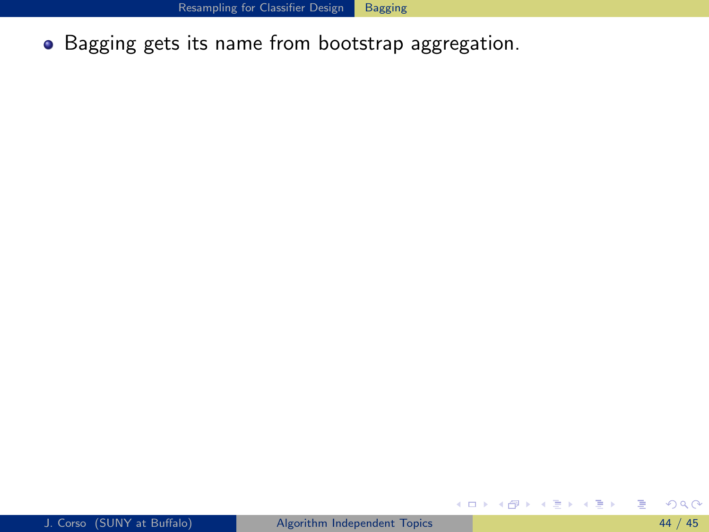• Bagging gets its name from bootstrap aggregation.

<span id="page-125-0"></span>画

イロト イ部 トイモト イモト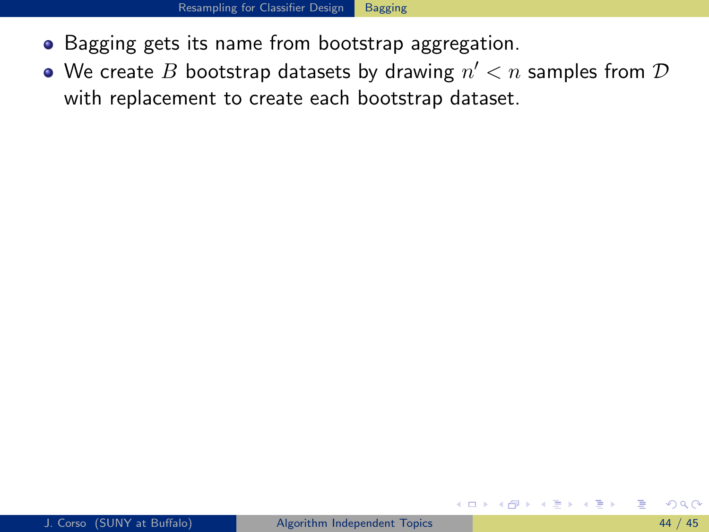- Bagging gets its name from bootstrap aggregation.
- <span id="page-126-0"></span>We create  $B$  bootstrap datasets by drawing  $n' < n$  samples from  ${\cal D}$ with replacement to create each bootstrap dataset.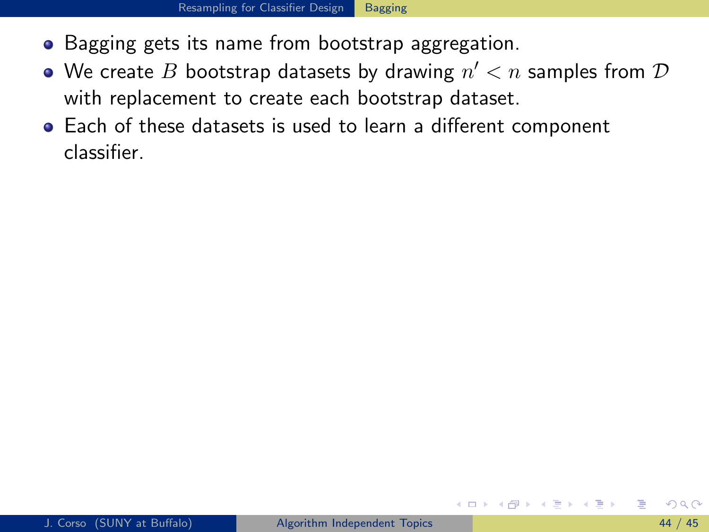- Bagging gets its name from bootstrap aggregation.
- We create  $B$  bootstrap datasets by drawing  $n' < n$  samples from  ${\cal D}$ with replacement to create each bootstrap dataset.
- <span id="page-127-0"></span>Each of these datasets is used to learn a different component classifier.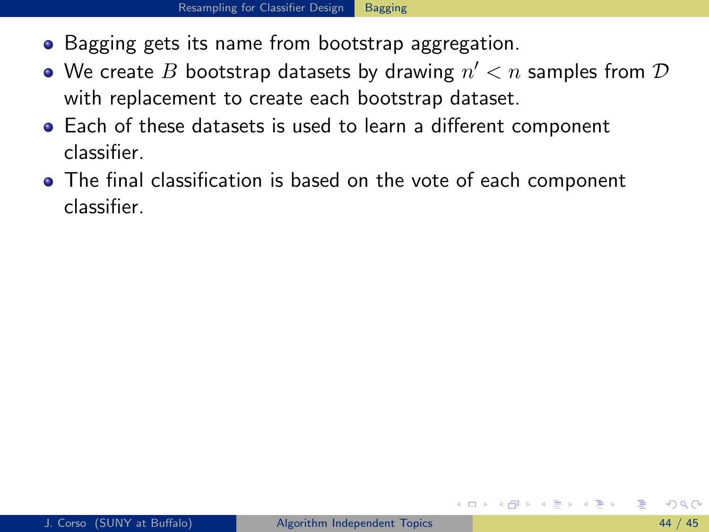- Bagging gets its name from bootstrap aggregation.
- We create  $B$  bootstrap datasets by drawing  $n' < n$  samples from  ${\cal D}$ with replacement to create each bootstrap dataset.
- Each of these datasets is used to learn a different component classifier.
- <span id="page-128-0"></span>The final classification is based on the vote of each component classifier.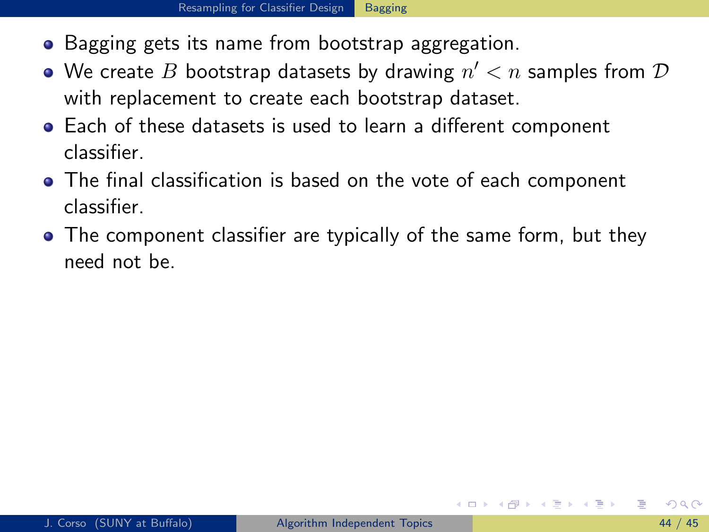- Bagging gets its name from bootstrap aggregation.
- We create  $B$  bootstrap datasets by drawing  $n' < n$  samples from  ${\cal D}$ with replacement to create each bootstrap dataset.
- Each of these datasets is used to learn a different component classifier.
- The final classification is based on the vote of each component classifier.
- <span id="page-129-0"></span>• The component classifier are typically of the same form, but they need not be.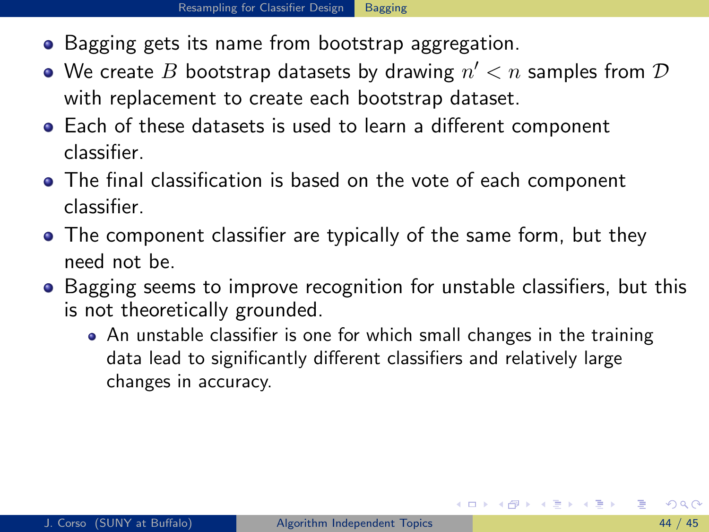- 
- Bagging gets its name from bootstrap aggregation.
- We create  $B$  bootstrap datasets by drawing  $n' < n$  samples from  ${\cal D}$ with replacement to create each bootstrap dataset.
- Each of these datasets is used to learn a different component classifier.
- The final classification is based on the vote of each component classifier.
- The component classifier are typically of the same form, but they need not be.
- Bagging seems to improve recognition for unstable classifiers, but this is not theoretically grounded.
	- An unstable classifier is one for which small changes in the training data lead to significantly different classifiers and relatively large changes in accuracy.

<span id="page-130-0"></span>イロト イ母 トイヨ トイヨ トー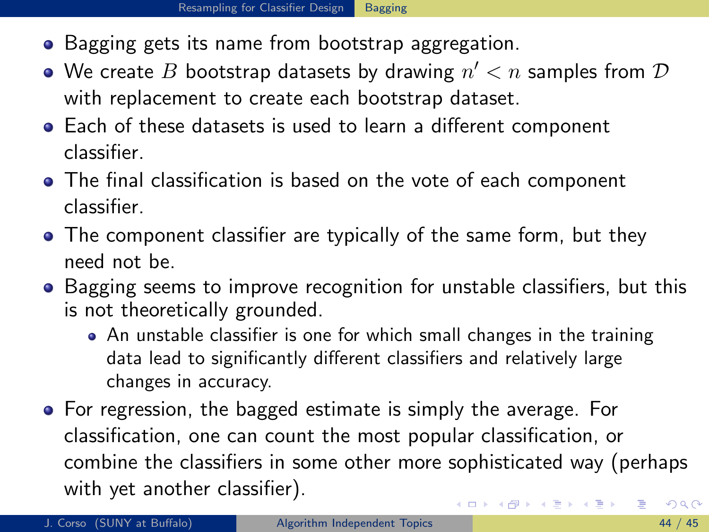- Bagging gets its name from bootstrap aggregation.
- We create  $B$  bootstrap datasets by drawing  $n' < n$  samples from  ${\cal D}$ with replacement to create each bootstrap dataset.
- Each of these datasets is used to learn a different component classifier.
- The final classification is based on the vote of each component classifier.
- The component classifier are typically of the same form, but they need not be.
- Bagging seems to improve recognition for unstable classifiers, but this is not theoretically grounded.
	- An unstable classifier is one for which small changes in the training data lead to significantly different classifiers and relatively large changes in accuracy.
- <span id="page-131-0"></span>• For regression, the bagged estimate is simply the average. For classification, one can count the most popular classification, or combine the classifiers in some other more sophisticated way (perhaps with yet another classifier).  $\left\{ \begin{array}{ccc} 1 & 0 & 0 \\ 0 & 1 & 0 \end{array} \right.$  $200$